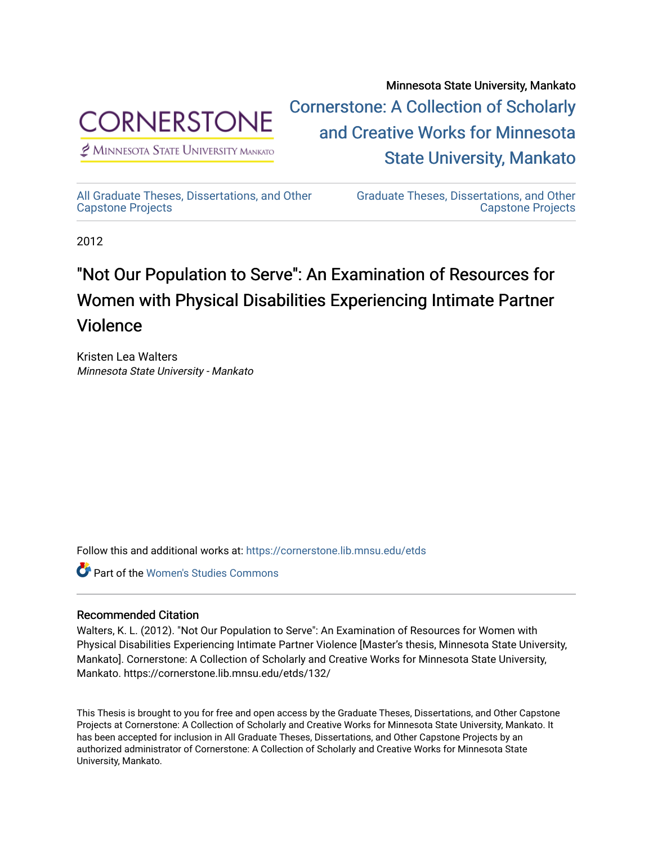

 $<sup>2</sup>$  Minnesota State University Mankato</sup>

Minnesota State University, Mankato [Cornerstone: A Collection of Scholarly](https://cornerstone.lib.mnsu.edu/)  [and Creative Works for Minnesota](https://cornerstone.lib.mnsu.edu/)  [State University, Mankato](https://cornerstone.lib.mnsu.edu/) 

[All Graduate Theses, Dissertations, and Other](https://cornerstone.lib.mnsu.edu/etds) 

[Graduate Theses, Dissertations, and Other](https://cornerstone.lib.mnsu.edu/theses_dissertations-capstone)  [Capstone Projects](https://cornerstone.lib.mnsu.edu/theses_dissertations-capstone) 

2012

[Capstone Projects](https://cornerstone.lib.mnsu.edu/etds) 

# "Not Our Population to Serve": An Examination of Resources for Women with Physical Disabilities Experiencing Intimate Partner Violence

Kristen Lea Walters Minnesota State University - Mankato

Follow this and additional works at: [https://cornerstone.lib.mnsu.edu/etds](https://cornerstone.lib.mnsu.edu/etds?utm_source=cornerstone.lib.mnsu.edu%2Fetds%2F132&utm_medium=PDF&utm_campaign=PDFCoverPages) 

**C** Part of the Women's Studies Commons

### Recommended Citation

Walters, K. L. (2012). "Not Our Population to Serve": An Examination of Resources for Women with Physical Disabilities Experiencing Intimate Partner Violence [Master's thesis, Minnesota State University, Mankato]. Cornerstone: A Collection of Scholarly and Creative Works for Minnesota State University, Mankato. https://cornerstone.lib.mnsu.edu/etds/132/

This Thesis is brought to you for free and open access by the Graduate Theses, Dissertations, and Other Capstone Projects at Cornerstone: A Collection of Scholarly and Creative Works for Minnesota State University, Mankato. It has been accepted for inclusion in All Graduate Theses, Dissertations, and Other Capstone Projects by an authorized administrator of Cornerstone: A Collection of Scholarly and Creative Works for Minnesota State University, Mankato.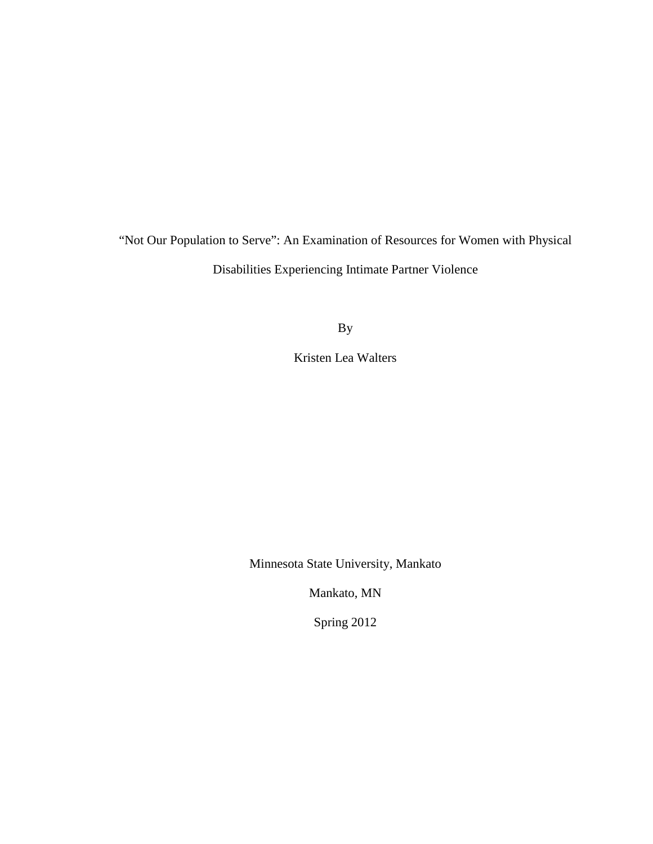"Not Our Population to Serve": An Examination of Resources for Women with Physical Disabilities Experiencing Intimate Partner Violence

By

Kristen Lea Walters

Minnesota State University, Mankato

Mankato, MN

Spring 2012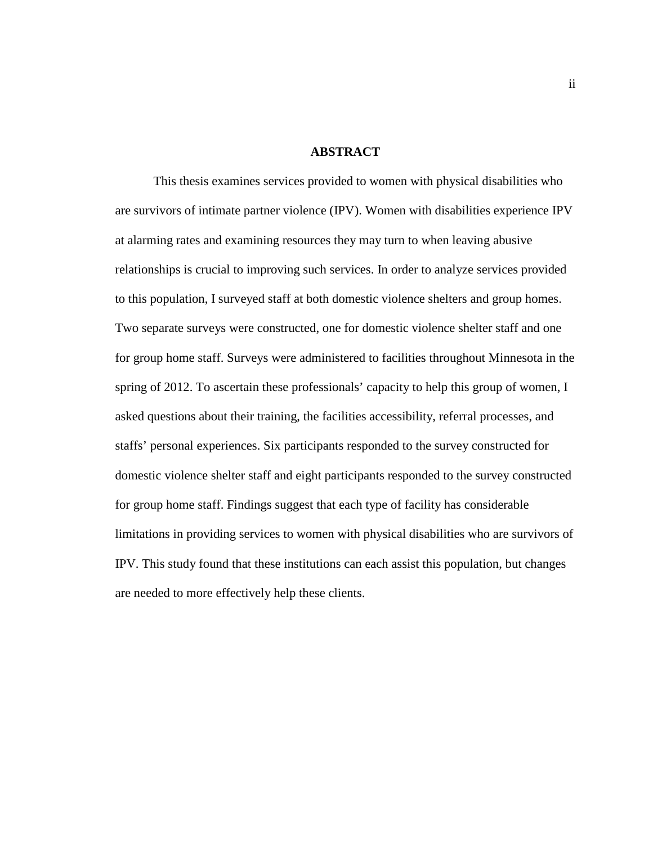#### **ABSTRACT**

This thesis examines services provided to women with physical disabilities who are survivors of intimate partner violence (IPV). Women with disabilities experience IPV at alarming rates and examining resources they may turn to when leaving abusive relationships is crucial to improving such services. In order to analyze services provided to this population, I surveyed staff at both domestic violence shelters and group homes. Two separate surveys were constructed, one for domestic violence shelter staff and one for group home staff. Surveys were administered to facilities throughout Minnesota in the spring of 2012. To ascertain these professionals' capacity to help this group of women, I asked questions about their training, the facilities accessibility, referral processes, and staffs' personal experiences. Six participants responded to the survey constructed for domestic violence shelter staff and eight participants responded to the survey constructed for group home staff. Findings suggest that each type of facility has considerable limitations in providing services to women with physical disabilities who are survivors of IPV. This study found that these institutions can each assist this population, but changes are needed to more effectively help these clients.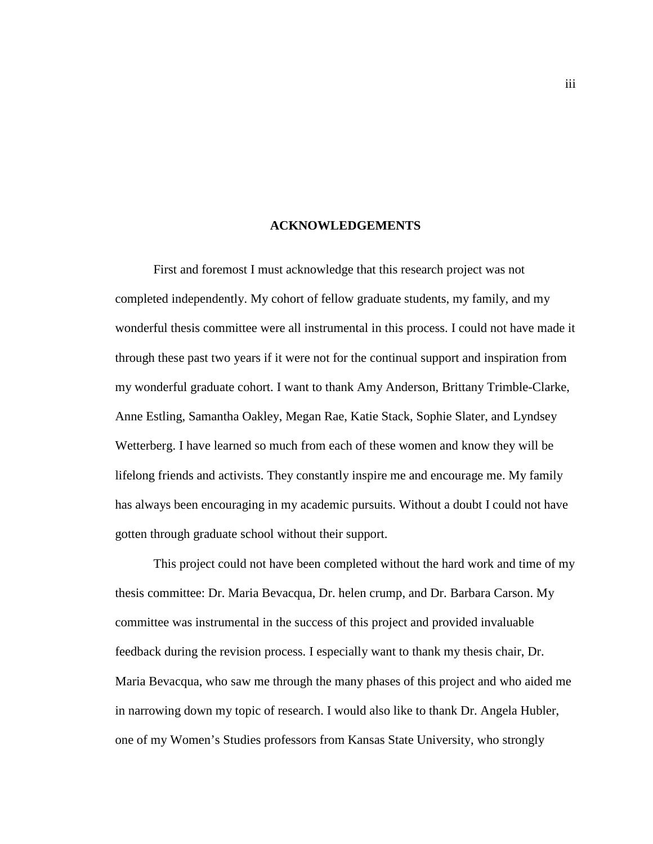#### **ACKNOWLEDGEMENTS**

First and foremost I must acknowledge that this research project was not completed independently. My cohort of fellow graduate students, my family, and my wonderful thesis committee were all instrumental in this process. I could not have made it through these past two years if it were not for the continual support and inspiration from my wonderful graduate cohort. I want to thank Amy Anderson, Brittany Trimble-Clarke, Anne Estling, Samantha Oakley, Megan Rae, Katie Stack, Sophie Slater, and Lyndsey Wetterberg. I have learned so much from each of these women and know they will be lifelong friends and activists. They constantly inspire me and encourage me. My family has always been encouraging in my academic pursuits. Without a doubt I could not have gotten through graduate school without their support.

This project could not have been completed without the hard work and time of my thesis committee: Dr. Maria Bevacqua, Dr. helen crump, and Dr. Barbara Carson. My committee was instrumental in the success of this project and provided invaluable feedback during the revision process. I especially want to thank my thesis chair, Dr. Maria Bevacqua, who saw me through the many phases of this project and who aided me in narrowing down my topic of research. I would also like to thank Dr. Angela Hubler, one of my Women's Studies professors from Kansas State University, who strongly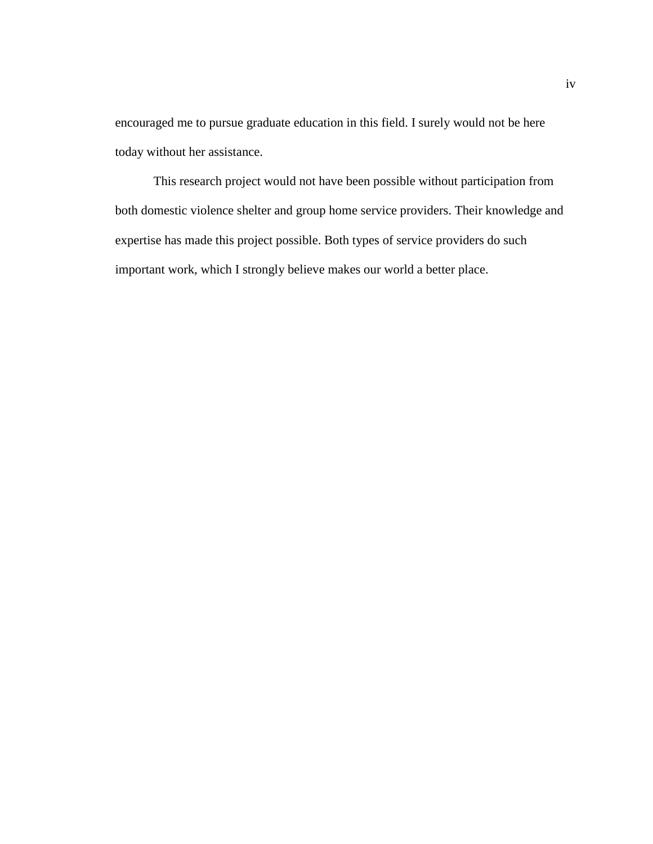encouraged me to pursue graduate education in this field. I surely would not be here today without her assistance.

This research project would not have been possible without participation from both domestic violence shelter and group home service providers. Their knowledge and expertise has made this project possible. Both types of service providers do such important work, which I strongly believe makes our world a better place.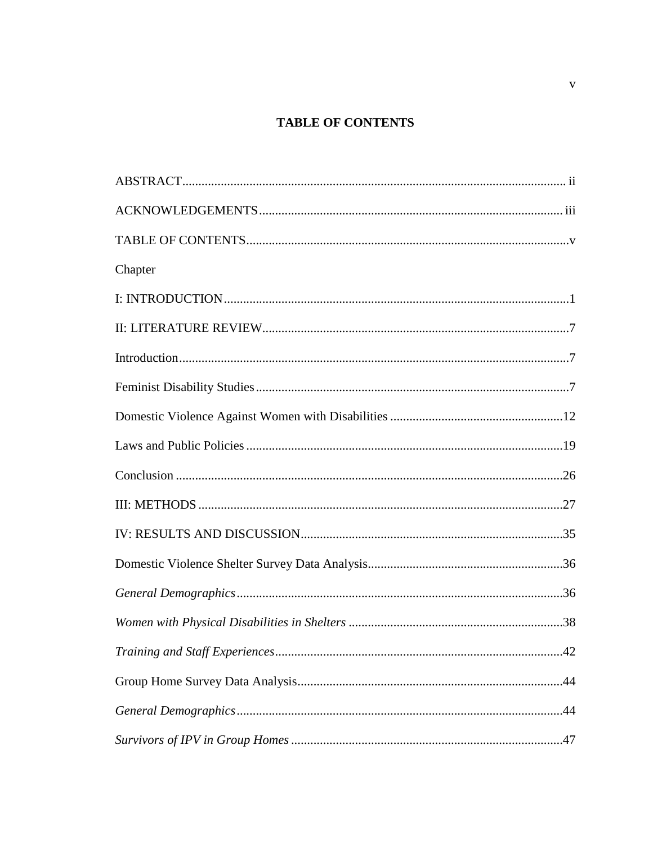# **TABLE OF CONTENTS**

| Chapter |  |
|---------|--|
|         |  |
|         |  |
|         |  |
|         |  |
|         |  |
|         |  |
|         |  |
|         |  |
|         |  |
|         |  |
|         |  |
|         |  |
|         |  |
|         |  |
|         |  |
|         |  |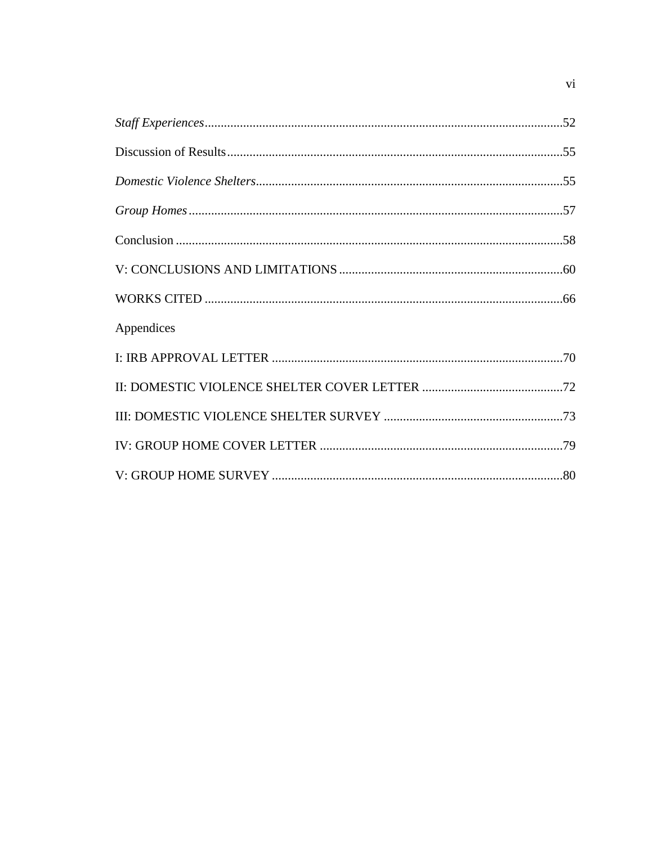| Appendices |  |
|------------|--|
|            |  |
|            |  |
|            |  |
|            |  |
|            |  |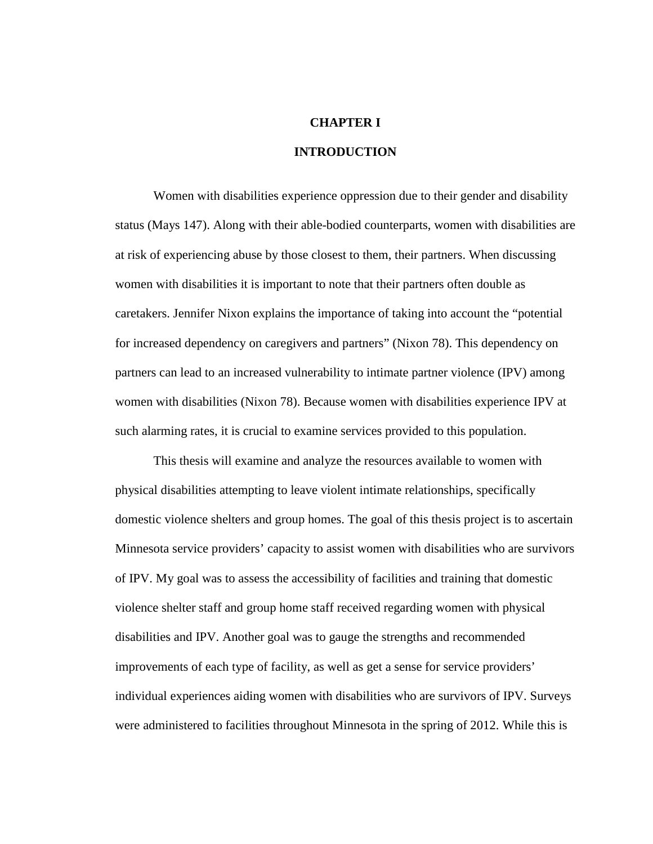# **CHAPTER I**

### **INTRODUCTION**

Women with disabilities experience oppression due to their gender and disability status (Mays 147). Along with their able-bodied counterparts, women with disabilities are at risk of experiencing abuse by those closest to them, their partners. When discussing women with disabilities it is important to note that their partners often double as caretakers. Jennifer Nixon explains the importance of taking into account the "potential for increased dependency on caregivers and partners" (Nixon 78). This dependency on partners can lead to an increased vulnerability to intimate partner violence (IPV) among women with disabilities (Nixon 78). Because women with disabilities experience IPV at such alarming rates, it is crucial to examine services provided to this population.

This thesis will examine and analyze the resources available to women with physical disabilities attempting to leave violent intimate relationships, specifically domestic violence shelters and group homes. The goal of this thesis project is to ascertain Minnesota service providers' capacity to assist women with disabilities who are survivors of IPV. My goal was to assess the accessibility of facilities and training that domestic violence shelter staff and group home staff received regarding women with physical disabilities and IPV. Another goal was to gauge the strengths and recommended improvements of each type of facility, as well as get a sense for service providers' individual experiences aiding women with disabilities who are survivors of IPV. Surveys were administered to facilities throughout Minnesota in the spring of 2012. While this is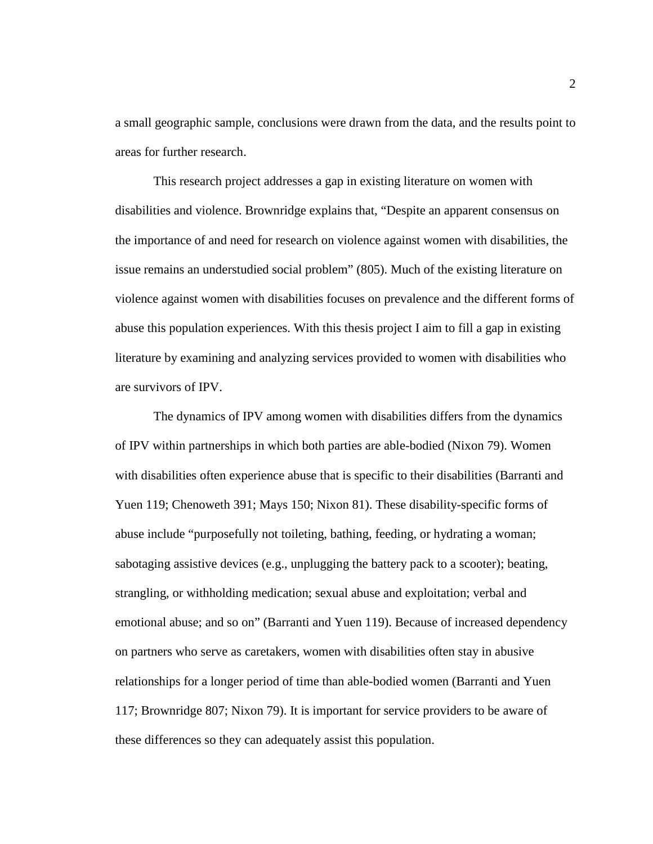a small geographic sample, conclusions were drawn from the data, and the results point to areas for further research.

This research project addresses a gap in existing literature on women with disabilities and violence. Brownridge explains that, "Despite an apparent consensus on the importance of and need for research on violence against women with disabilities, the issue remains an understudied social problem" (805). Much of the existing literature on violence against women with disabilities focuses on prevalence and the different forms of abuse this population experiences. With this thesis project I aim to fill a gap in existing literature by examining and analyzing services provided to women with disabilities who are survivors of IPV.

The dynamics of IPV among women with disabilities differs from the dynamics of IPV within partnerships in which both parties are able-bodied (Nixon 79). Women with disabilities often experience abuse that is specific to their disabilities (Barranti and Yuen 119; Chenoweth 391; Mays 150; Nixon 81). These disability-specific forms of abuse include "purposefully not toileting, bathing, feeding, or hydrating a woman; sabotaging assistive devices (e.g., unplugging the battery pack to a scooter); beating, strangling, or withholding medication; sexual abuse and exploitation; verbal and emotional abuse; and so on" (Barranti and Yuen 119). Because of increased dependency on partners who serve as caretakers, women with disabilities often stay in abusive relationships for a longer period of time than able-bodied women (Barranti and Yuen 117; Brownridge 807; Nixon 79). It is important for service providers to be aware of these differences so they can adequately assist this population.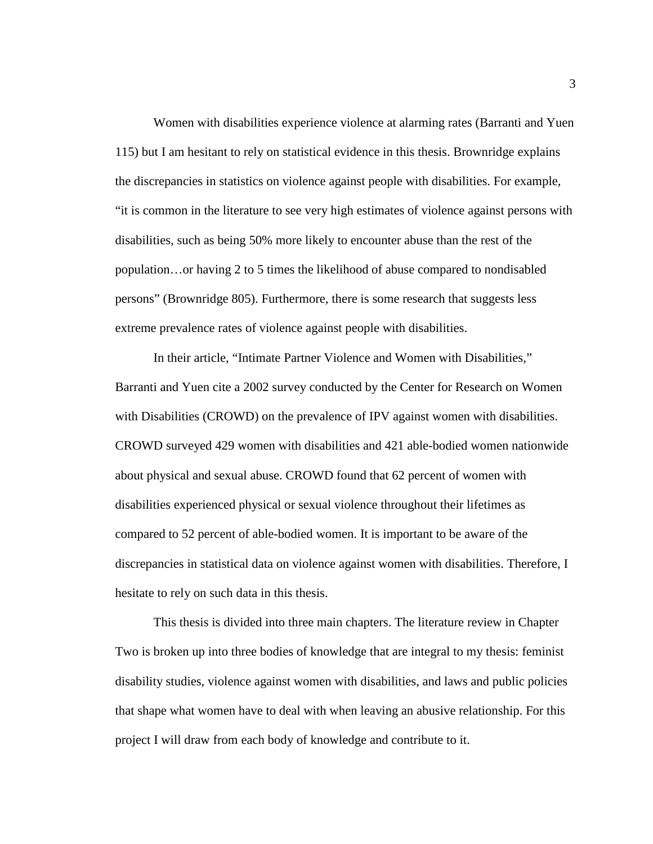Women with disabilities experience violence at alarming rates (Barranti and Yuen 115) but I am hesitant to rely on statistical evidence in this thesis. Brownridge explains the discrepancies in statistics on violence against people with disabilities. For example, "it is common in the literature to see very high estimates of violence against persons with disabilities, such as being 50% more likely to encounter abuse than the rest of the population…or having 2 to 5 times the likelihood of abuse compared to nondisabled persons" (Brownridge 805). Furthermore, there is some research that suggests less extreme prevalence rates of violence against people with disabilities.

In their article, "Intimate Partner Violence and Women with Disabilities," Barranti and Yuen cite a 2002 survey conducted by the Center for Research on Women with Disabilities (CROWD) on the prevalence of IPV against women with disabilities. CROWD surveyed 429 women with disabilities and 421 able-bodied women nationwide about physical and sexual abuse. CROWD found that 62 percent of women with disabilities experienced physical or sexual violence throughout their lifetimes as compared to 52 percent of able-bodied women. It is important to be aware of the discrepancies in statistical data on violence against women with disabilities. Therefore, I hesitate to rely on such data in this thesis.

This thesis is divided into three main chapters. The literature review in Chapter Two is broken up into three bodies of knowledge that are integral to my thesis: feminist disability studies, violence against women with disabilities, and laws and public policies that shape what women have to deal with when leaving an abusive relationship. For this project I will draw from each body of knowledge and contribute to it.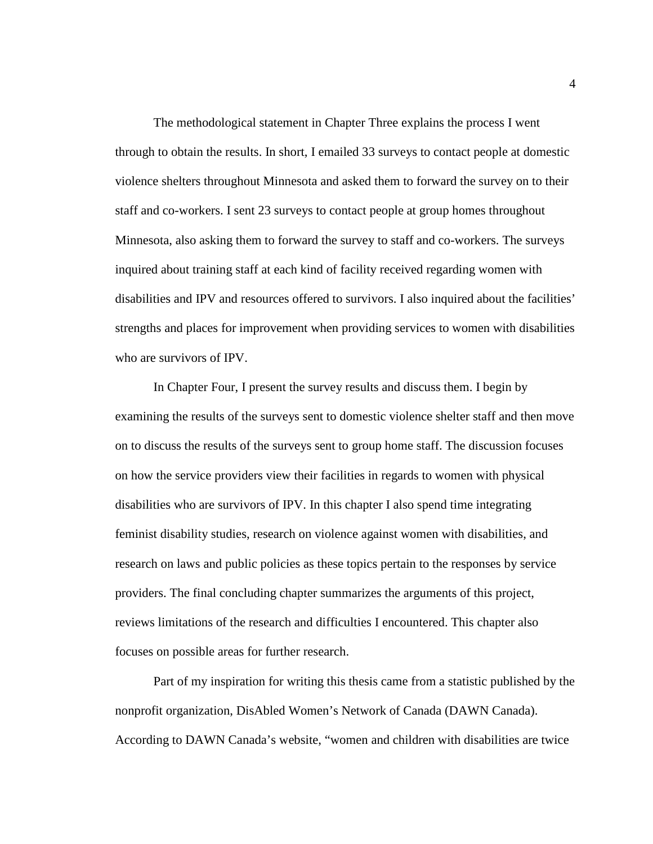The methodological statement in Chapter Three explains the process I went through to obtain the results. In short, I emailed 33 surveys to contact people at domestic violence shelters throughout Minnesota and asked them to forward the survey on to their staff and co-workers. I sent 23 surveys to contact people at group homes throughout Minnesota, also asking them to forward the survey to staff and co-workers. The surveys inquired about training staff at each kind of facility received regarding women with disabilities and IPV and resources offered to survivors. I also inquired about the facilities' strengths and places for improvement when providing services to women with disabilities who are survivors of IPV.

In Chapter Four, I present the survey results and discuss them. I begin by examining the results of the surveys sent to domestic violence shelter staff and then move on to discuss the results of the surveys sent to group home staff. The discussion focuses on how the service providers view their facilities in regards to women with physical disabilities who are survivors of IPV. In this chapter I also spend time integrating feminist disability studies, research on violence against women with disabilities, and research on laws and public policies as these topics pertain to the responses by service providers. The final concluding chapter summarizes the arguments of this project, reviews limitations of the research and difficulties I encountered. This chapter also focuses on possible areas for further research.

Part of my inspiration for writing this thesis came from a statistic published by the nonprofit organization, DisAbled Women's Network of Canada (DAWN Canada). According to DAWN Canada's website, "women and children with disabilities are twice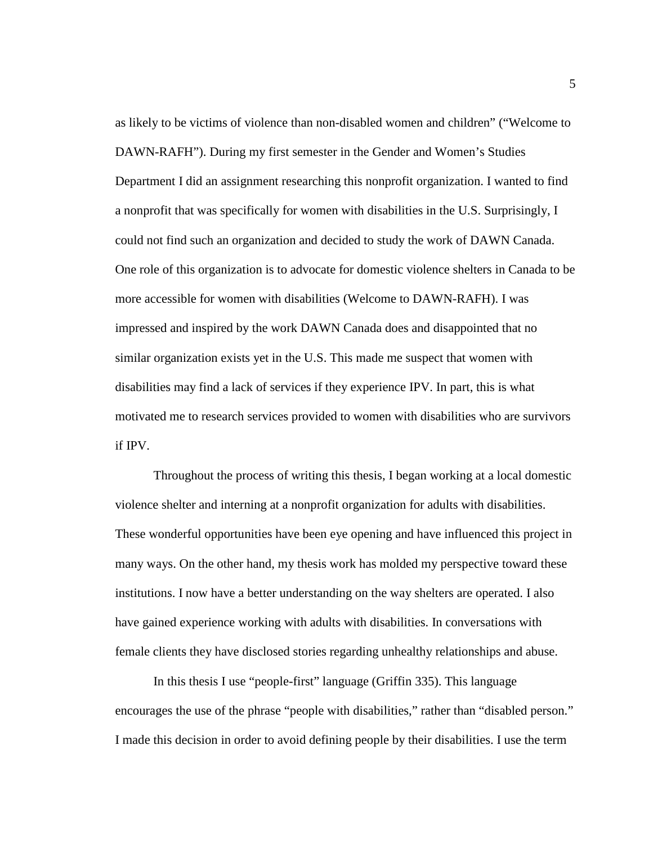as likely to be victims of violence than non-disabled women and children" ("Welcome to DAWN-RAFH"). During my first semester in the Gender and Women's Studies Department I did an assignment researching this nonprofit organization. I wanted to find a nonprofit that was specifically for women with disabilities in the U.S. Surprisingly, I could not find such an organization and decided to study the work of DAWN Canada. One role of this organization is to advocate for domestic violence shelters in Canada to be more accessible for women with disabilities (Welcome to DAWN-RAFH). I was impressed and inspired by the work DAWN Canada does and disappointed that no similar organization exists yet in the U.S. This made me suspect that women with disabilities may find a lack of services if they experience IPV. In part, this is what motivated me to research services provided to women with disabilities who are survivors if IPV.

Throughout the process of writing this thesis, I began working at a local domestic violence shelter and interning at a nonprofit organization for adults with disabilities. These wonderful opportunities have been eye opening and have influenced this project in many ways. On the other hand, my thesis work has molded my perspective toward these institutions. I now have a better understanding on the way shelters are operated. I also have gained experience working with adults with disabilities. In conversations with female clients they have disclosed stories regarding unhealthy relationships and abuse.

In this thesis I use "people-first" language (Griffin 335). This language encourages the use of the phrase "people with disabilities," rather than "disabled person." I made this decision in order to avoid defining people by their disabilities. I use the term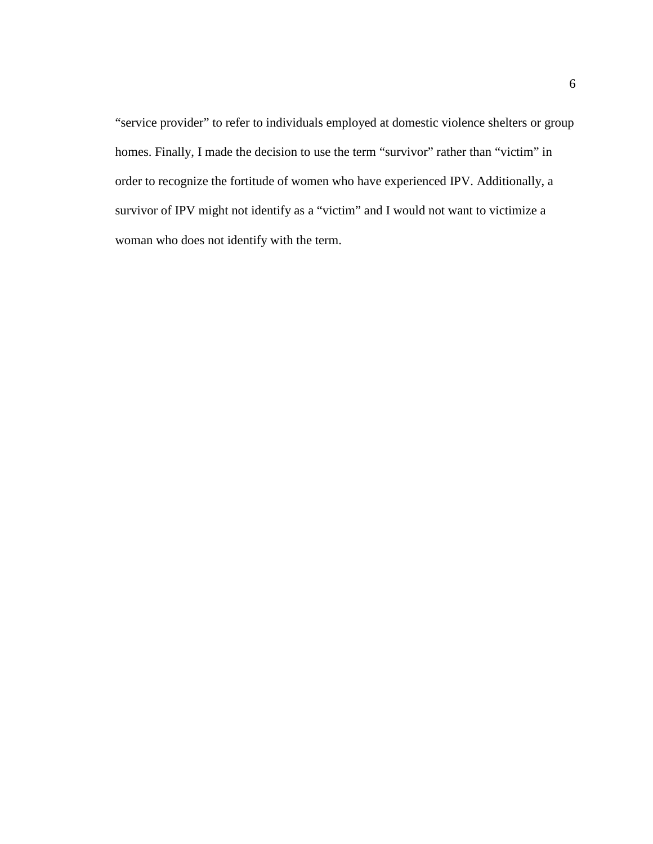"service provider" to refer to individuals employed at domestic violence shelters or group homes. Finally, I made the decision to use the term "survivor" rather than "victim" in order to recognize the fortitude of women who have experienced IPV. Additionally, a survivor of IPV might not identify as a "victim" and I would not want to victimize a woman who does not identify with the term.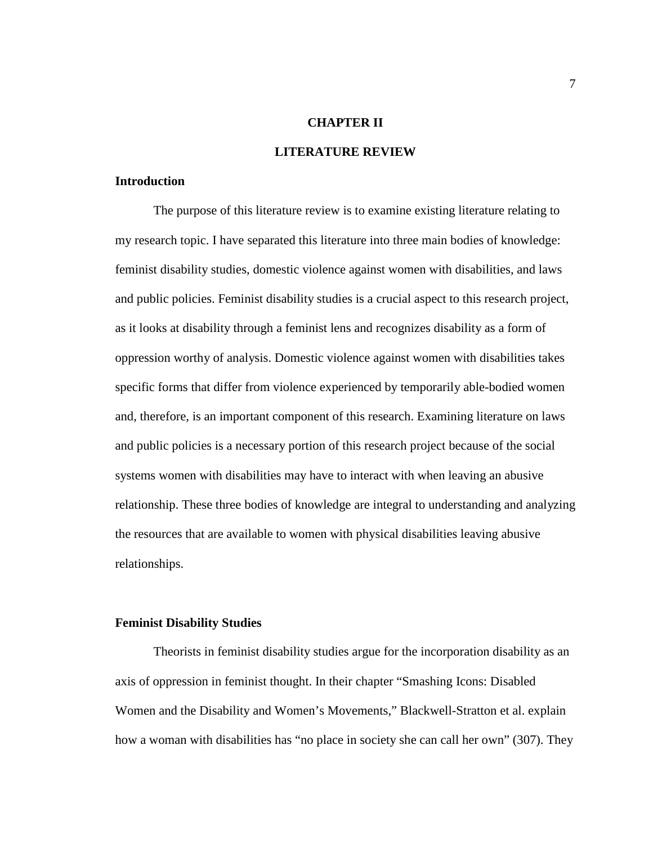# **CHAPTER II**

### **LITERATURE REVIEW**

#### **Introduction**

The purpose of this literature review is to examine existing literature relating to my research topic. I have separated this literature into three main bodies of knowledge: feminist disability studies, domestic violence against women with disabilities, and laws and public policies. Feminist disability studies is a crucial aspect to this research project, as it looks at disability through a feminist lens and recognizes disability as a form of oppression worthy of analysis. Domestic violence against women with disabilities takes specific forms that differ from violence experienced by temporarily able-bodied women and, therefore, is an important component of this research. Examining literature on laws and public policies is a necessary portion of this research project because of the social systems women with disabilities may have to interact with when leaving an abusive relationship. These three bodies of knowledge are integral to understanding and analyzing the resources that are available to women with physical disabilities leaving abusive relationships.

#### **Feminist Disability Studies**

Theorists in feminist disability studies argue for the incorporation disability as an axis of oppression in feminist thought. In their chapter "Smashing Icons: Disabled Women and the Disability and Women's Movements," Blackwell-Stratton et al. explain how a woman with disabilities has "no place in society she can call her own" (307). They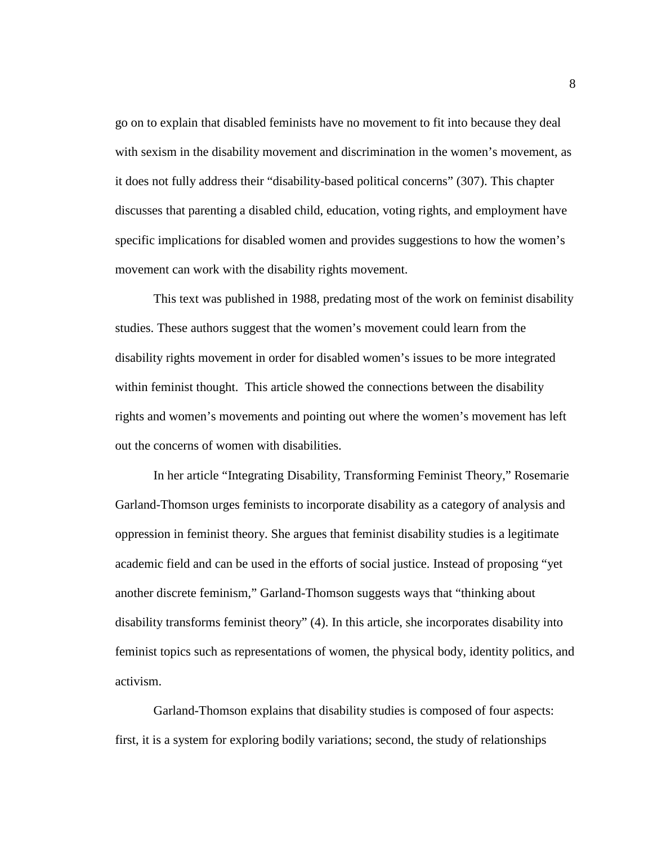go on to explain that disabled feminists have no movement to fit into because they deal with sexism in the disability movement and discrimination in the women's movement, as it does not fully address their "disability-based political concerns" (307). This chapter discusses that parenting a disabled child, education, voting rights, and employment have specific implications for disabled women and provides suggestions to how the women's movement can work with the disability rights movement.

This text was published in 1988, predating most of the work on feminist disability studies. These authors suggest that the women's movement could learn from the disability rights movement in order for disabled women's issues to be more integrated within feminist thought. This article showed the connections between the disability rights and women's movements and pointing out where the women's movement has left out the concerns of women with disabilities.

In her article "Integrating Disability, Transforming Feminist Theory," Rosemarie Garland-Thomson urges feminists to incorporate disability as a category of analysis and oppression in feminist theory. She argues that feminist disability studies is a legitimate academic field and can be used in the efforts of social justice. Instead of proposing "yet another discrete feminism," Garland-Thomson suggests ways that "thinking about disability transforms feminist theory" (4). In this article, she incorporates disability into feminist topics such as representations of women, the physical body, identity politics, and activism.

Garland-Thomson explains that disability studies is composed of four aspects: first, it is a system for exploring bodily variations; second, the study of relationships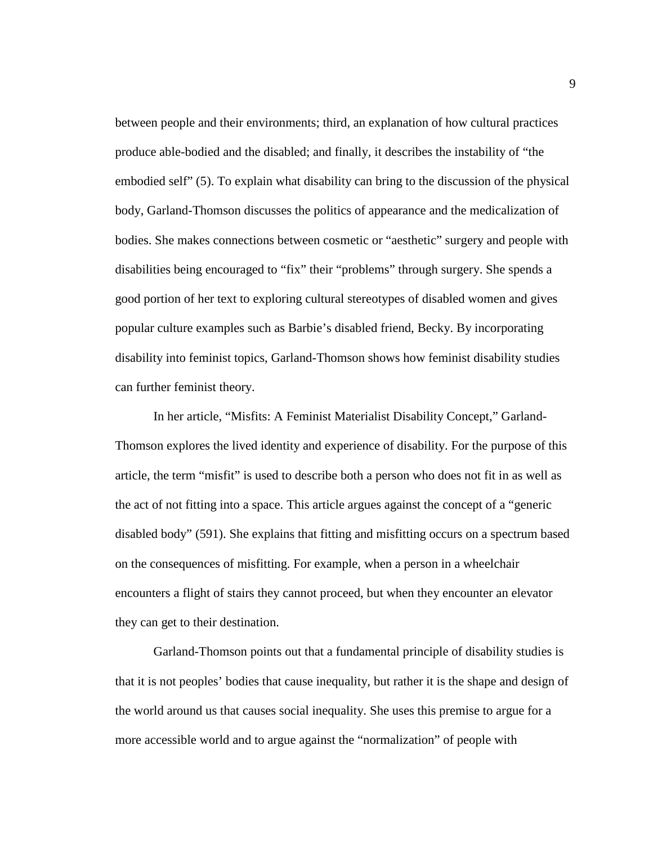between people and their environments; third, an explanation of how cultural practices produce able-bodied and the disabled; and finally, it describes the instability of "the embodied self" (5). To explain what disability can bring to the discussion of the physical body, Garland-Thomson discusses the politics of appearance and the medicalization of bodies. She makes connections between cosmetic or "aesthetic" surgery and people with disabilities being encouraged to "fix" their "problems" through surgery. She spends a good portion of her text to exploring cultural stereotypes of disabled women and gives popular culture examples such as Barbie's disabled friend, Becky. By incorporating disability into feminist topics, Garland-Thomson shows how feminist disability studies can further feminist theory.

In her article, "Misfits: A Feminist Materialist Disability Concept," Garland-Thomson explores the lived identity and experience of disability. For the purpose of this article, the term "misfit" is used to describe both a person who does not fit in as well as the act of not fitting into a space. This article argues against the concept of a "generic disabled body" (591). She explains that fitting and misfitting occurs on a spectrum based on the consequences of misfitting. For example, when a person in a wheelchair encounters a flight of stairs they cannot proceed, but when they encounter an elevator they can get to their destination.

Garland-Thomson points out that a fundamental principle of disability studies is that it is not peoples' bodies that cause inequality, but rather it is the shape and design of the world around us that causes social inequality. She uses this premise to argue for a more accessible world and to argue against the "normalization" of people with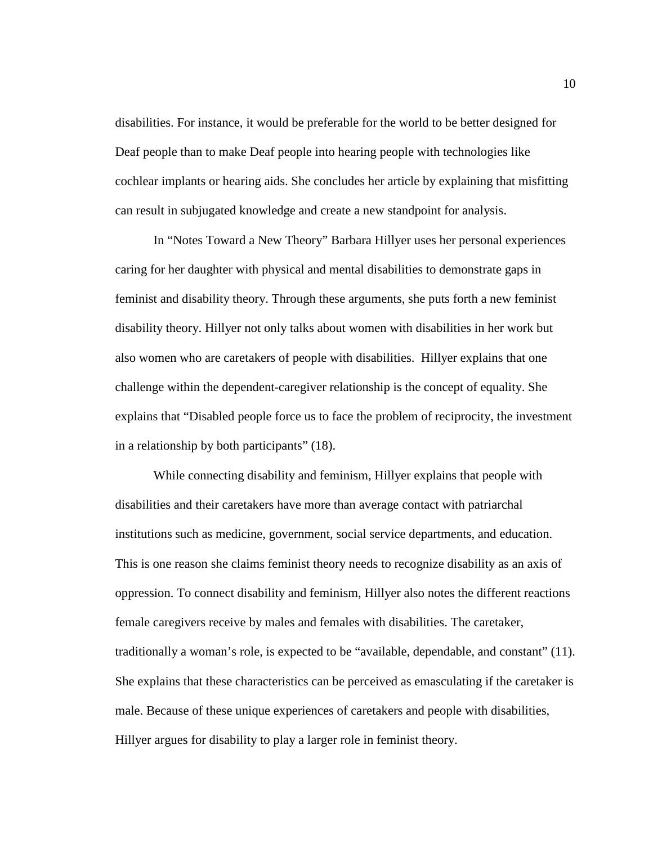disabilities. For instance, it would be preferable for the world to be better designed for Deaf people than to make Deaf people into hearing people with technologies like cochlear implants or hearing aids. She concludes her article by explaining that misfitting can result in subjugated knowledge and create a new standpoint for analysis.

In "Notes Toward a New Theory" Barbara Hillyer uses her personal experiences caring for her daughter with physical and mental disabilities to demonstrate gaps in feminist and disability theory. Through these arguments, she puts forth a new feminist disability theory. Hillyer not only talks about women with disabilities in her work but also women who are caretakers of people with disabilities. Hillyer explains that one challenge within the dependent-caregiver relationship is the concept of equality. She explains that "Disabled people force us to face the problem of reciprocity, the investment in a relationship by both participants" (18).

While connecting disability and feminism, Hillyer explains that people with disabilities and their caretakers have more than average contact with patriarchal institutions such as medicine, government, social service departments, and education. This is one reason she claims feminist theory needs to recognize disability as an axis of oppression. To connect disability and feminism, Hillyer also notes the different reactions female caregivers receive by males and females with disabilities. The caretaker, traditionally a woman's role, is expected to be "available, dependable, and constant" (11). She explains that these characteristics can be perceived as emasculating if the caretaker is male. Because of these unique experiences of caretakers and people with disabilities, Hillyer argues for disability to play a larger role in feminist theory.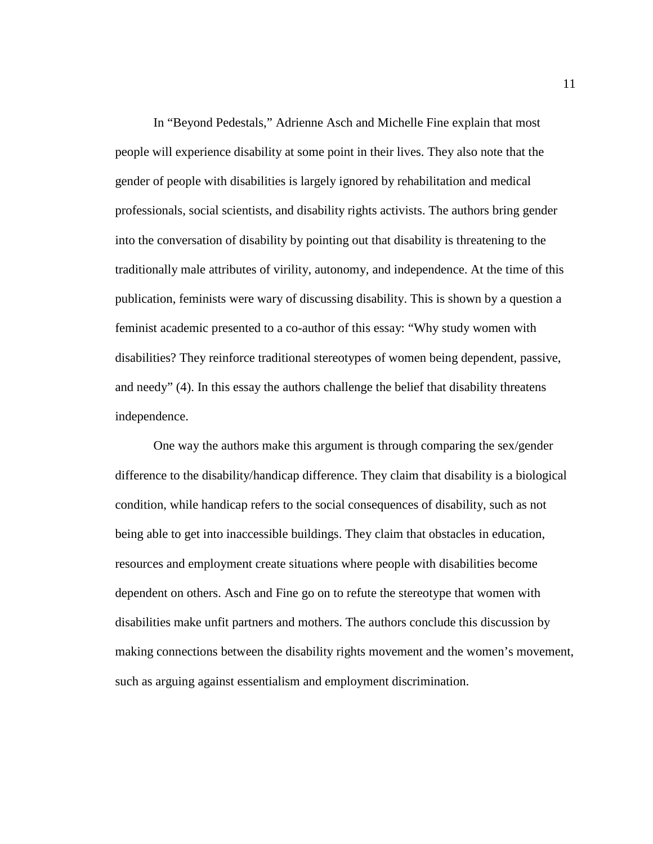In "Beyond Pedestals," Adrienne Asch and Michelle Fine explain that most people will experience disability at some point in their lives. They also note that the gender of people with disabilities is largely ignored by rehabilitation and medical professionals, social scientists, and disability rights activists. The authors bring gender into the conversation of disability by pointing out that disability is threatening to the traditionally male attributes of virility, autonomy, and independence. At the time of this publication, feminists were wary of discussing disability. This is shown by a question a feminist academic presented to a co-author of this essay: "Why study women with disabilities? They reinforce traditional stereotypes of women being dependent, passive, and needy" (4). In this essay the authors challenge the belief that disability threatens independence.

One way the authors make this argument is through comparing the sex/gender difference to the disability/handicap difference. They claim that disability is a biological condition, while handicap refers to the social consequences of disability, such as not being able to get into inaccessible buildings. They claim that obstacles in education, resources and employment create situations where people with disabilities become dependent on others. Asch and Fine go on to refute the stereotype that women with disabilities make unfit partners and mothers. The authors conclude this discussion by making connections between the disability rights movement and the women's movement, such as arguing against essentialism and employment discrimination.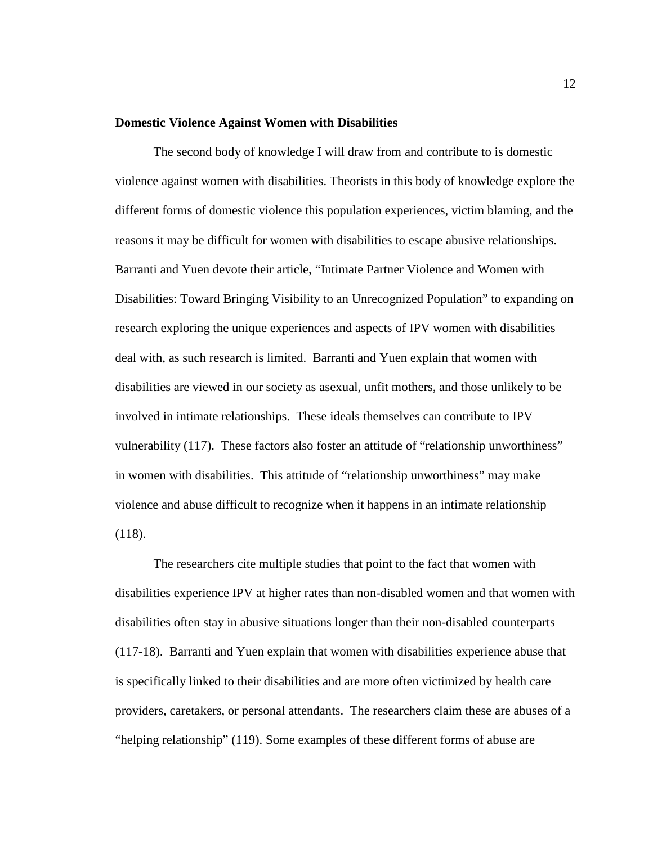#### **Domestic Violence Against Women with Disabilities**

The second body of knowledge I will draw from and contribute to is domestic violence against women with disabilities. Theorists in this body of knowledge explore the different forms of domestic violence this population experiences, victim blaming, and the reasons it may be difficult for women with disabilities to escape abusive relationships. Barranti and Yuen devote their article, "Intimate Partner Violence and Women with Disabilities: Toward Bringing Visibility to an Unrecognized Population" to expanding on research exploring the unique experiences and aspects of IPV women with disabilities deal with, as such research is limited. Barranti and Yuen explain that women with disabilities are viewed in our society as asexual, unfit mothers, and those unlikely to be involved in intimate relationships. These ideals themselves can contribute to IPV vulnerability (117). These factors also foster an attitude of "relationship unworthiness" in women with disabilities. This attitude of "relationship unworthiness" may make violence and abuse difficult to recognize when it happens in an intimate relationship (118).

The researchers cite multiple studies that point to the fact that women with disabilities experience IPV at higher rates than non-disabled women and that women with disabilities often stay in abusive situations longer than their non-disabled counterparts (117-18). Barranti and Yuen explain that women with disabilities experience abuse that is specifically linked to their disabilities and are more often victimized by health care providers, caretakers, or personal attendants. The researchers claim these are abuses of a "helping relationship" (119). Some examples of these different forms of abuse are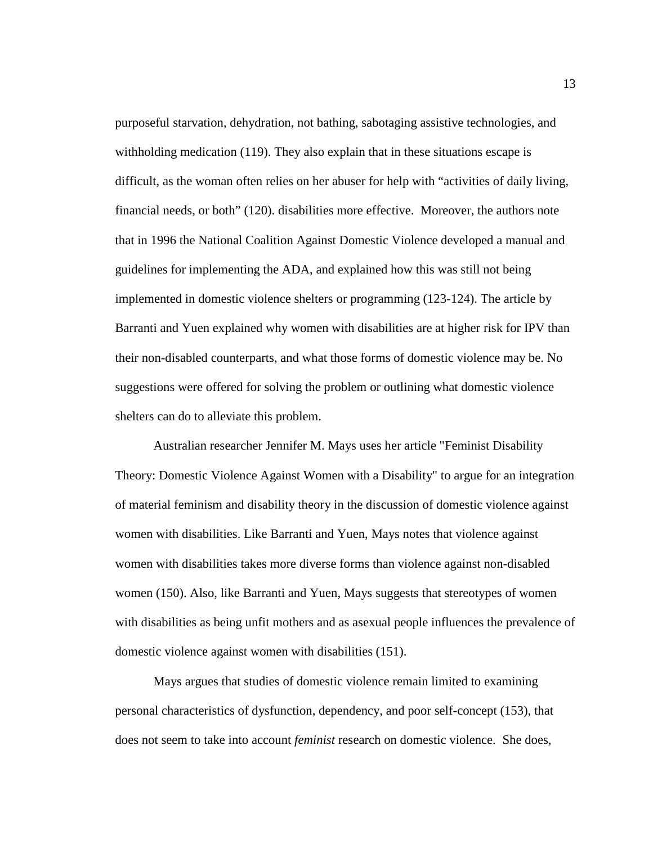purposeful starvation, dehydration, not bathing, sabotaging assistive technologies, and withholding medication (119). They also explain that in these situations escape is difficult, as the woman often relies on her abuser for help with "activities of daily living, financial needs, or both" (120). disabilities more effective. Moreover, the authors note that in 1996 the National Coalition Against Domestic Violence developed a manual and guidelines for implementing the ADA, and explained how this was still not being implemented in domestic violence shelters or programming (123-124). The article by Barranti and Yuen explained why women with disabilities are at higher risk for IPV than their non-disabled counterparts, and what those forms of domestic violence may be. No suggestions were offered for solving the problem or outlining what domestic violence shelters can do to alleviate this problem.

Australian researcher Jennifer M. Mays uses her article "Feminist Disability Theory: Domestic Violence Against Women with a Disability" to argue for an integration of material feminism and disability theory in the discussion of domestic violence against women with disabilities. Like Barranti and Yuen, Mays notes that violence against women with disabilities takes more diverse forms than violence against non-disabled women (150). Also, like Barranti and Yuen, Mays suggests that stereotypes of women with disabilities as being unfit mothers and as asexual people influences the prevalence of domestic violence against women with disabilities (151).

Mays argues that studies of domestic violence remain limited to examining personal characteristics of dysfunction, dependency, and poor self-concept (153), that does not seem to take into account *feminist* research on domestic violence. She does,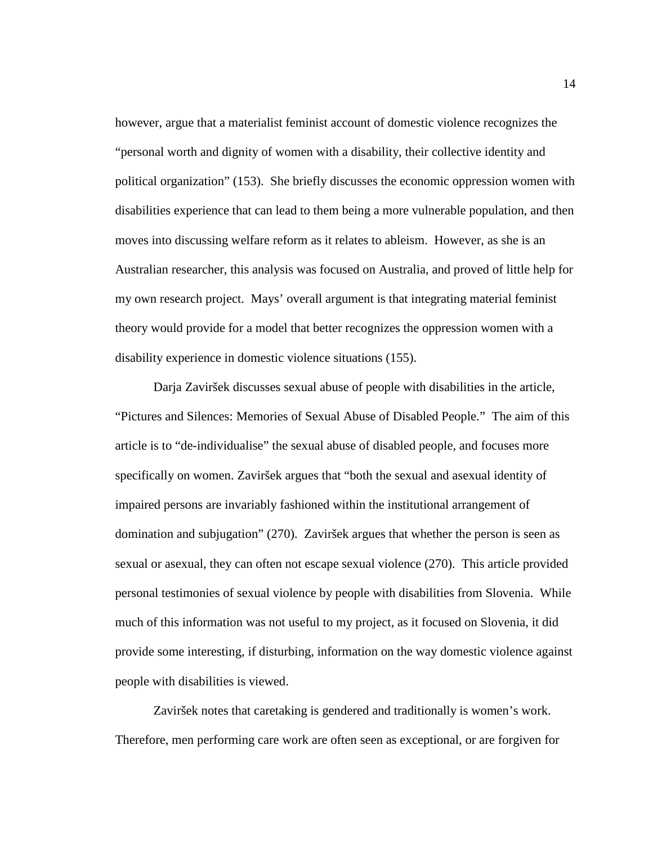however, argue that a materialist feminist account of domestic violence recognizes the "personal worth and dignity of women with a disability, their collective identity and political organization" (153). She briefly discusses the economic oppression women with disabilities experience that can lead to them being a more vulnerable population, and then moves into discussing welfare reform as it relates to ableism. However, as she is an Australian researcher, this analysis was focused on Australia, and proved of little help for my own research project. Mays' overall argument is that integrating material feminist theory would provide for a model that better recognizes the oppression women with a disability experience in domestic violence situations (155).

Darja Zaviršek discusses sexual abuse of people with disabilities in the article, "Pictures and Silences: Memories of Sexual Abuse of Disabled People." The aim of this article is to "de-individualise" the sexual abuse of disabled people, and focuses more specifically on women. Zaviršek argues that "both the sexual and asexual identity of impaired persons are invariably fashioned within the institutional arrangement of domination and subjugation" (270). Zaviršek argues that whether the person is seen as sexual or asexual, they can often not escape sexual violence (270). This article provided personal testimonies of sexual violence by people with disabilities from Slovenia. While much of this information was not useful to my project, as it focused on Slovenia, it did provide some interesting, if disturbing, information on the way domestic violence against people with disabilities is viewed.

Zaviršek notes that caretaking is gendered and traditionally is women's work. Therefore, men performing care work are often seen as exceptional, or are forgiven for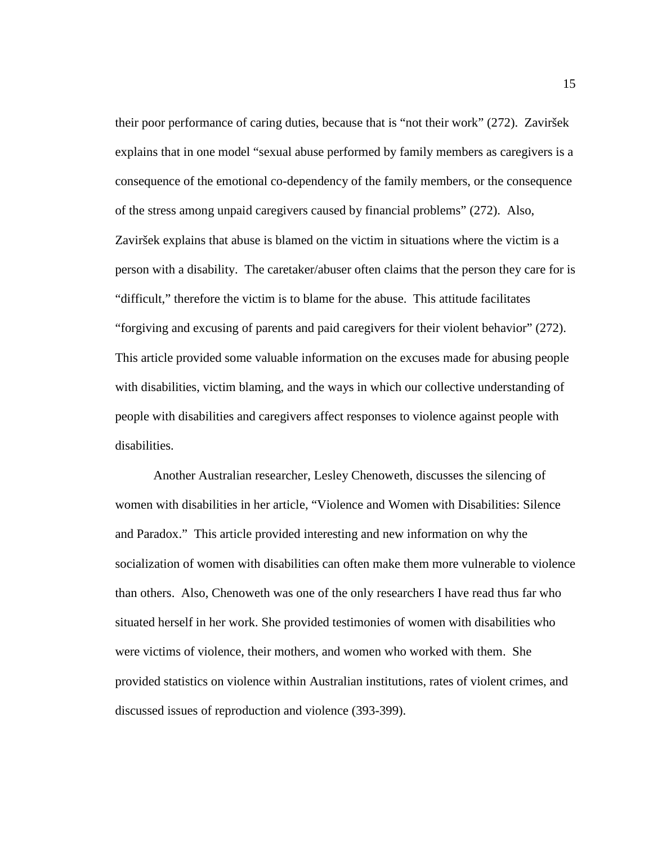their poor performance of caring duties, because that is "not their work" (272). Zaviršek explains that in one model "sexual abuse performed by family members as caregivers is a consequence of the emotional co-dependency of the family members, or the consequence of the stress among unpaid caregivers caused by financial problems" (272). Also, Zaviršek explains that abuse is blamed on the victim in situations where the victim is a person with a disability. The caretaker/abuser often claims that the person they care for is "difficult," therefore the victim is to blame for the abuse. This attitude facilitates "forgiving and excusing of parents and paid caregivers for their violent behavior" (272). This article provided some valuable information on the excuses made for abusing people with disabilities, victim blaming, and the ways in which our collective understanding of people with disabilities and caregivers affect responses to violence against people with disabilities.

Another Australian researcher, Lesley Chenoweth, discusses the silencing of women with disabilities in her article, "Violence and Women with Disabilities: Silence and Paradox." This article provided interesting and new information on why the socialization of women with disabilities can often make them more vulnerable to violence than others. Also, Chenoweth was one of the only researchers I have read thus far who situated herself in her work. She provided testimonies of women with disabilities who were victims of violence, their mothers, and women who worked with them. She provided statistics on violence within Australian institutions, rates of violent crimes, and discussed issues of reproduction and violence (393-399).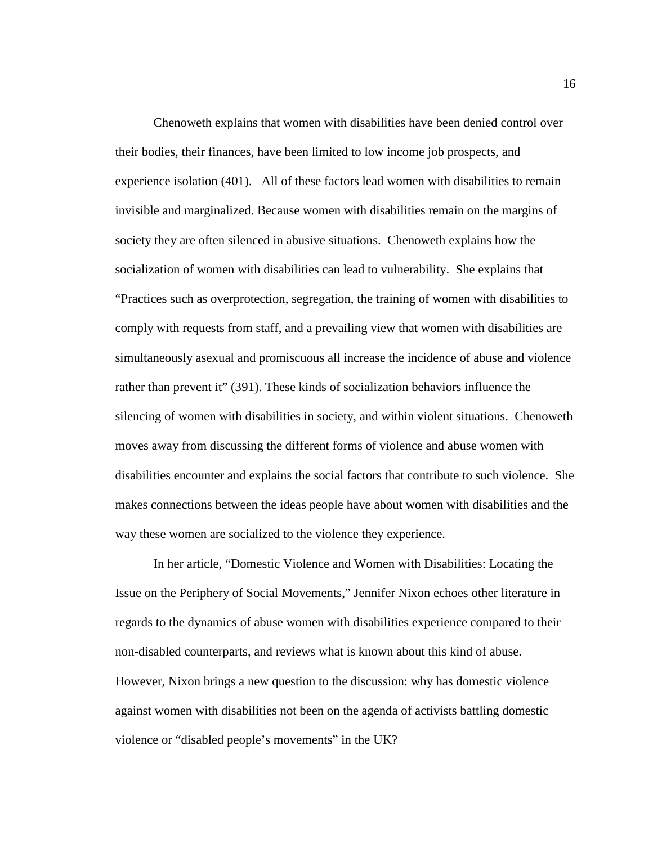Chenoweth explains that women with disabilities have been denied control over their bodies, their finances, have been limited to low income job prospects, and experience isolation (401). All of these factors lead women with disabilities to remain invisible and marginalized. Because women with disabilities remain on the margins of society they are often silenced in abusive situations. Chenoweth explains how the socialization of women with disabilities can lead to vulnerability. She explains that "Practices such as overprotection, segregation, the training of women with disabilities to comply with requests from staff, and a prevailing view that women with disabilities are simultaneously asexual and promiscuous all increase the incidence of abuse and violence rather than prevent it" (391). These kinds of socialization behaviors influence the silencing of women with disabilities in society, and within violent situations. Chenoweth moves away from discussing the different forms of violence and abuse women with disabilities encounter and explains the social factors that contribute to such violence. She makes connections between the ideas people have about women with disabilities and the way these women are socialized to the violence they experience.

In her article, "Domestic Violence and Women with Disabilities: Locating the Issue on the Periphery of Social Movements," Jennifer Nixon echoes other literature in regards to the dynamics of abuse women with disabilities experience compared to their non-disabled counterparts, and reviews what is known about this kind of abuse. However, Nixon brings a new question to the discussion: why has domestic violence against women with disabilities not been on the agenda of activists battling domestic violence or "disabled people's movements" in the UK?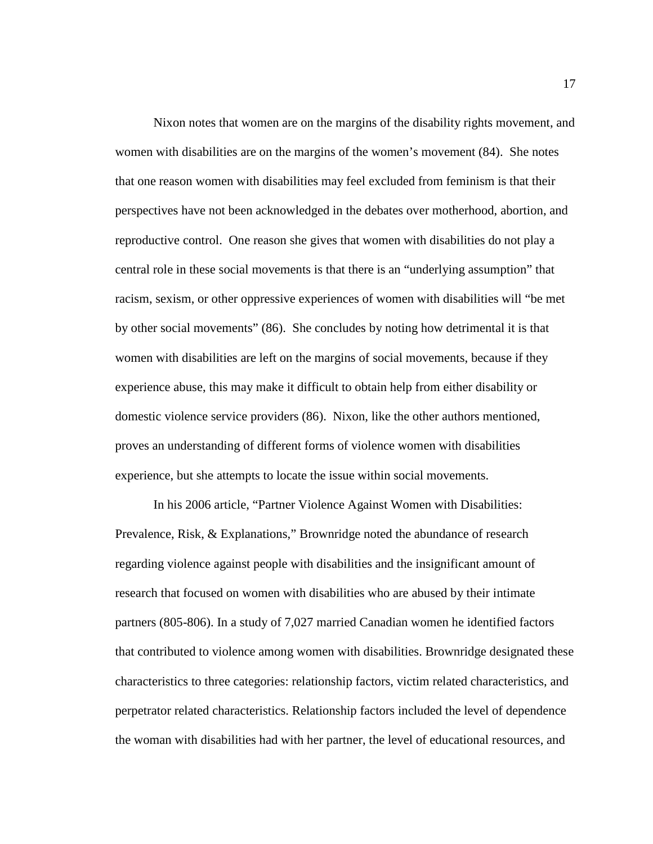Nixon notes that women are on the margins of the disability rights movement, and women with disabilities are on the margins of the women's movement (84). She notes that one reason women with disabilities may feel excluded from feminism is that their perspectives have not been acknowledged in the debates over motherhood, abortion, and reproductive control. One reason she gives that women with disabilities do not play a central role in these social movements is that there is an "underlying assumption" that racism, sexism, or other oppressive experiences of women with disabilities will "be met by other social movements" (86). She concludes by noting how detrimental it is that women with disabilities are left on the margins of social movements, because if they experience abuse, this may make it difficult to obtain help from either disability or domestic violence service providers (86). Nixon, like the other authors mentioned, proves an understanding of different forms of violence women with disabilities experience, but she attempts to locate the issue within social movements.

In his 2006 article, "Partner Violence Against Women with Disabilities: Prevalence, Risk, & Explanations," Brownridge noted the abundance of research regarding violence against people with disabilities and the insignificant amount of research that focused on women with disabilities who are abused by their intimate partners (805-806). In a study of 7,027 married Canadian women he identified factors that contributed to violence among women with disabilities. Brownridge designated these characteristics to three categories: relationship factors, victim related characteristics, and perpetrator related characteristics. Relationship factors included the level of dependence the woman with disabilities had with her partner, the level of educational resources, and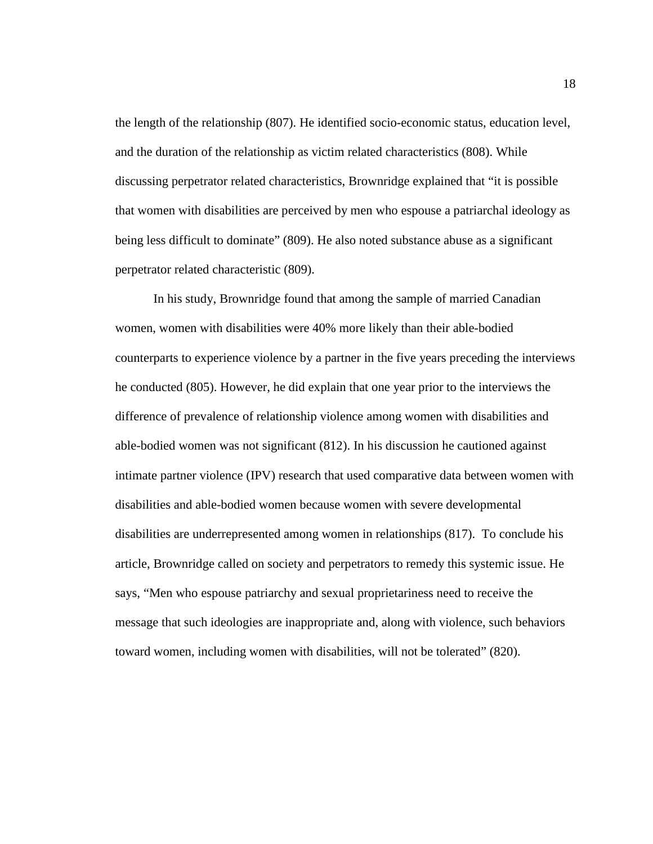the length of the relationship (807). He identified socio-economic status, education level, and the duration of the relationship as victim related characteristics (808). While discussing perpetrator related characteristics, Brownridge explained that "it is possible that women with disabilities are perceived by men who espouse a patriarchal ideology as being less difficult to dominate" (809). He also noted substance abuse as a significant perpetrator related characteristic (809).

In his study, Brownridge found that among the sample of married Canadian women, women with disabilities were 40% more likely than their able-bodied counterparts to experience violence by a partner in the five years preceding the interviews he conducted (805). However, he did explain that one year prior to the interviews the difference of prevalence of relationship violence among women with disabilities and able-bodied women was not significant (812). In his discussion he cautioned against intimate partner violence (IPV) research that used comparative data between women with disabilities and able-bodied women because women with severe developmental disabilities are underrepresented among women in relationships (817). To conclude his article, Brownridge called on society and perpetrators to remedy this systemic issue. He says, "Men who espouse patriarchy and sexual proprietariness need to receive the message that such ideologies are inappropriate and, along with violence, such behaviors toward women, including women with disabilities, will not be tolerated" (820).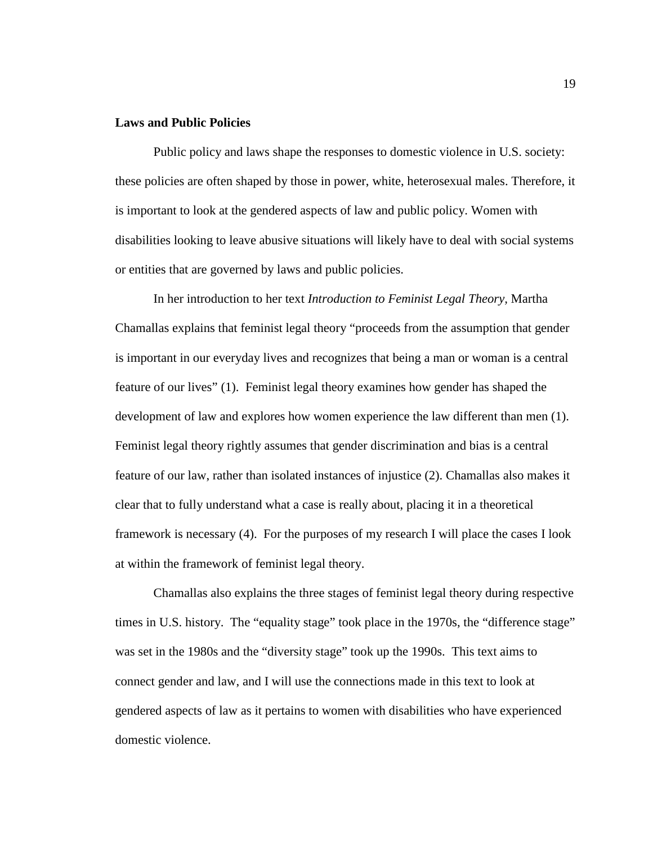# **Laws and Public Policies**

Public policy and laws shape the responses to domestic violence in U.S. society: these policies are often shaped by those in power, white, heterosexual males. Therefore, it is important to look at the gendered aspects of law and public policy. Women with disabilities looking to leave abusive situations will likely have to deal with social systems or entities that are governed by laws and public policies.

In her introduction to her text *Introduction to Feminist Legal Theory,* Martha Chamallas explains that feminist legal theory "proceeds from the assumption that gender is important in our everyday lives and recognizes that being a man or woman is a central feature of our lives" (1). Feminist legal theory examines how gender has shaped the development of law and explores how women experience the law different than men (1). Feminist legal theory rightly assumes that gender discrimination and bias is a central feature of our law, rather than isolated instances of injustice (2). Chamallas also makes it clear that to fully understand what a case is really about, placing it in a theoretical framework is necessary (4). For the purposes of my research I will place the cases I look at within the framework of feminist legal theory.

Chamallas also explains the three stages of feminist legal theory during respective times in U.S. history. The "equality stage" took place in the 1970s, the "difference stage" was set in the 1980s and the "diversity stage" took up the 1990s. This text aims to connect gender and law, and I will use the connections made in this text to look at gendered aspects of law as it pertains to women with disabilities who have experienced domestic violence.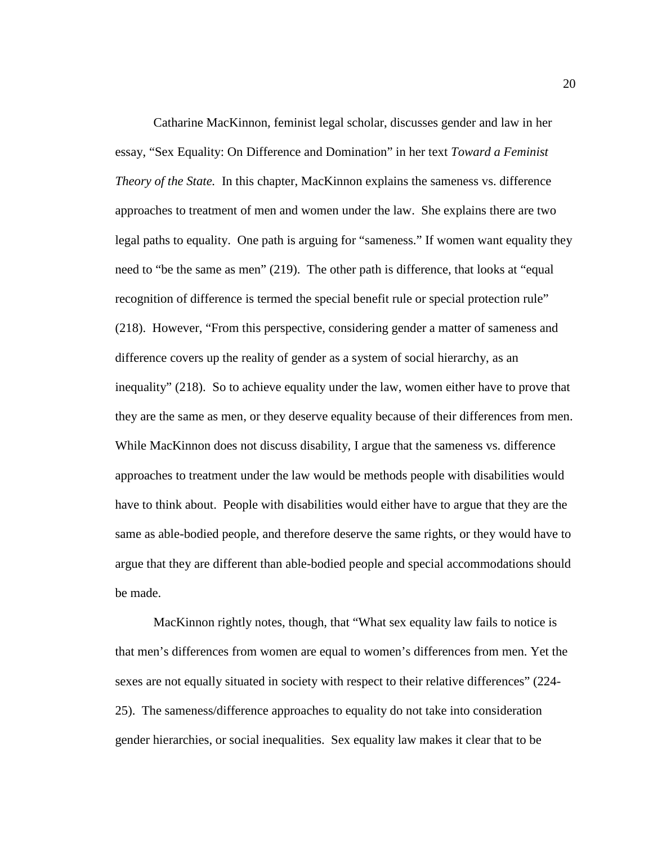Catharine MacKinnon, feminist legal scholar, discusses gender and law in her essay, "Sex Equality: On Difference and Domination" in her text *Toward a Feminist Theory of the State.* In this chapter, MacKinnon explains the sameness vs. difference approaches to treatment of men and women under the law. She explains there are two legal paths to equality. One path is arguing for "sameness." If women want equality they need to "be the same as men" (219). The other path is difference, that looks at "equal recognition of difference is termed the special benefit rule or special protection rule" (218). However, "From this perspective, considering gender a matter of sameness and difference covers up the reality of gender as a system of social hierarchy, as an inequality" (218). So to achieve equality under the law, women either have to prove that they are the same as men, or they deserve equality because of their differences from men. While MacKinnon does not discuss disability, I argue that the sameness vs. difference approaches to treatment under the law would be methods people with disabilities would have to think about. People with disabilities would either have to argue that they are the same as able-bodied people, and therefore deserve the same rights, or they would have to argue that they are different than able-bodied people and special accommodations should be made.

MacKinnon rightly notes, though, that "What sex equality law fails to notice is that men's differences from women are equal to women's differences from men. Yet the sexes are not equally situated in society with respect to their relative differences" (224- 25). The sameness/difference approaches to equality do not take into consideration gender hierarchies, or social inequalities. Sex equality law makes it clear that to be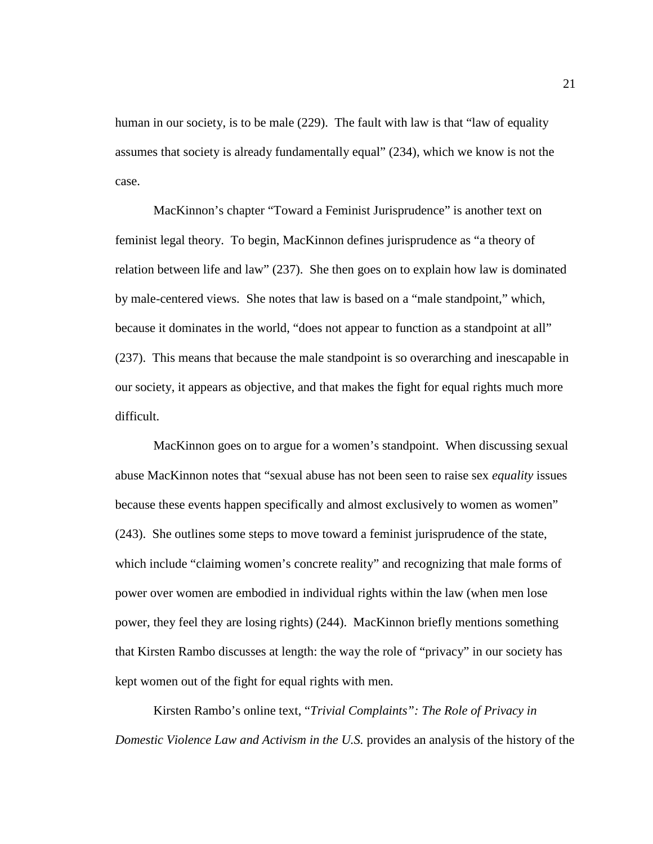human in our society, is to be male (229). The fault with law is that "law of equality assumes that society is already fundamentally equal" (234), which we know is not the case.

MacKinnon's chapter "Toward a Feminist Jurisprudence" is another text on feminist legal theory. To begin, MacKinnon defines jurisprudence as "a theory of relation between life and law" (237). She then goes on to explain how law is dominated by male-centered views. She notes that law is based on a "male standpoint," which, because it dominates in the world, "does not appear to function as a standpoint at all" (237). This means that because the male standpoint is so overarching and inescapable in our society, it appears as objective, and that makes the fight for equal rights much more difficult.

MacKinnon goes on to argue for a women's standpoint. When discussing sexual abuse MacKinnon notes that "sexual abuse has not been seen to raise sex *equality* issues because these events happen specifically and almost exclusively to women as women" (243). She outlines some steps to move toward a feminist jurisprudence of the state, which include "claiming women's concrete reality" and recognizing that male forms of power over women are embodied in individual rights within the law (when men lose power, they feel they are losing rights) (244). MacKinnon briefly mentions something that Kirsten Rambo discusses at length: the way the role of "privacy" in our society has kept women out of the fight for equal rights with men.

Kirsten Rambo's online text, "*Trivial Complaints": The Role of Privacy in Domestic Violence Law and Activism in the U.S.* provides an analysis of the history of the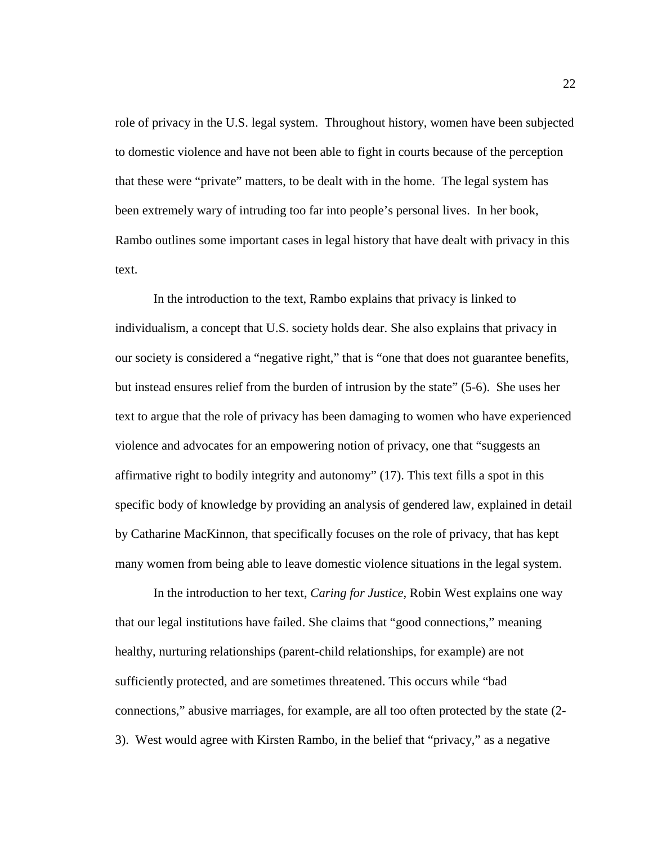role of privacy in the U.S. legal system. Throughout history, women have been subjected to domestic violence and have not been able to fight in courts because of the perception that these were "private" matters, to be dealt with in the home. The legal system has been extremely wary of intruding too far into people's personal lives. In her book, Rambo outlines some important cases in legal history that have dealt with privacy in this text.

In the introduction to the text, Rambo explains that privacy is linked to individualism, a concept that U.S. society holds dear. She also explains that privacy in our society is considered a "negative right," that is "one that does not guarantee benefits, but instead ensures relief from the burden of intrusion by the state" (5-6). She uses her text to argue that the role of privacy has been damaging to women who have experienced violence and advocates for an empowering notion of privacy, one that "suggests an affirmative right to bodily integrity and autonomy" (17). This text fills a spot in this specific body of knowledge by providing an analysis of gendered law, explained in detail by Catharine MacKinnon, that specifically focuses on the role of privacy, that has kept many women from being able to leave domestic violence situations in the legal system.

In the introduction to her text, *Caring for Justice,* Robin West explains one way that our legal institutions have failed. She claims that "good connections," meaning healthy, nurturing relationships (parent-child relationships, for example) are not sufficiently protected, and are sometimes threatened. This occurs while "bad connections," abusive marriages, for example, are all too often protected by the state (2- 3). West would agree with Kirsten Rambo, in the belief that "privacy," as a negative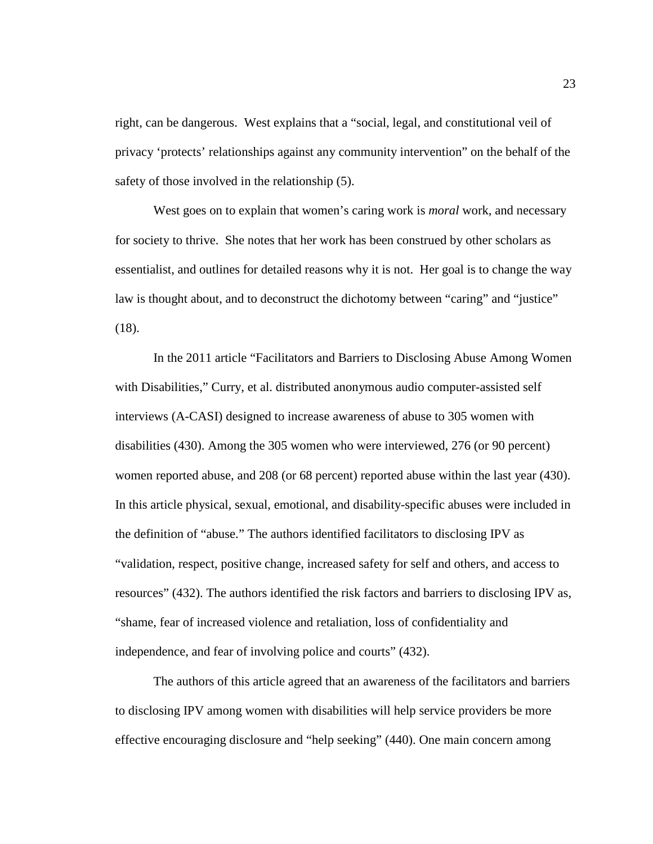right, can be dangerous. West explains that a "social, legal, and constitutional veil of privacy 'protects' relationships against any community intervention" on the behalf of the safety of those involved in the relationship (5).

West goes on to explain that women's caring work is *moral* work, and necessary for society to thrive. She notes that her work has been construed by other scholars as essentialist, and outlines for detailed reasons why it is not. Her goal is to change the way law is thought about, and to deconstruct the dichotomy between "caring" and "justice" (18).

In the 2011 article "Facilitators and Barriers to Disclosing Abuse Among Women with Disabilities," Curry, et al. distributed anonymous audio computer-assisted self interviews (A-CASI) designed to increase awareness of abuse to 305 women with disabilities (430). Among the 305 women who were interviewed, 276 (or 90 percent) women reported abuse, and 208 (or 68 percent) reported abuse within the last year (430). In this article physical, sexual, emotional, and disability-specific abuses were included in the definition of "abuse." The authors identified facilitators to disclosing IPV as "validation, respect, positive change, increased safety for self and others, and access to resources" (432). The authors identified the risk factors and barriers to disclosing IPV as, "shame, fear of increased violence and retaliation, loss of confidentiality and independence, and fear of involving police and courts" (432).

The authors of this article agreed that an awareness of the facilitators and barriers to disclosing IPV among women with disabilities will help service providers be more effective encouraging disclosure and "help seeking" (440). One main concern among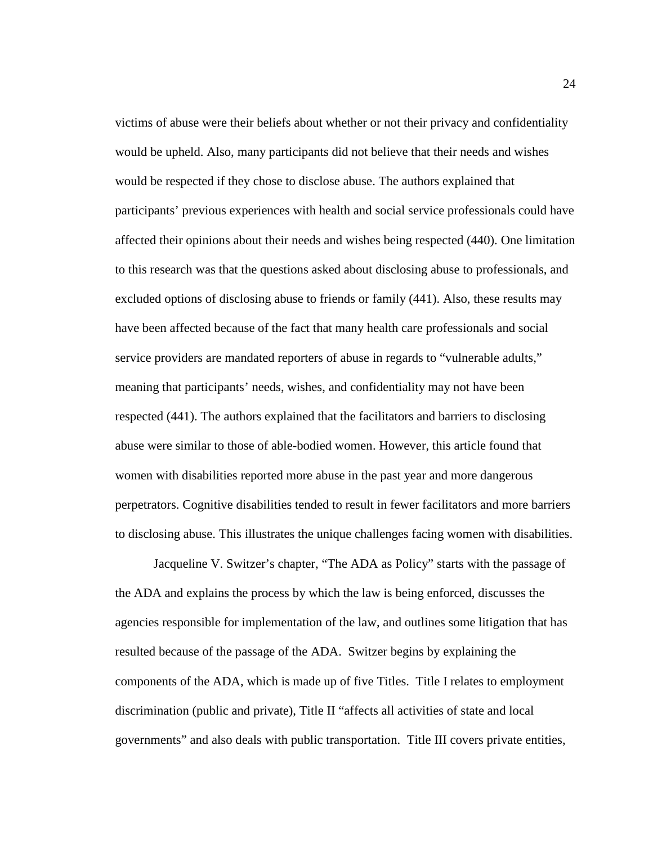victims of abuse were their beliefs about whether or not their privacy and confidentiality would be upheld. Also, many participants did not believe that their needs and wishes would be respected if they chose to disclose abuse. The authors explained that participants' previous experiences with health and social service professionals could have affected their opinions about their needs and wishes being respected (440). One limitation to this research was that the questions asked about disclosing abuse to professionals, and excluded options of disclosing abuse to friends or family (441). Also, these results may have been affected because of the fact that many health care professionals and social service providers are mandated reporters of abuse in regards to "vulnerable adults," meaning that participants' needs, wishes, and confidentiality may not have been respected (441). The authors explained that the facilitators and barriers to disclosing abuse were similar to those of able-bodied women. However, this article found that women with disabilities reported more abuse in the past year and more dangerous perpetrators. Cognitive disabilities tended to result in fewer facilitators and more barriers to disclosing abuse. This illustrates the unique challenges facing women with disabilities.

Jacqueline V. Switzer's chapter, "The ADA as Policy" starts with the passage of the ADA and explains the process by which the law is being enforced, discusses the agencies responsible for implementation of the law, and outlines some litigation that has resulted because of the passage of the ADA. Switzer begins by explaining the components of the ADA, which is made up of five Titles. Title I relates to employment discrimination (public and private), Title II "affects all activities of state and local governments" and also deals with public transportation. Title III covers private entities,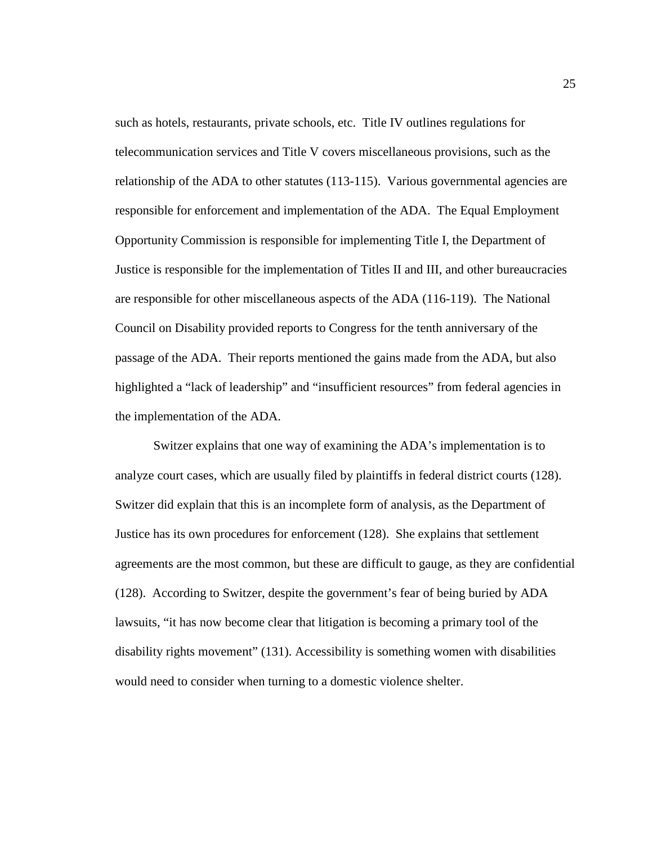such as hotels, restaurants, private schools, etc. Title IV outlines regulations for telecommunication services and Title V covers miscellaneous provisions, such as the relationship of the ADA to other statutes (113-115). Various governmental agencies are responsible for enforcement and implementation of the ADA. The Equal Employment Opportunity Commission is responsible for implementing Title I, the Department of Justice is responsible for the implementation of Titles II and III, and other bureaucracies are responsible for other miscellaneous aspects of the ADA (116-119). The National Council on Disability provided reports to Congress for the tenth anniversary of the passage of the ADA. Their reports mentioned the gains made from the ADA, but also highlighted a "lack of leadership" and "insufficient resources" from federal agencies in the implementation of the ADA.

Switzer explains that one way of examining the ADA's implementation is to analyze court cases, which are usually filed by plaintiffs in federal district courts (128). Switzer did explain that this is an incomplete form of analysis, as the Department of Justice has its own procedures for enforcement (128). She explains that settlement agreements are the most common, but these are difficult to gauge, as they are confidential (128). According to Switzer, despite the government's fear of being buried by ADA lawsuits, "it has now become clear that litigation is becoming a primary tool of the disability rights movement" (131). Accessibility is something women with disabilities would need to consider when turning to a domestic violence shelter.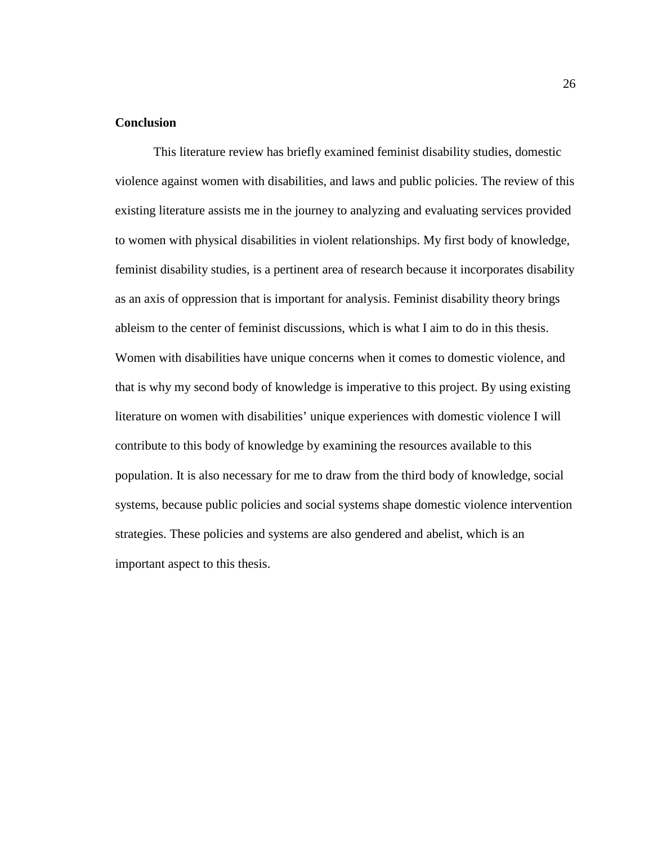# **Conclusion**

 This literature review has briefly examined feminist disability studies, domestic violence against women with disabilities, and laws and public policies. The review of this existing literature assists me in the journey to analyzing and evaluating services provided to women with physical disabilities in violent relationships. My first body of knowledge, feminist disability studies, is a pertinent area of research because it incorporates disability as an axis of oppression that is important for analysis. Feminist disability theory brings ableism to the center of feminist discussions, which is what I aim to do in this thesis. Women with disabilities have unique concerns when it comes to domestic violence, and that is why my second body of knowledge is imperative to this project. By using existing literature on women with disabilities' unique experiences with domestic violence I will contribute to this body of knowledge by examining the resources available to this population. It is also necessary for me to draw from the third body of knowledge, social systems, because public policies and social systems shape domestic violence intervention strategies. These policies and systems are also gendered and abelist, which is an important aspect to this thesis.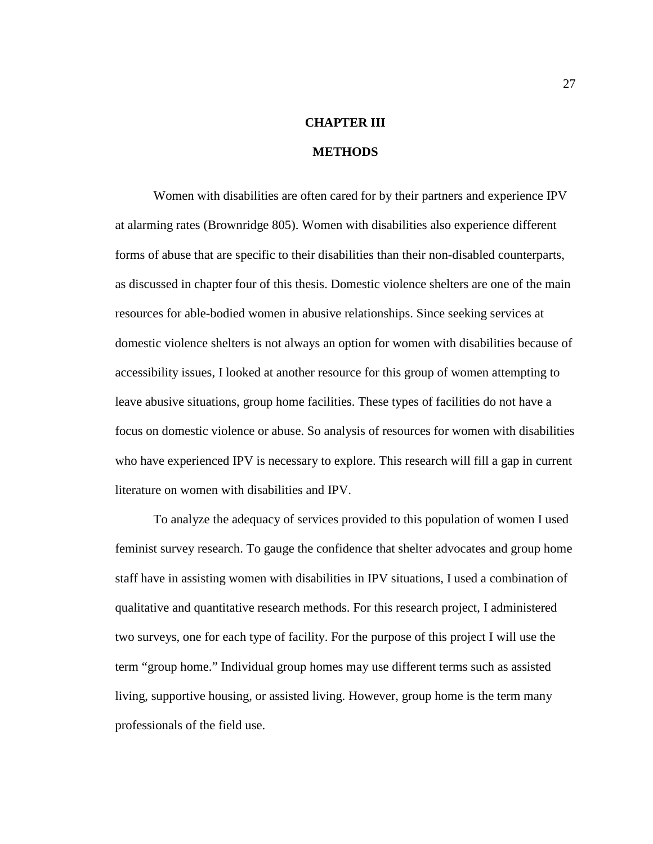# **CHAPTER III**

#### **METHODS**

Women with disabilities are often cared for by their partners and experience IPV at alarming rates (Brownridge 805). Women with disabilities also experience different forms of abuse that are specific to their disabilities than their non-disabled counterparts, as discussed in chapter four of this thesis. Domestic violence shelters are one of the main resources for able-bodied women in abusive relationships. Since seeking services at domestic violence shelters is not always an option for women with disabilities because of accessibility issues, I looked at another resource for this group of women attempting to leave abusive situations, group home facilities. These types of facilities do not have a focus on domestic violence or abuse. So analysis of resources for women with disabilities who have experienced IPV is necessary to explore. This research will fill a gap in current literature on women with disabilities and IPV.

To analyze the adequacy of services provided to this population of women I used feminist survey research. To gauge the confidence that shelter advocates and group home staff have in assisting women with disabilities in IPV situations, I used a combination of qualitative and quantitative research methods. For this research project, I administered two surveys, one for each type of facility. For the purpose of this project I will use the term "group home." Individual group homes may use different terms such as assisted living, supportive housing, or assisted living. However, group home is the term many professionals of the field use.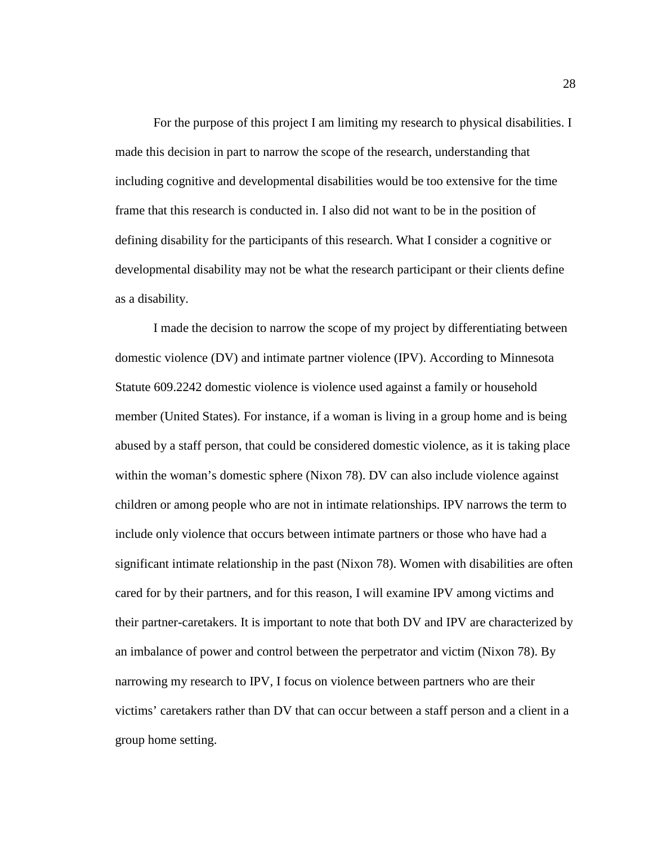For the purpose of this project I am limiting my research to physical disabilities. I made this decision in part to narrow the scope of the research, understanding that including cognitive and developmental disabilities would be too extensive for the time frame that this research is conducted in. I also did not want to be in the position of defining disability for the participants of this research. What I consider a cognitive or developmental disability may not be what the research participant or their clients define as a disability.

I made the decision to narrow the scope of my project by differentiating between domestic violence (DV) and intimate partner violence (IPV). According to Minnesota Statute 609.2242 domestic violence is violence used against a family or household member (United States). For instance, if a woman is living in a group home and is being abused by a staff person, that could be considered domestic violence, as it is taking place within the woman's domestic sphere (Nixon 78). DV can also include violence against children or among people who are not in intimate relationships. IPV narrows the term to include only violence that occurs between intimate partners or those who have had a significant intimate relationship in the past (Nixon 78). Women with disabilities are often cared for by their partners, and for this reason, I will examine IPV among victims and their partner-caretakers. It is important to note that both DV and IPV are characterized by an imbalance of power and control between the perpetrator and victim (Nixon 78). By narrowing my research to IPV, I focus on violence between partners who are their victims' caretakers rather than DV that can occur between a staff person and a client in a group home setting.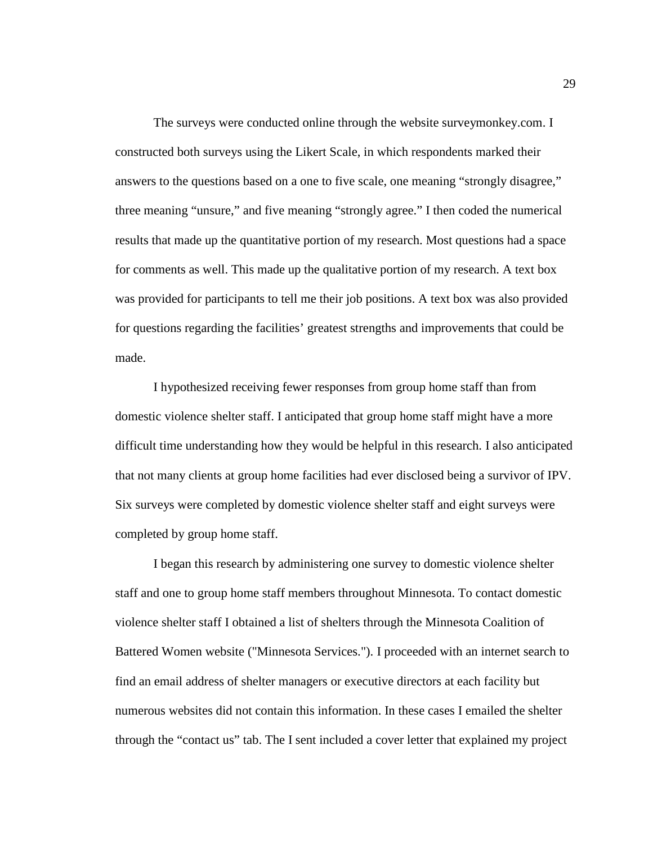The surveys were conducted online through the website surveymonkey.com. I constructed both surveys using the Likert Scale, in which respondents marked their answers to the questions based on a one to five scale, one meaning "strongly disagree," three meaning "unsure," and five meaning "strongly agree." I then coded the numerical results that made up the quantitative portion of my research. Most questions had a space for comments as well. This made up the qualitative portion of my research. A text box was provided for participants to tell me their job positions. A text box was also provided for questions regarding the facilities' greatest strengths and improvements that could be made.

I hypothesized receiving fewer responses from group home staff than from domestic violence shelter staff. I anticipated that group home staff might have a more difficult time understanding how they would be helpful in this research. I also anticipated that not many clients at group home facilities had ever disclosed being a survivor of IPV. Six surveys were completed by domestic violence shelter staff and eight surveys were completed by group home staff.

I began this research by administering one survey to domestic violence shelter staff and one to group home staff members throughout Minnesota. To contact domestic violence shelter staff I obtained a list of shelters through the Minnesota Coalition of Battered Women website ("Minnesota Services."). I proceeded with an internet search to find an email address of shelter managers or executive directors at each facility but numerous websites did not contain this information. In these cases I emailed the shelter through the "contact us" tab. The I sent included a cover letter that explained my project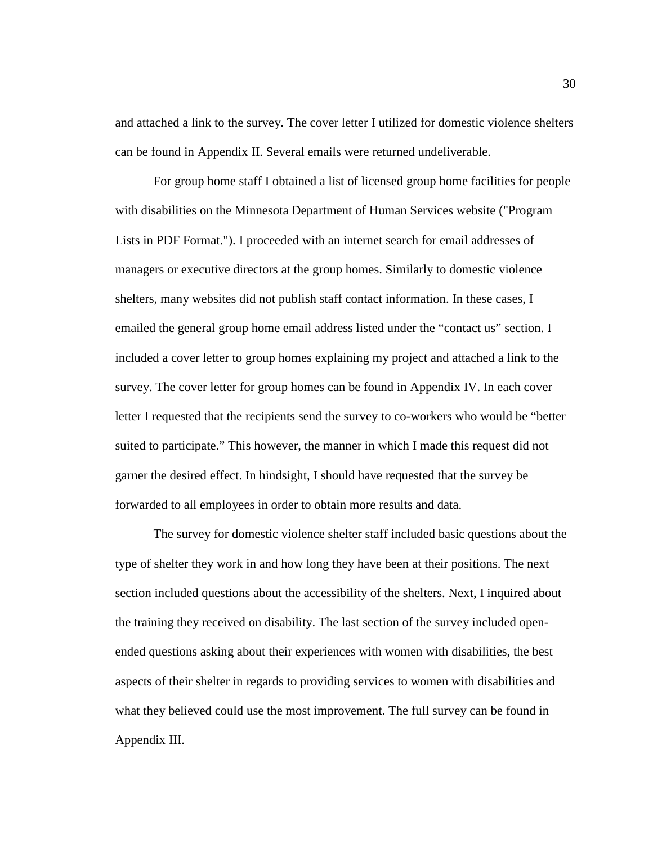and attached a link to the survey. The cover letter I utilized for domestic violence shelters can be found in Appendix II. Several emails were returned undeliverable.

For group home staff I obtained a list of licensed group home facilities for people with disabilities on the Minnesota Department of Human Services website ("Program Lists in PDF Format."). I proceeded with an internet search for email addresses of managers or executive directors at the group homes. Similarly to domestic violence shelters, many websites did not publish staff contact information. In these cases, I emailed the general group home email address listed under the "contact us" section. I included a cover letter to group homes explaining my project and attached a link to the survey. The cover letter for group homes can be found in Appendix IV. In each cover letter I requested that the recipients send the survey to co-workers who would be "better suited to participate." This however, the manner in which I made this request did not garner the desired effect. In hindsight, I should have requested that the survey be forwarded to all employees in order to obtain more results and data.

The survey for domestic violence shelter staff included basic questions about the type of shelter they work in and how long they have been at their positions. The next section included questions about the accessibility of the shelters. Next, I inquired about the training they received on disability. The last section of the survey included openended questions asking about their experiences with women with disabilities, the best aspects of their shelter in regards to providing services to women with disabilities and what they believed could use the most improvement. The full survey can be found in Appendix III.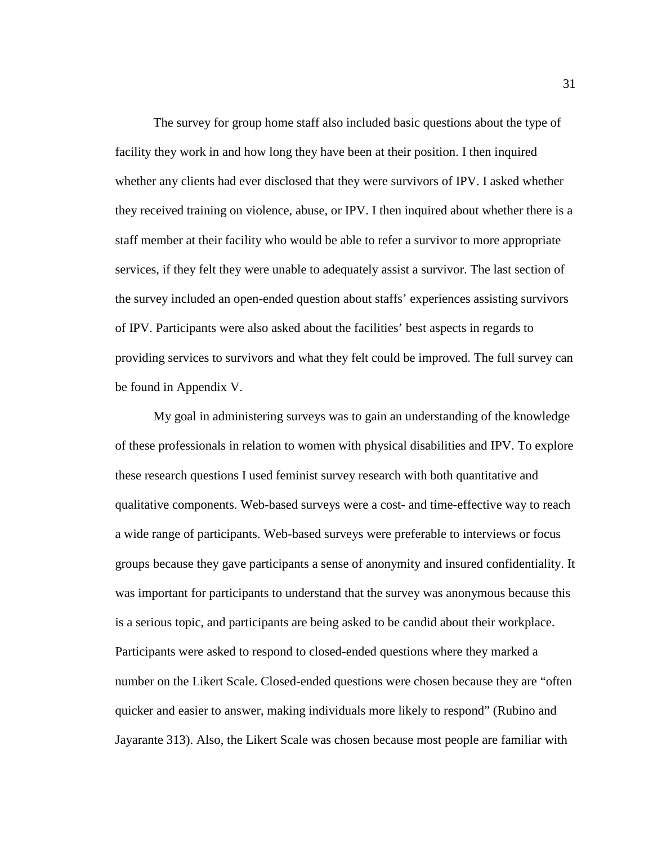The survey for group home staff also included basic questions about the type of facility they work in and how long they have been at their position. I then inquired whether any clients had ever disclosed that they were survivors of IPV. I asked whether they received training on violence, abuse, or IPV. I then inquired about whether there is a staff member at their facility who would be able to refer a survivor to more appropriate services, if they felt they were unable to adequately assist a survivor. The last section of the survey included an open-ended question about staffs' experiences assisting survivors of IPV. Participants were also asked about the facilities' best aspects in regards to providing services to survivors and what they felt could be improved. The full survey can be found in Appendix V.

My goal in administering surveys was to gain an understanding of the knowledge of these professionals in relation to women with physical disabilities and IPV. To explore these research questions I used feminist survey research with both quantitative and qualitative components. Web-based surveys were a cost- and time-effective way to reach a wide range of participants. Web-based surveys were preferable to interviews or focus groups because they gave participants a sense of anonymity and insured confidentiality. It was important for participants to understand that the survey was anonymous because this is a serious topic, and participants are being asked to be candid about their workplace. Participants were asked to respond to closed-ended questions where they marked a number on the Likert Scale. Closed-ended questions were chosen because they are "often quicker and easier to answer, making individuals more likely to respond" (Rubino and Jayarante 313). Also, the Likert Scale was chosen because most people are familiar with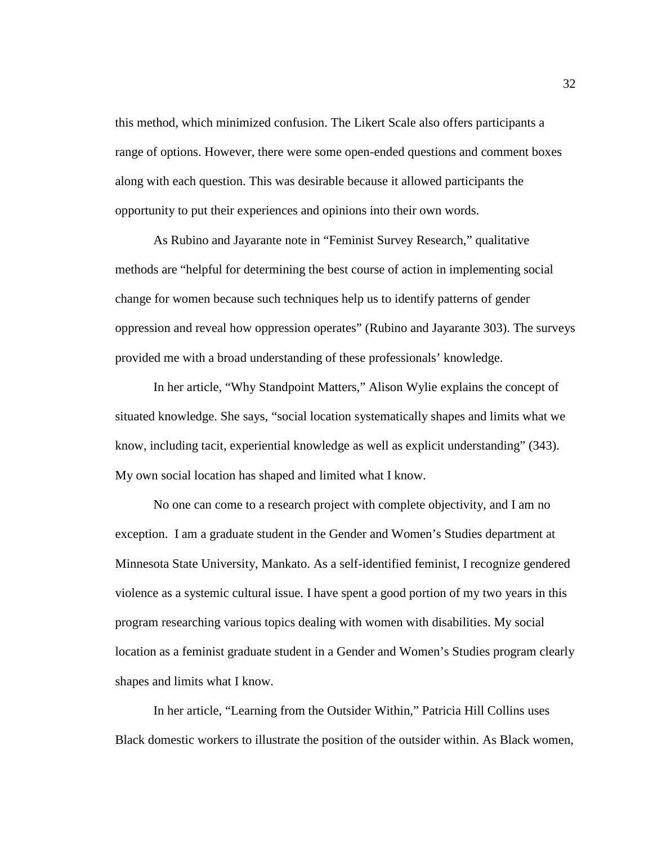this method, which minimized confusion. The Likert Scale also offers participants a range of options. However, there were some open-ended questions and comment boxes along with each question. This was desirable because it allowed participants the opportunity to put their experiences and opinions into their own words.

As Rubino and Jayarante note in "Feminist Survey Research," qualitative methods are "helpful for determining the best course of action in implementing social change for women because such techniques help us to identify patterns of gender oppression and reveal how oppression operates" (Rubino and Jayarante 303). The surveys provided me with a broad understanding of these professionals' knowledge.

In her article, "Why Standpoint Matters," Alison Wylie explains the concept of situated knowledge. She says, "social location systematically shapes and limits what we know, including tacit, experiential knowledge as well as explicit understanding" (343). My own social location has shaped and limited what I know.

No one can come to a research project with complete objectivity, and I am no exception. I am a graduate student in the Gender and Women's Studies department at Minnesota State University, Mankato. As a self-identified feminist, I recognize gendered violence as a systemic cultural issue. I have spent a good portion of my two years in this program researching various topics dealing with women with disabilities. My social location as a feminist graduate student in a Gender and Women's Studies program clearly shapes and limits what I know.

In her article, "Learning from the Outsider Within," Patricia Hill Collins uses Black domestic workers to illustrate the position of the outsider within. As Black women,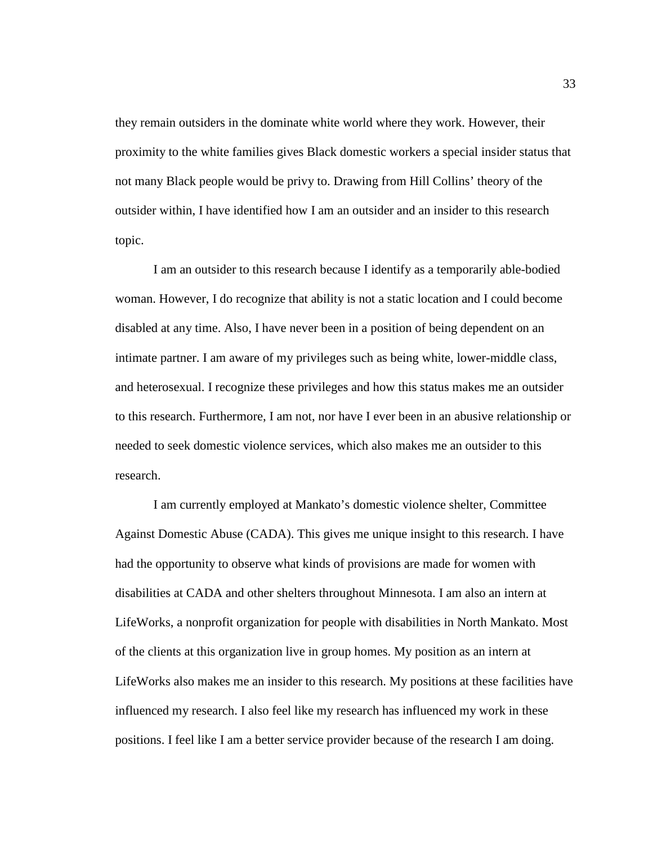they remain outsiders in the dominate white world where they work. However, their proximity to the white families gives Black domestic workers a special insider status that not many Black people would be privy to. Drawing from Hill Collins' theory of the outsider within, I have identified how I am an outsider and an insider to this research topic.

I am an outsider to this research because I identify as a temporarily able-bodied woman. However, I do recognize that ability is not a static location and I could become disabled at any time. Also, I have never been in a position of being dependent on an intimate partner. I am aware of my privileges such as being white, lower-middle class, and heterosexual. I recognize these privileges and how this status makes me an outsider to this research. Furthermore, I am not, nor have I ever been in an abusive relationship or needed to seek domestic violence services, which also makes me an outsider to this research.

I am currently employed at Mankato's domestic violence shelter, Committee Against Domestic Abuse (CADA). This gives me unique insight to this research. I have had the opportunity to observe what kinds of provisions are made for women with disabilities at CADA and other shelters throughout Minnesota. I am also an intern at LifeWorks, a nonprofit organization for people with disabilities in North Mankato. Most of the clients at this organization live in group homes. My position as an intern at LifeWorks also makes me an insider to this research. My positions at these facilities have influenced my research. I also feel like my research has influenced my work in these positions. I feel like I am a better service provider because of the research I am doing.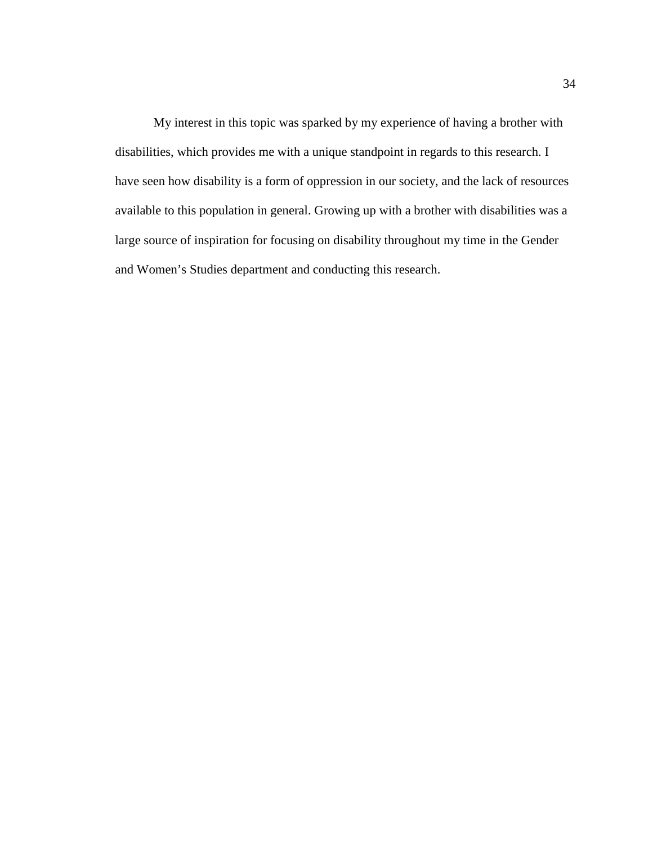My interest in this topic was sparked by my experience of having a brother with disabilities, which provides me with a unique standpoint in regards to this research. I have seen how disability is a form of oppression in our society, and the lack of resources available to this population in general. Growing up with a brother with disabilities was a large source of inspiration for focusing on disability throughout my time in the Gender and Women's Studies department and conducting this research.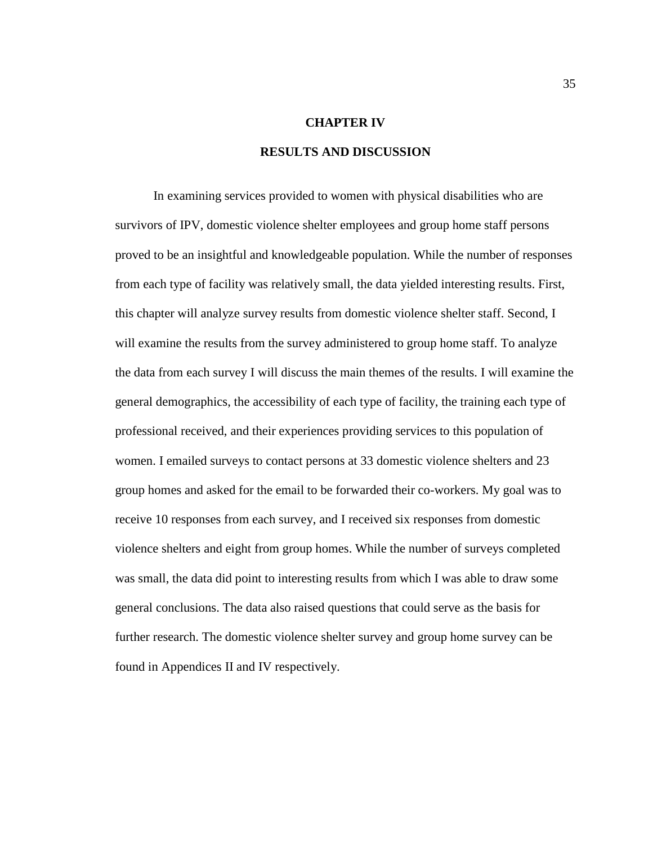### **CHAPTER IV**

## **RESULTS AND DISCUSSION**

In examining services provided to women with physical disabilities who are survivors of IPV, domestic violence shelter employees and group home staff persons proved to be an insightful and knowledgeable population. While the number of responses from each type of facility was relatively small, the data yielded interesting results. First, this chapter will analyze survey results from domestic violence shelter staff. Second, I will examine the results from the survey administered to group home staff. To analyze the data from each survey I will discuss the main themes of the results. I will examine the general demographics, the accessibility of each type of facility, the training each type of professional received, and their experiences providing services to this population of women. I emailed surveys to contact persons at 33 domestic violence shelters and 23 group homes and asked for the email to be forwarded their co-workers. My goal was to receive 10 responses from each survey, and I received six responses from domestic violence shelters and eight from group homes. While the number of surveys completed was small, the data did point to interesting results from which I was able to draw some general conclusions. The data also raised questions that could serve as the basis for further research. The domestic violence shelter survey and group home survey can be found in Appendices II and IV respectively.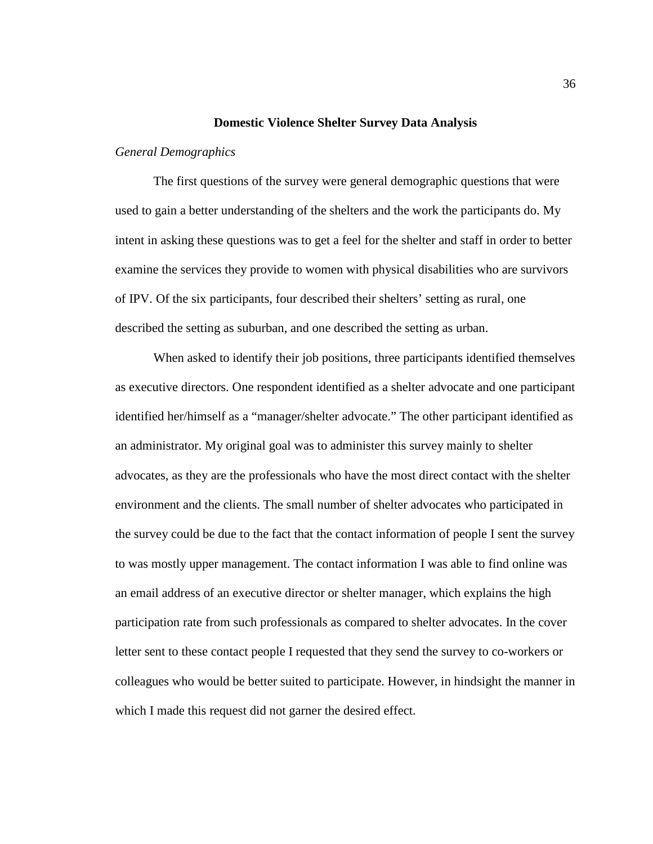#### **Domestic Violence Shelter Survey Data Analysis**

#### *General Demographics*

The first questions of the survey were general demographic questions that were used to gain a better understanding of the shelters and the work the participants do. My intent in asking these questions was to get a feel for the shelter and staff in order to better examine the services they provide to women with physical disabilities who are survivors of IPV. Of the six participants, four described their shelters' setting as rural, one described the setting as suburban, and one described the setting as urban.

When asked to identify their job positions, three participants identified themselves as executive directors. One respondent identified as a shelter advocate and one participant identified her/himself as a "manager/shelter advocate." The other participant identified as an administrator. My original goal was to administer this survey mainly to shelter advocates, as they are the professionals who have the most direct contact with the shelter environment and the clients. The small number of shelter advocates who participated in the survey could be due to the fact that the contact information of people I sent the survey to was mostly upper management. The contact information I was able to find online was an email address of an executive director or shelter manager, which explains the high participation rate from such professionals as compared to shelter advocates. In the cover letter sent to these contact people I requested that they send the survey to co-workers or colleagues who would be better suited to participate. However, in hindsight the manner in which I made this request did not garner the desired effect.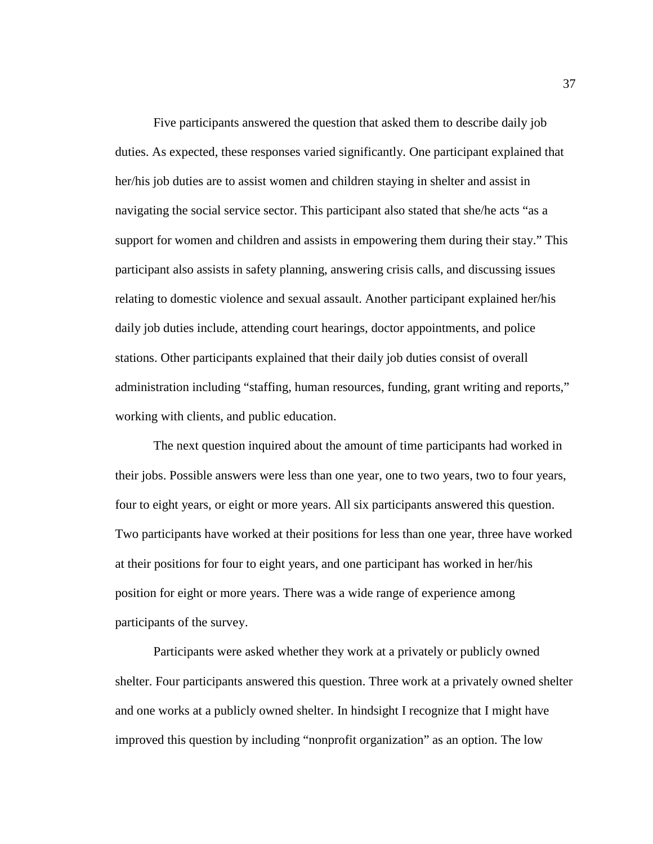Five participants answered the question that asked them to describe daily job duties. As expected, these responses varied significantly. One participant explained that her/his job duties are to assist women and children staying in shelter and assist in navigating the social service sector. This participant also stated that she/he acts "as a support for women and children and assists in empowering them during their stay." This participant also assists in safety planning, answering crisis calls, and discussing issues relating to domestic violence and sexual assault. Another participant explained her/his daily job duties include, attending court hearings, doctor appointments, and police stations. Other participants explained that their daily job duties consist of overall administration including "staffing, human resources, funding, grant writing and reports," working with clients, and public education.

The next question inquired about the amount of time participants had worked in their jobs. Possible answers were less than one year, one to two years, two to four years, four to eight years, or eight or more years. All six participants answered this question. Two participants have worked at their positions for less than one year, three have worked at their positions for four to eight years, and one participant has worked in her/his position for eight or more years. There was a wide range of experience among participants of the survey.

Participants were asked whether they work at a privately or publicly owned shelter. Four participants answered this question. Three work at a privately owned shelter and one works at a publicly owned shelter. In hindsight I recognize that I might have improved this question by including "nonprofit organization" as an option. The low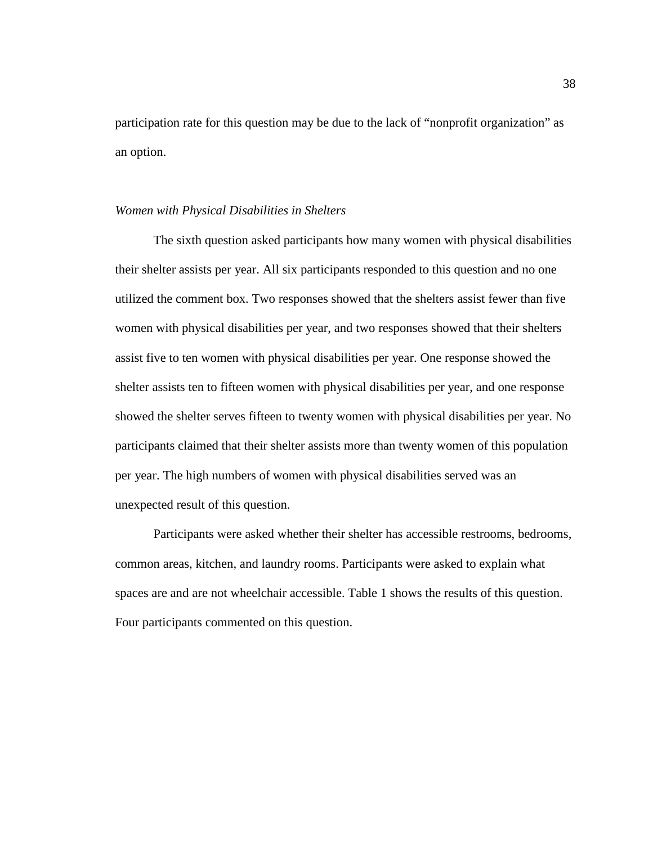participation rate for this question may be due to the lack of "nonprofit organization" as an option.

#### *Women with Physical Disabilities in Shelters*

The sixth question asked participants how many women with physical disabilities their shelter assists per year. All six participants responded to this question and no one utilized the comment box. Two responses showed that the shelters assist fewer than five women with physical disabilities per year, and two responses showed that their shelters assist five to ten women with physical disabilities per year. One response showed the shelter assists ten to fifteen women with physical disabilities per year, and one response showed the shelter serves fifteen to twenty women with physical disabilities per year. No participants claimed that their shelter assists more than twenty women of this population per year. The high numbers of women with physical disabilities served was an unexpected result of this question.

Participants were asked whether their shelter has accessible restrooms, bedrooms, common areas, kitchen, and laundry rooms. Participants were asked to explain what spaces are and are not wheelchair accessible. Table 1 shows the results of this question. Four participants commented on this question.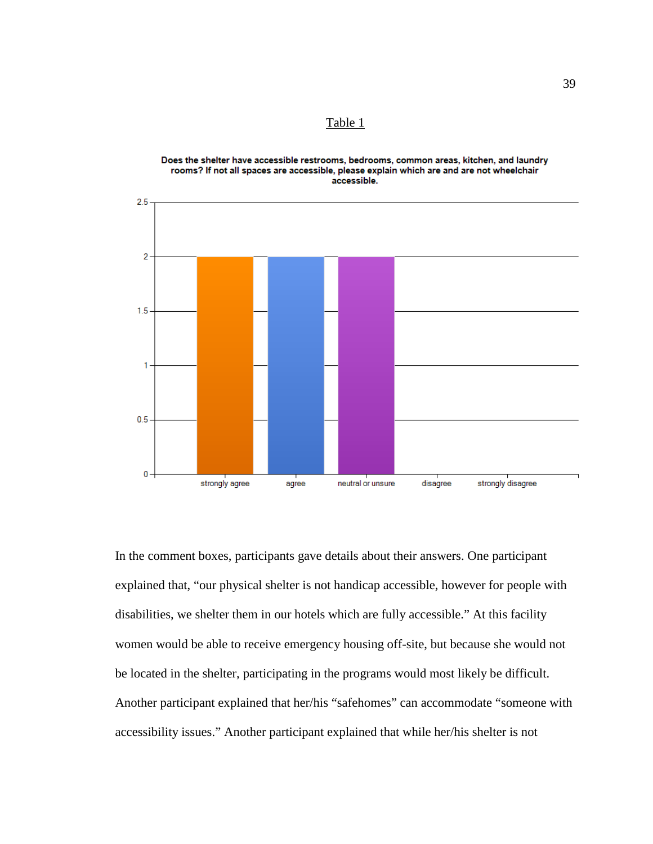Table 1



Does the shelter have accessible restrooms, bedrooms, common areas, kitchen, and laundry rooms? If not all spaces are accessible, please explain which are and are not wheelchair accessible.

In the comment boxes, participants gave details about their answers. One participant explained that, "our physical shelter is not handicap accessible, however for people with disabilities, we shelter them in our hotels which are fully accessible." At this facility women would be able to receive emergency housing off-site, but because she would not be located in the shelter, participating in the programs would most likely be difficult. Another participant explained that her/his "safehomes" can accommodate "someone with accessibility issues." Another participant explained that while her/his shelter is not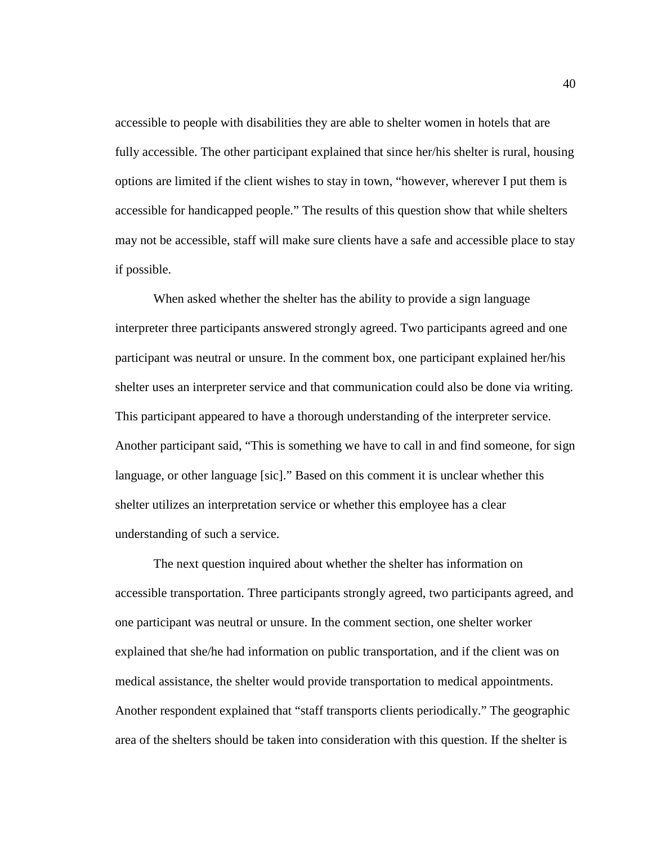accessible to people with disabilities they are able to shelter women in hotels that are fully accessible. The other participant explained that since her/his shelter is rural, housing options are limited if the client wishes to stay in town, "however, wherever I put them is accessible for handicapped people." The results of this question show that while shelters may not be accessible, staff will make sure clients have a safe and accessible place to stay if possible.

When asked whether the shelter has the ability to provide a sign language interpreter three participants answered strongly agreed. Two participants agreed and one participant was neutral or unsure. In the comment box, one participant explained her/his shelter uses an interpreter service and that communication could also be done via writing. This participant appeared to have a thorough understanding of the interpreter service. Another participant said, "This is something we have to call in and find someone, for sign language, or other language [sic]." Based on this comment it is unclear whether this shelter utilizes an interpretation service or whether this employee has a clear understanding of such a service.

The next question inquired about whether the shelter has information on accessible transportation. Three participants strongly agreed, two participants agreed, and one participant was neutral or unsure. In the comment section, one shelter worker explained that she/he had information on public transportation, and if the client was on medical assistance, the shelter would provide transportation to medical appointments. Another respondent explained that "staff transports clients periodically." The geographic area of the shelters should be taken into consideration with this question. If the shelter is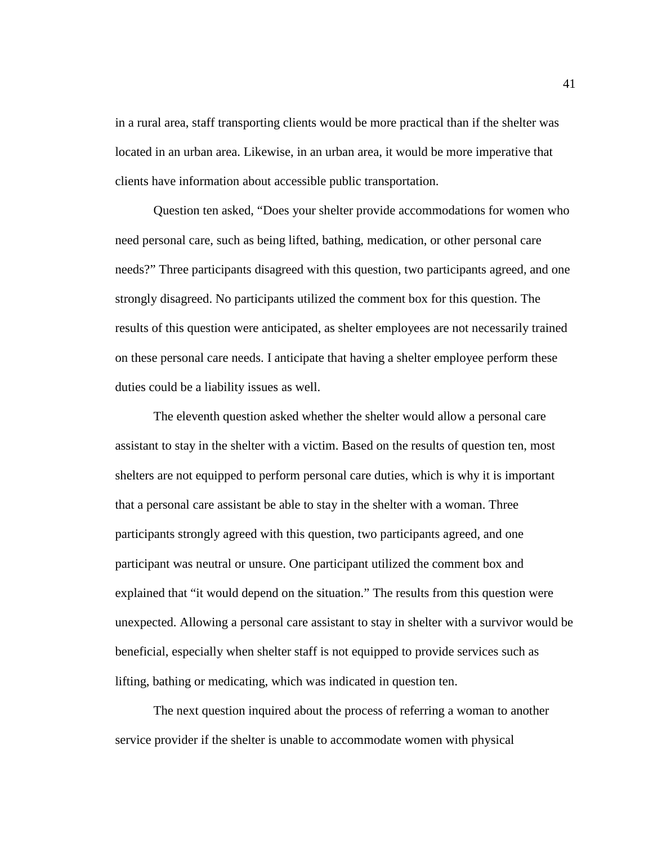in a rural area, staff transporting clients would be more practical than if the shelter was located in an urban area. Likewise, in an urban area, it would be more imperative that clients have information about accessible public transportation.

Question ten asked, "Does your shelter provide accommodations for women who need personal care, such as being lifted, bathing, medication, or other personal care needs?" Three participants disagreed with this question, two participants agreed, and one strongly disagreed. No participants utilized the comment box for this question. The results of this question were anticipated, as shelter employees are not necessarily trained on these personal care needs. I anticipate that having a shelter employee perform these duties could be a liability issues as well.

The eleventh question asked whether the shelter would allow a personal care assistant to stay in the shelter with a victim. Based on the results of question ten, most shelters are not equipped to perform personal care duties, which is why it is important that a personal care assistant be able to stay in the shelter with a woman. Three participants strongly agreed with this question, two participants agreed, and one participant was neutral or unsure. One participant utilized the comment box and explained that "it would depend on the situation." The results from this question were unexpected. Allowing a personal care assistant to stay in shelter with a survivor would be beneficial, especially when shelter staff is not equipped to provide services such as lifting, bathing or medicating, which was indicated in question ten.

The next question inquired about the process of referring a woman to another service provider if the shelter is unable to accommodate women with physical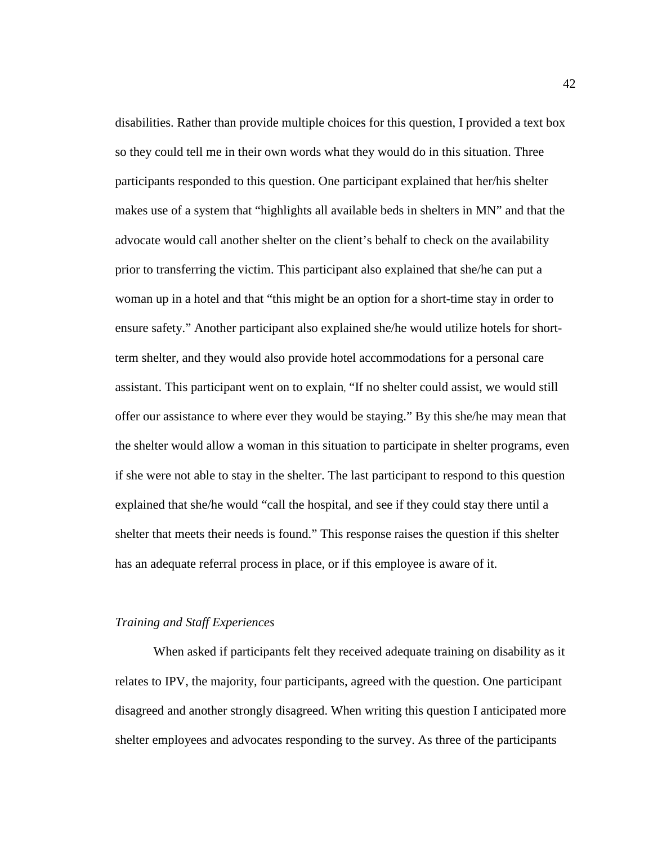disabilities. Rather than provide multiple choices for this question, I provided a text box so they could tell me in their own words what they would do in this situation. Three participants responded to this question. One participant explained that her/his shelter makes use of a system that "highlights all available beds in shelters in MN" and that the advocate would call another shelter on the client's behalf to check on the availability prior to transferring the victim. This participant also explained that she/he can put a woman up in a hotel and that "this might be an option for a short-time stay in order to ensure safety." Another participant also explained she/he would utilize hotels for shortterm shelter, and they would also provide hotel accommodations for a personal care assistant. This participant went on to explain, "If no shelter could assist, we would still offer our assistance to where ever they would be staying." By this she/he may mean that the shelter would allow a woman in this situation to participate in shelter programs, even if she were not able to stay in the shelter. The last participant to respond to this question explained that she/he would "call the hospital, and see if they could stay there until a shelter that meets their needs is found." This response raises the question if this shelter has an adequate referral process in place, or if this employee is aware of it.

#### *Training and Staff Experiences*

When asked if participants felt they received adequate training on disability as it relates to IPV, the majority, four participants, agreed with the question. One participant disagreed and another strongly disagreed. When writing this question I anticipated more shelter employees and advocates responding to the survey. As three of the participants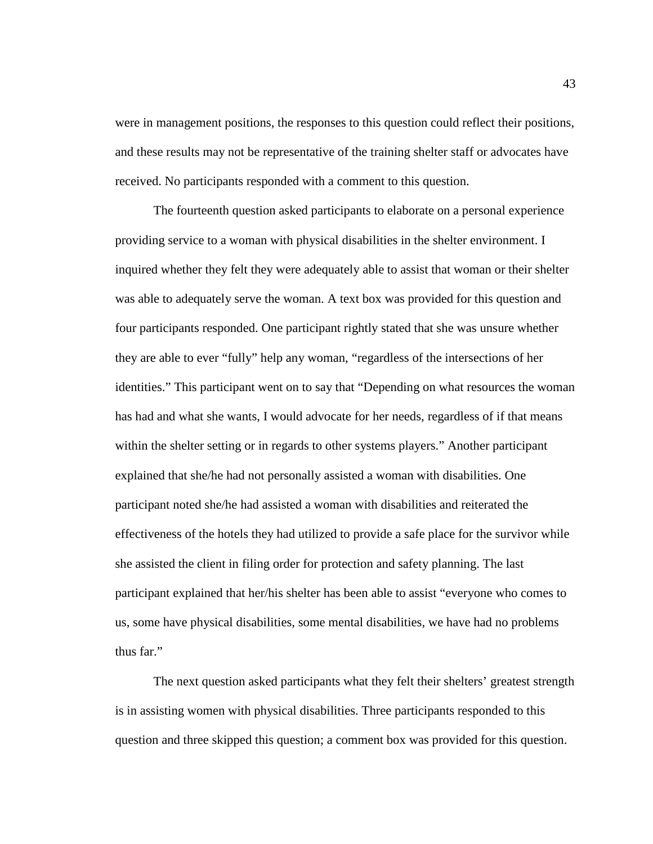were in management positions, the responses to this question could reflect their positions, and these results may not be representative of the training shelter staff or advocates have received. No participants responded with a comment to this question.

The fourteenth question asked participants to elaborate on a personal experience providing service to a woman with physical disabilities in the shelter environment. I inquired whether they felt they were adequately able to assist that woman or their shelter was able to adequately serve the woman. A text box was provided for this question and four participants responded. One participant rightly stated that she was unsure whether they are able to ever "fully" help any woman, "regardless of the intersections of her identities." This participant went on to say that "Depending on what resources the woman has had and what she wants, I would advocate for her needs, regardless of if that means within the shelter setting or in regards to other systems players." Another participant explained that she/he had not personally assisted a woman with disabilities. One participant noted she/he had assisted a woman with disabilities and reiterated the effectiveness of the hotels they had utilized to provide a safe place for the survivor while she assisted the client in filing order for protection and safety planning. The last participant explained that her/his shelter has been able to assist "everyone who comes to us, some have physical disabilities, some mental disabilities, we have had no problems thus far."

The next question asked participants what they felt their shelters' greatest strength is in assisting women with physical disabilities. Three participants responded to this question and three skipped this question; a comment box was provided for this question.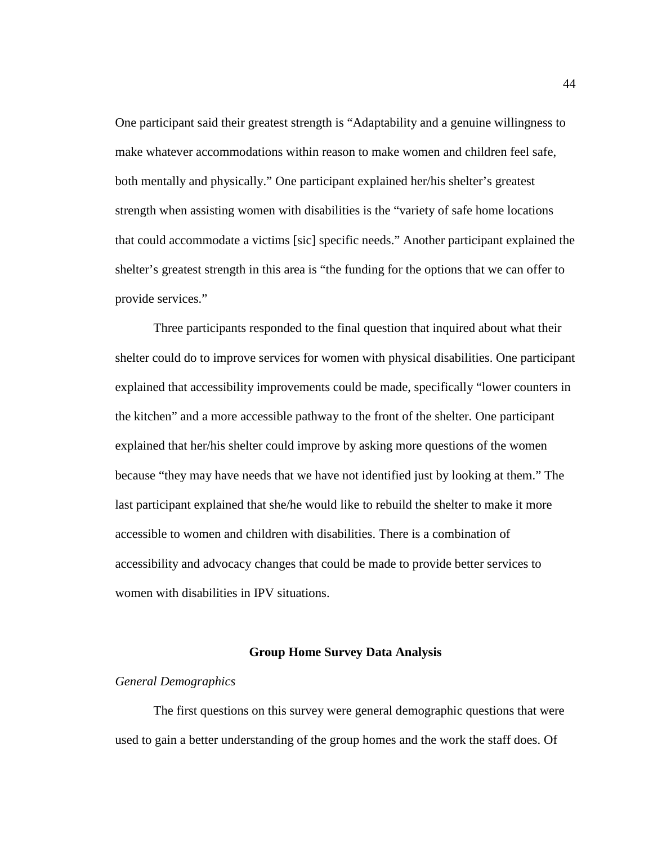One participant said their greatest strength is "Adaptability and a genuine willingness to make whatever accommodations within reason to make women and children feel safe, both mentally and physically." One participant explained her/his shelter's greatest strength when assisting women with disabilities is the "variety of safe home locations that could accommodate a victims [sic] specific needs." Another participant explained the shelter's greatest strength in this area is "the funding for the options that we can offer to provide services."

Three participants responded to the final question that inquired about what their shelter could do to improve services for women with physical disabilities. One participant explained that accessibility improvements could be made, specifically "lower counters in the kitchen" and a more accessible pathway to the front of the shelter. One participant explained that her/his shelter could improve by asking more questions of the women because "they may have needs that we have not identified just by looking at them." The last participant explained that she/he would like to rebuild the shelter to make it more accessible to women and children with disabilities. There is a combination of accessibility and advocacy changes that could be made to provide better services to women with disabilities in IPV situations.

#### **Group Home Survey Data Analysis**

### *General Demographics*

The first questions on this survey were general demographic questions that were used to gain a better understanding of the group homes and the work the staff does. Of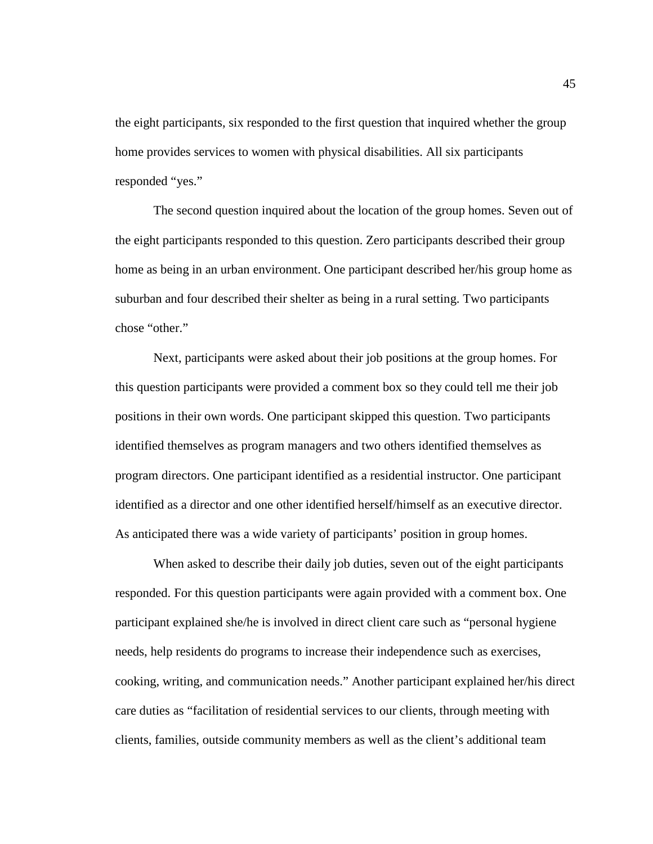the eight participants, six responded to the first question that inquired whether the group home provides services to women with physical disabilities. All six participants responded "yes."

The second question inquired about the location of the group homes. Seven out of the eight participants responded to this question. Zero participants described their group home as being in an urban environment. One participant described her/his group home as suburban and four described their shelter as being in a rural setting. Two participants chose "other."

Next, participants were asked about their job positions at the group homes. For this question participants were provided a comment box so they could tell me their job positions in their own words. One participant skipped this question. Two participants identified themselves as program managers and two others identified themselves as program directors. One participant identified as a residential instructor. One participant identified as a director and one other identified herself/himself as an executive director. As anticipated there was a wide variety of participants' position in group homes.

When asked to describe their daily job duties, seven out of the eight participants responded. For this question participants were again provided with a comment box. One participant explained she/he is involved in direct client care such as "personal hygiene needs, help residents do programs to increase their independence such as exercises, cooking, writing, and communication needs." Another participant explained her/his direct care duties as "facilitation of residential services to our clients, through meeting with clients, families, outside community members as well as the client's additional team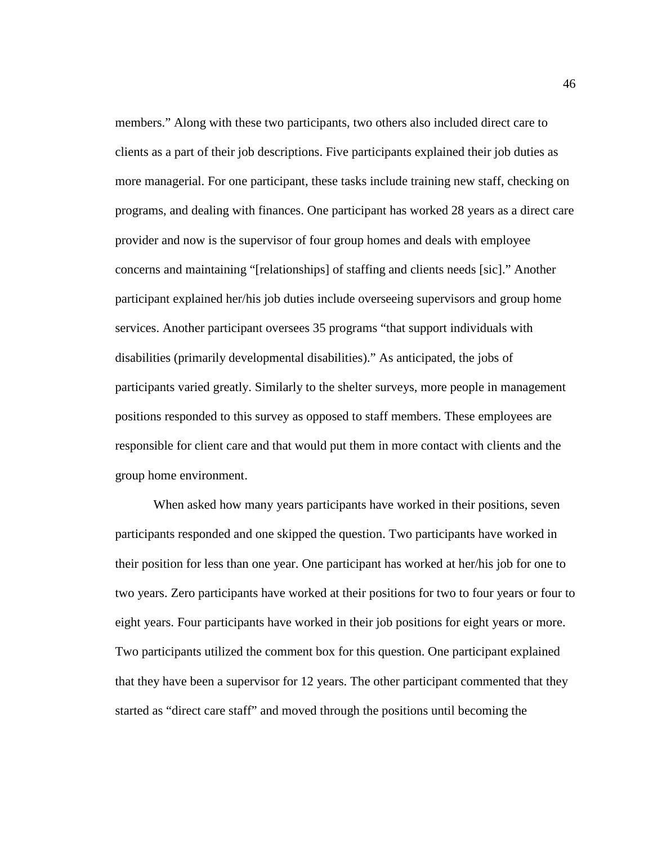members." Along with these two participants, two others also included direct care to clients as a part of their job descriptions. Five participants explained their job duties as more managerial. For one participant, these tasks include training new staff, checking on programs, and dealing with finances. One participant has worked 28 years as a direct care provider and now is the supervisor of four group homes and deals with employee concerns and maintaining "[relationships] of staffing and clients needs [sic]." Another participant explained her/his job duties include overseeing supervisors and group home services. Another participant oversees 35 programs "that support individuals with disabilities (primarily developmental disabilities)." As anticipated, the jobs of participants varied greatly. Similarly to the shelter surveys, more people in management positions responded to this survey as opposed to staff members. These employees are responsible for client care and that would put them in more contact with clients and the group home environment.

When asked how many years participants have worked in their positions, seven participants responded and one skipped the question. Two participants have worked in their position for less than one year. One participant has worked at her/his job for one to two years. Zero participants have worked at their positions for two to four years or four to eight years. Four participants have worked in their job positions for eight years or more. Two participants utilized the comment box for this question. One participant explained that they have been a supervisor for 12 years. The other participant commented that they started as "direct care staff" and moved through the positions until becoming the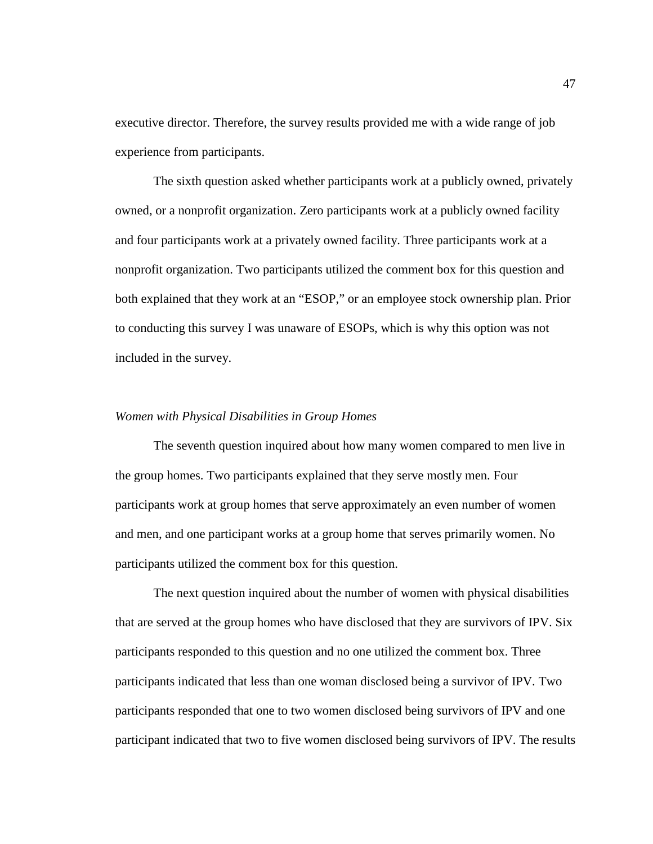executive director. Therefore, the survey results provided me with a wide range of job experience from participants.

The sixth question asked whether participants work at a publicly owned, privately owned, or a nonprofit organization. Zero participants work at a publicly owned facility and four participants work at a privately owned facility. Three participants work at a nonprofit organization. Two participants utilized the comment box for this question and both explained that they work at an "ESOP," or an employee stock ownership plan. Prior to conducting this survey I was unaware of ESOPs, which is why this option was not included in the survey.

#### *Women with Physical Disabilities in Group Homes*

The seventh question inquired about how many women compared to men live in the group homes. Two participants explained that they serve mostly men. Four participants work at group homes that serve approximately an even number of women and men, and one participant works at a group home that serves primarily women. No participants utilized the comment box for this question.

The next question inquired about the number of women with physical disabilities that are served at the group homes who have disclosed that they are survivors of IPV. Six participants responded to this question and no one utilized the comment box. Three participants indicated that less than one woman disclosed being a survivor of IPV. Two participants responded that one to two women disclosed being survivors of IPV and one participant indicated that two to five women disclosed being survivors of IPV. The results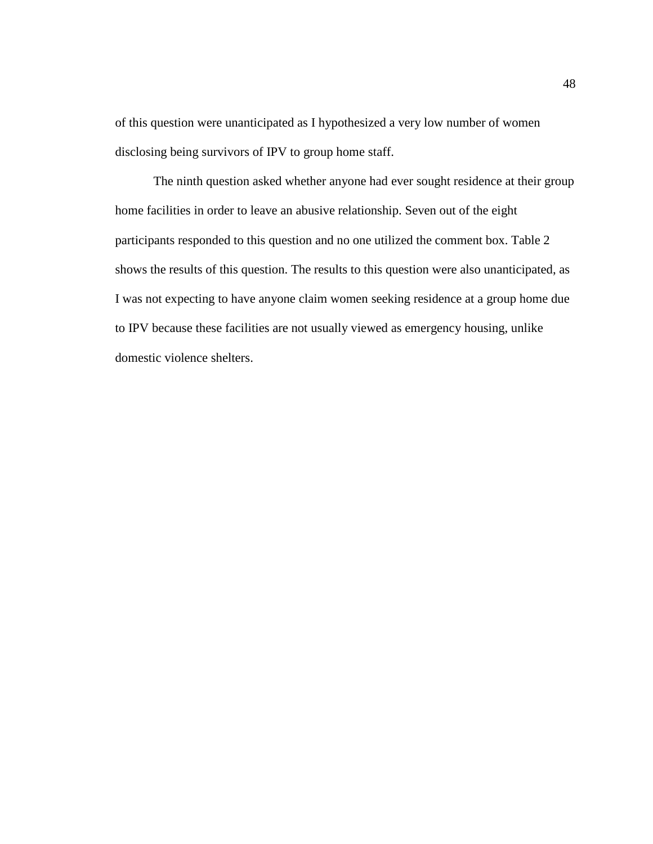of this question were unanticipated as I hypothesized a very low number of women disclosing being survivors of IPV to group home staff.

The ninth question asked whether anyone had ever sought residence at their group home facilities in order to leave an abusive relationship. Seven out of the eight participants responded to this question and no one utilized the comment box. Table 2 shows the results of this question. The results to this question were also unanticipated, as I was not expecting to have anyone claim women seeking residence at a group home due to IPV because these facilities are not usually viewed as emergency housing, unlike domestic violence shelters.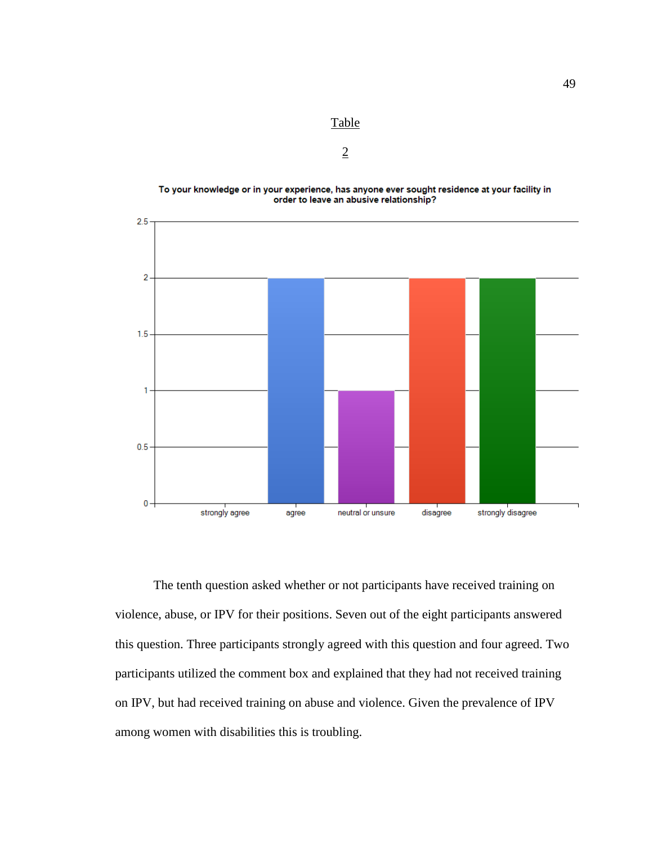



Table

2

The tenth question asked whether or not participants have received training on violence, abuse, or IPV for their positions. Seven out of the eight participants answered this question. Three participants strongly agreed with this question and four agreed. Two participants utilized the comment box and explained that they had not received training on IPV, but had received training on abuse and violence. Given the prevalence of IPV among women with disabilities this is troubling.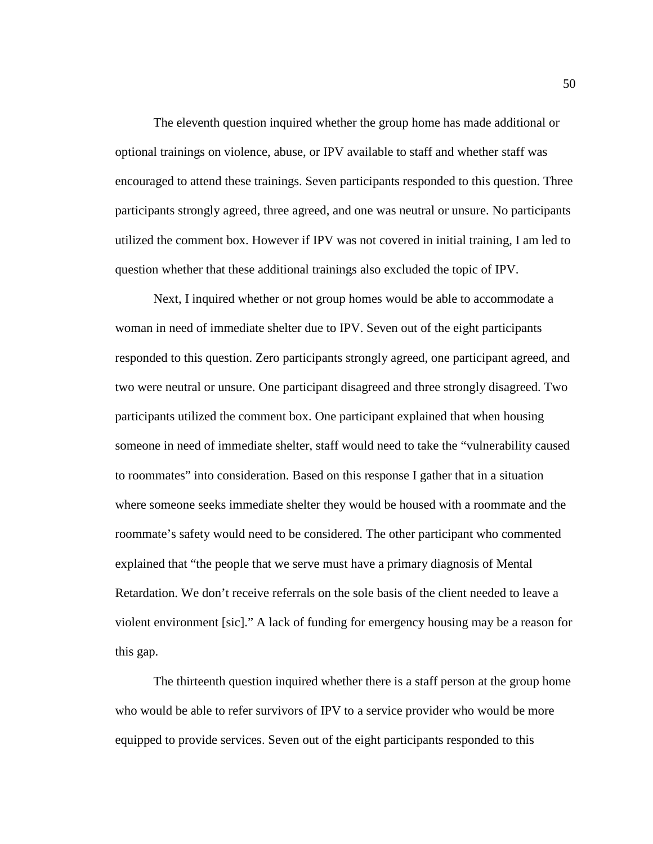The eleventh question inquired whether the group home has made additional or optional trainings on violence, abuse, or IPV available to staff and whether staff was encouraged to attend these trainings. Seven participants responded to this question. Three participants strongly agreed, three agreed, and one was neutral or unsure. No participants utilized the comment box. However if IPV was not covered in initial training, I am led to question whether that these additional trainings also excluded the topic of IPV.

Next, I inquired whether or not group homes would be able to accommodate a woman in need of immediate shelter due to IPV. Seven out of the eight participants responded to this question. Zero participants strongly agreed, one participant agreed, and two were neutral or unsure. One participant disagreed and three strongly disagreed. Two participants utilized the comment box. One participant explained that when housing someone in need of immediate shelter, staff would need to take the "vulnerability caused to roommates" into consideration. Based on this response I gather that in a situation where someone seeks immediate shelter they would be housed with a roommate and the roommate's safety would need to be considered. The other participant who commented explained that "the people that we serve must have a primary diagnosis of Mental Retardation. We don't receive referrals on the sole basis of the client needed to leave a violent environment [sic]." A lack of funding for emergency housing may be a reason for this gap.

The thirteenth question inquired whether there is a staff person at the group home who would be able to refer survivors of IPV to a service provider who would be more equipped to provide services. Seven out of the eight participants responded to this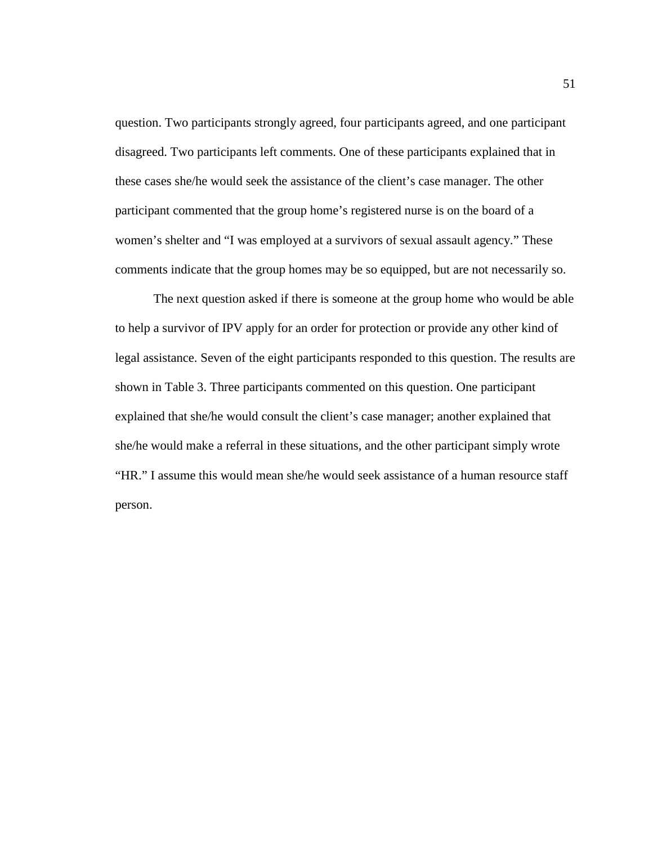question. Two participants strongly agreed, four participants agreed, and one participant disagreed. Two participants left comments. One of these participants explained that in these cases she/he would seek the assistance of the client's case manager. The other participant commented that the group home's registered nurse is on the board of a women's shelter and "I was employed at a survivors of sexual assault agency." These comments indicate that the group homes may be so equipped, but are not necessarily so.

The next question asked if there is someone at the group home who would be able to help a survivor of IPV apply for an order for protection or provide any other kind of legal assistance. Seven of the eight participants responded to this question. The results are shown in Table 3. Three participants commented on this question. One participant explained that she/he would consult the client's case manager; another explained that she/he would make a referral in these situations, and the other participant simply wrote "HR." I assume this would mean she/he would seek assistance of a human resource staff person.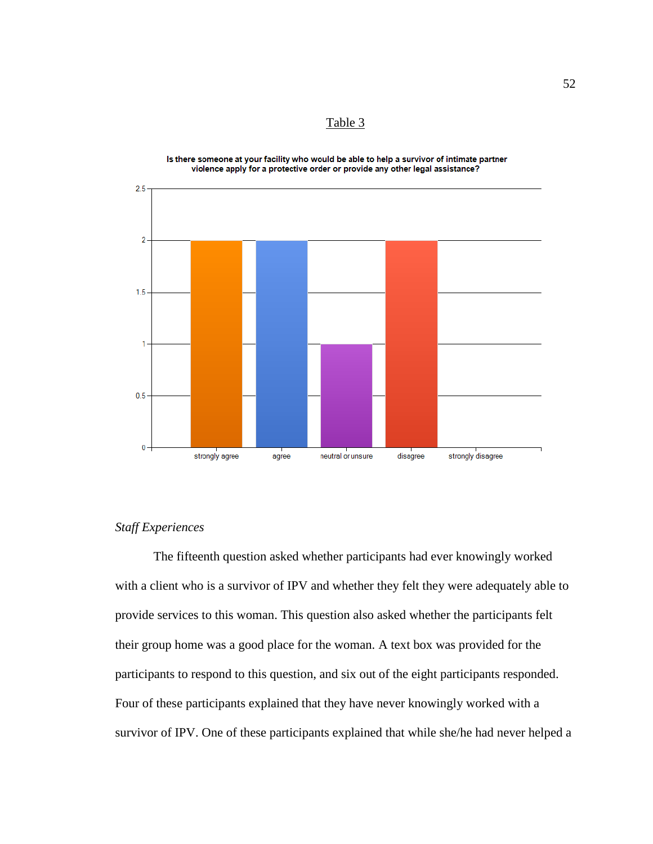Table 3



Is there someone at your facility who would be able to help a survivor of intimate partner violence apply for a protective order or provide any other legal assistance?

# *Staff Experiences*

The fifteenth question asked whether participants had ever knowingly worked with a client who is a survivor of IPV and whether they felt they were adequately able to provide services to this woman. This question also asked whether the participants felt their group home was a good place for the woman. A text box was provided for the participants to respond to this question, and six out of the eight participants responded. Four of these participants explained that they have never knowingly worked with a survivor of IPV. One of these participants explained that while she/he had never helped a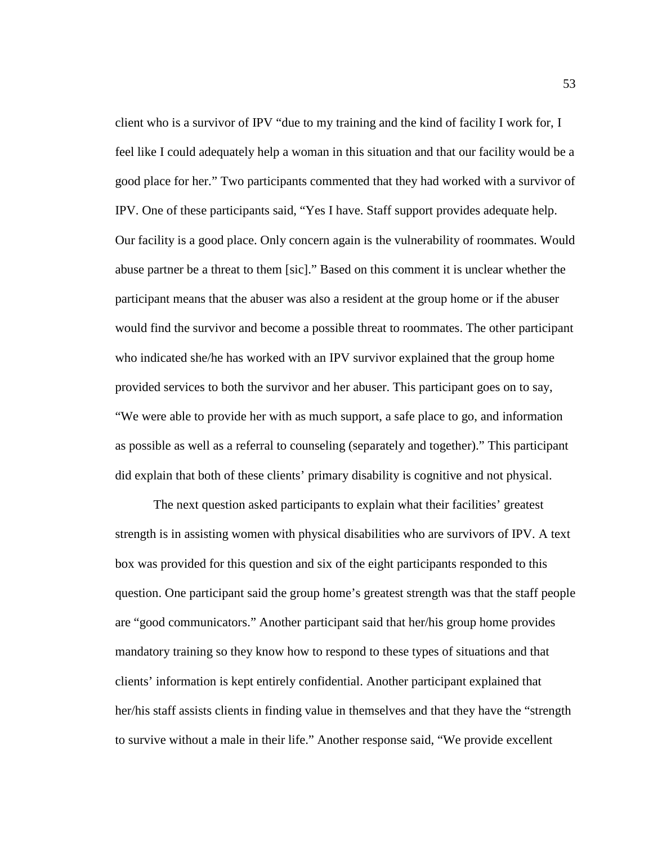client who is a survivor of IPV "due to my training and the kind of facility I work for, I feel like I could adequately help a woman in this situation and that our facility would be a good place for her." Two participants commented that they had worked with a survivor of IPV. One of these participants said, "Yes I have. Staff support provides adequate help. Our facility is a good place. Only concern again is the vulnerability of roommates. Would abuse partner be a threat to them [sic]." Based on this comment it is unclear whether the participant means that the abuser was also a resident at the group home or if the abuser would find the survivor and become a possible threat to roommates. The other participant who indicated she/he has worked with an IPV survivor explained that the group home provided services to both the survivor and her abuser. This participant goes on to say, "We were able to provide her with as much support, a safe place to go, and information as possible as well as a referral to counseling (separately and together)." This participant did explain that both of these clients' primary disability is cognitive and not physical.

The next question asked participants to explain what their facilities' greatest strength is in assisting women with physical disabilities who are survivors of IPV. A text box was provided for this question and six of the eight participants responded to this question. One participant said the group home's greatest strength was that the staff people are "good communicators." Another participant said that her/his group home provides mandatory training so they know how to respond to these types of situations and that clients' information is kept entirely confidential. Another participant explained that her/his staff assists clients in finding value in themselves and that they have the "strength to survive without a male in their life." Another response said, "We provide excellent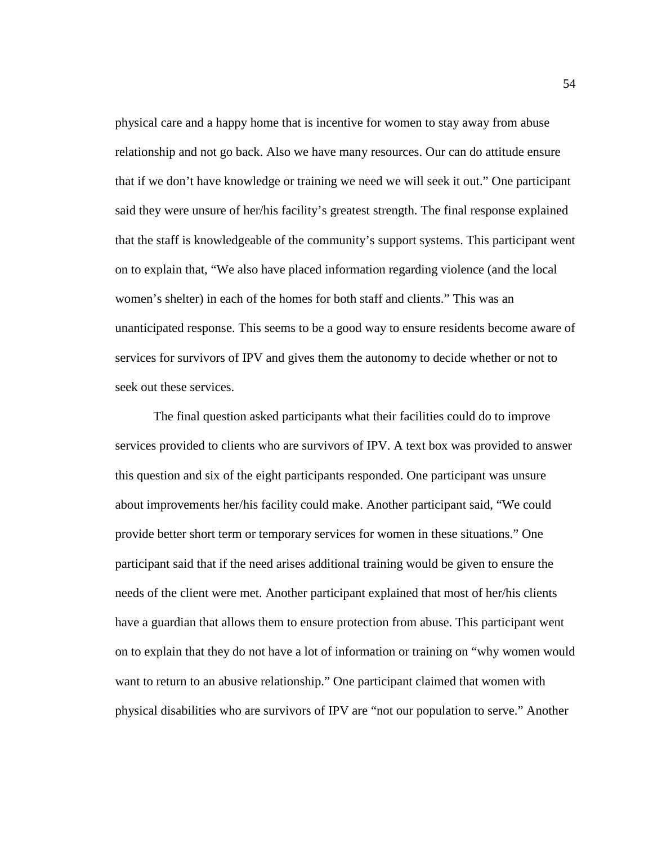physical care and a happy home that is incentive for women to stay away from abuse relationship and not go back. Also we have many resources. Our can do attitude ensure that if we don't have knowledge or training we need we will seek it out." One participant said they were unsure of her/his facility's greatest strength. The final response explained that the staff is knowledgeable of the community's support systems. This participant went on to explain that, "We also have placed information regarding violence (and the local women's shelter) in each of the homes for both staff and clients." This was an unanticipated response. This seems to be a good way to ensure residents become aware of services for survivors of IPV and gives them the autonomy to decide whether or not to seek out these services.

The final question asked participants what their facilities could do to improve services provided to clients who are survivors of IPV. A text box was provided to answer this question and six of the eight participants responded. One participant was unsure about improvements her/his facility could make. Another participant said, "We could provide better short term or temporary services for women in these situations." One participant said that if the need arises additional training would be given to ensure the needs of the client were met. Another participant explained that most of her/his clients have a guardian that allows them to ensure protection from abuse. This participant went on to explain that they do not have a lot of information or training on "why women would want to return to an abusive relationship." One participant claimed that women with physical disabilities who are survivors of IPV are "not our population to serve." Another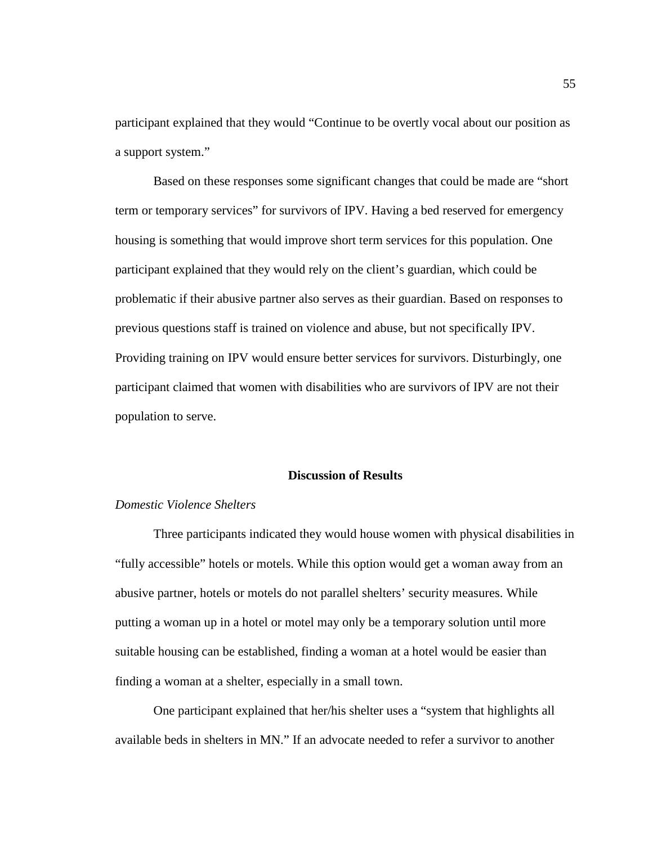participant explained that they would "Continue to be overtly vocal about our position as a support system."

Based on these responses some significant changes that could be made are "short term or temporary services" for survivors of IPV. Having a bed reserved for emergency housing is something that would improve short term services for this population. One participant explained that they would rely on the client's guardian, which could be problematic if their abusive partner also serves as their guardian. Based on responses to previous questions staff is trained on violence and abuse, but not specifically IPV. Providing training on IPV would ensure better services for survivors. Disturbingly, one participant claimed that women with disabilities who are survivors of IPV are not their population to serve.

### **Discussion of Results**

# *Domestic Violence Shelters*

Three participants indicated they would house women with physical disabilities in "fully accessible" hotels or motels. While this option would get a woman away from an abusive partner, hotels or motels do not parallel shelters' security measures. While putting a woman up in a hotel or motel may only be a temporary solution until more suitable housing can be established, finding a woman at a hotel would be easier than finding a woman at a shelter, especially in a small town.

One participant explained that her/his shelter uses a "system that highlights all available beds in shelters in MN." If an advocate needed to refer a survivor to another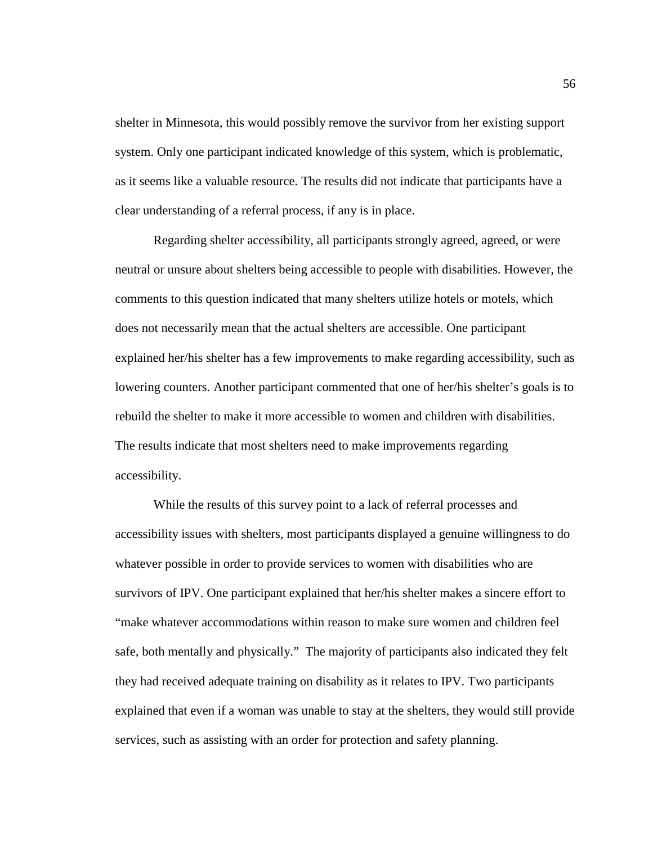shelter in Minnesota, this would possibly remove the survivor from her existing support system. Only one participant indicated knowledge of this system, which is problematic, as it seems like a valuable resource. The results did not indicate that participants have a clear understanding of a referral process, if any is in place.

Regarding shelter accessibility, all participants strongly agreed, agreed, or were neutral or unsure about shelters being accessible to people with disabilities. However, the comments to this question indicated that many shelters utilize hotels or motels, which does not necessarily mean that the actual shelters are accessible. One participant explained her/his shelter has a few improvements to make regarding accessibility, such as lowering counters. Another participant commented that one of her/his shelter's goals is to rebuild the shelter to make it more accessible to women and children with disabilities. The results indicate that most shelters need to make improvements regarding accessibility.

While the results of this survey point to a lack of referral processes and accessibility issues with shelters, most participants displayed a genuine willingness to do whatever possible in order to provide services to women with disabilities who are survivors of IPV. One participant explained that her/his shelter makes a sincere effort to "make whatever accommodations within reason to make sure women and children feel safe, both mentally and physically." The majority of participants also indicated they felt they had received adequate training on disability as it relates to IPV. Two participants explained that even if a woman was unable to stay at the shelters, they would still provide services, such as assisting with an order for protection and safety planning.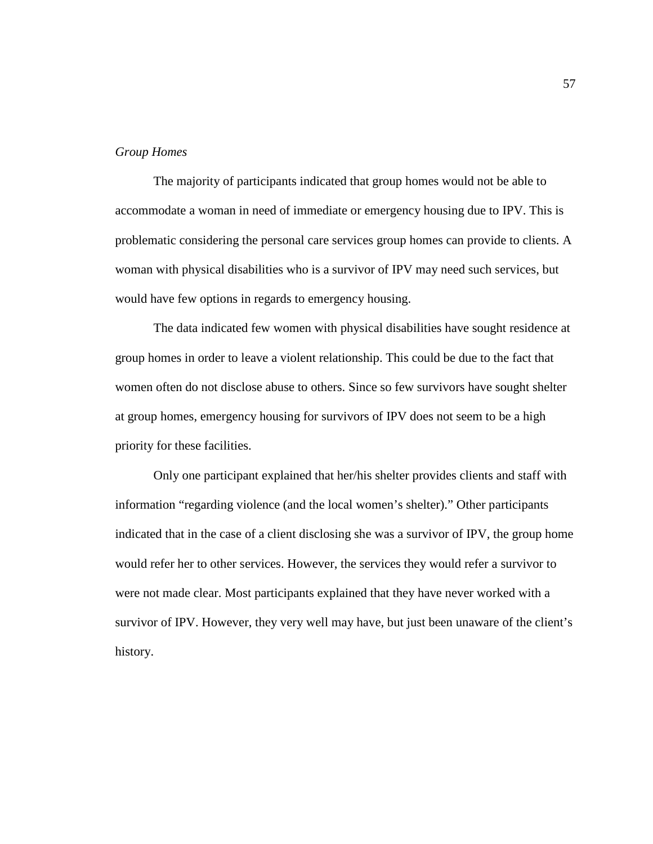### *Group Homes*

The majority of participants indicated that group homes would not be able to accommodate a woman in need of immediate or emergency housing due to IPV. This is problematic considering the personal care services group homes can provide to clients. A woman with physical disabilities who is a survivor of IPV may need such services, but would have few options in regards to emergency housing.

The data indicated few women with physical disabilities have sought residence at group homes in order to leave a violent relationship. This could be due to the fact that women often do not disclose abuse to others. Since so few survivors have sought shelter at group homes, emergency housing for survivors of IPV does not seem to be a high priority for these facilities.

Only one participant explained that her/his shelter provides clients and staff with information "regarding violence (and the local women's shelter)." Other participants indicated that in the case of a client disclosing she was a survivor of IPV, the group home would refer her to other services. However, the services they would refer a survivor to were not made clear. Most participants explained that they have never worked with a survivor of IPV. However, they very well may have, but just been unaware of the client's history.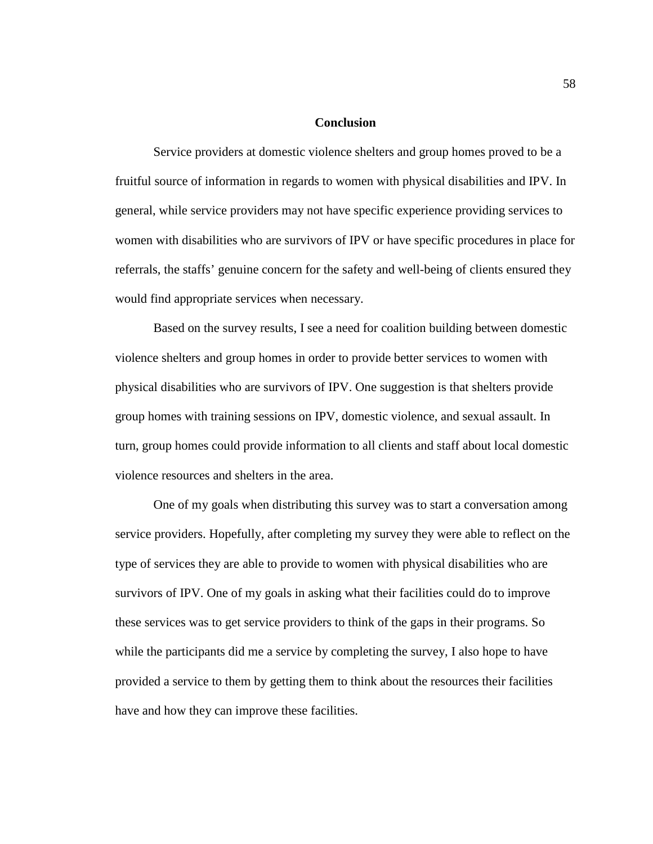### **Conclusion**

Service providers at domestic violence shelters and group homes proved to be a fruitful source of information in regards to women with physical disabilities and IPV. In general, while service providers may not have specific experience providing services to women with disabilities who are survivors of IPV or have specific procedures in place for referrals, the staffs' genuine concern for the safety and well-being of clients ensured they would find appropriate services when necessary.

Based on the survey results, I see a need for coalition building between domestic violence shelters and group homes in order to provide better services to women with physical disabilities who are survivors of IPV. One suggestion is that shelters provide group homes with training sessions on IPV, domestic violence, and sexual assault. In turn, group homes could provide information to all clients and staff about local domestic violence resources and shelters in the area.

One of my goals when distributing this survey was to start a conversation among service providers. Hopefully, after completing my survey they were able to reflect on the type of services they are able to provide to women with physical disabilities who are survivors of IPV. One of my goals in asking what their facilities could do to improve these services was to get service providers to think of the gaps in their programs. So while the participants did me a service by completing the survey, I also hope to have provided a service to them by getting them to think about the resources their facilities have and how they can improve these facilities.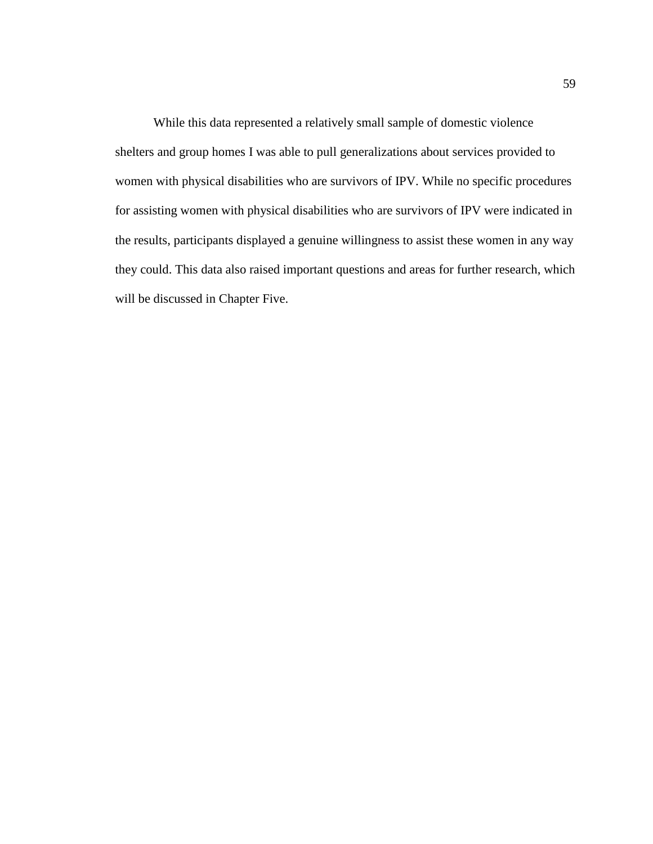While this data represented a relatively small sample of domestic violence shelters and group homes I was able to pull generalizations about services provided to women with physical disabilities who are survivors of IPV. While no specific procedures for assisting women with physical disabilities who are survivors of IPV were indicated in the results, participants displayed a genuine willingness to assist these women in any way they could. This data also raised important questions and areas for further research, which will be discussed in Chapter Five.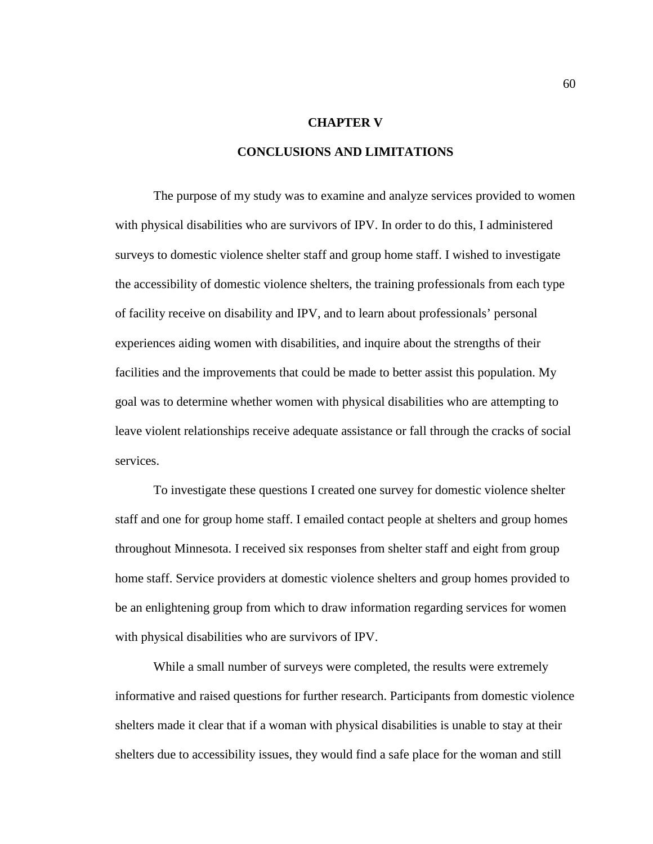#### **CHAPTER V**

## **CONCLUSIONS AND LIMITATIONS**

The purpose of my study was to examine and analyze services provided to women with physical disabilities who are survivors of IPV. In order to do this, I administered surveys to domestic violence shelter staff and group home staff. I wished to investigate the accessibility of domestic violence shelters, the training professionals from each type of facility receive on disability and IPV, and to learn about professionals' personal experiences aiding women with disabilities, and inquire about the strengths of their facilities and the improvements that could be made to better assist this population. My goal was to determine whether women with physical disabilities who are attempting to leave violent relationships receive adequate assistance or fall through the cracks of social services.

To investigate these questions I created one survey for domestic violence shelter staff and one for group home staff. I emailed contact people at shelters and group homes throughout Minnesota. I received six responses from shelter staff and eight from group home staff. Service providers at domestic violence shelters and group homes provided to be an enlightening group from which to draw information regarding services for women with physical disabilities who are survivors of IPV.

While a small number of surveys were completed, the results were extremely informative and raised questions for further research. Participants from domestic violence shelters made it clear that if a woman with physical disabilities is unable to stay at their shelters due to accessibility issues, they would find a safe place for the woman and still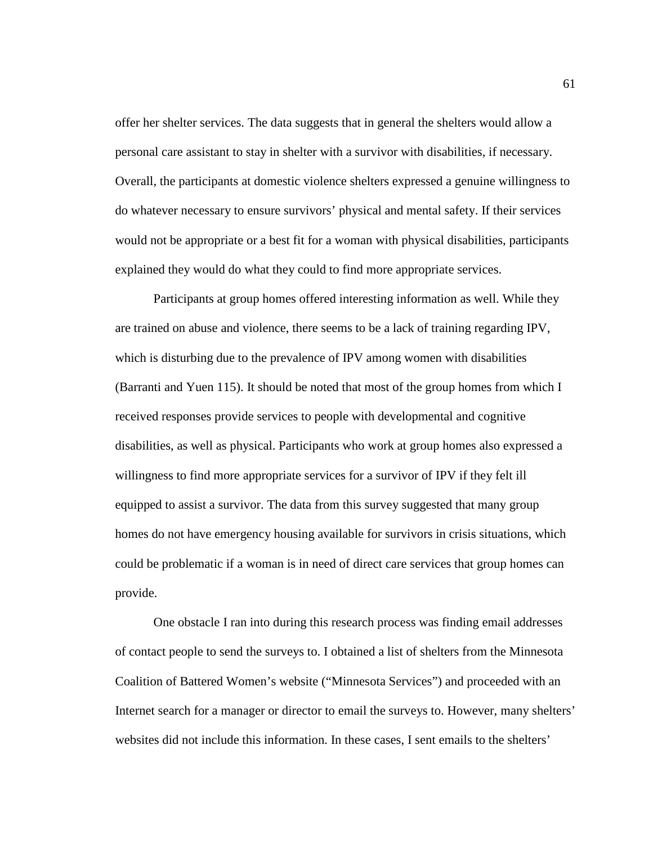offer her shelter services. The data suggests that in general the shelters would allow a personal care assistant to stay in shelter with a survivor with disabilities, if necessary. Overall, the participants at domestic violence shelters expressed a genuine willingness to do whatever necessary to ensure survivors' physical and mental safety. If their services would not be appropriate or a best fit for a woman with physical disabilities, participants explained they would do what they could to find more appropriate services.

Participants at group homes offered interesting information as well. While they are trained on abuse and violence, there seems to be a lack of training regarding IPV, which is disturbing due to the prevalence of IPV among women with disabilities (Barranti and Yuen 115). It should be noted that most of the group homes from which I received responses provide services to people with developmental and cognitive disabilities, as well as physical. Participants who work at group homes also expressed a willingness to find more appropriate services for a survivor of IPV if they felt ill equipped to assist a survivor. The data from this survey suggested that many group homes do not have emergency housing available for survivors in crisis situations, which could be problematic if a woman is in need of direct care services that group homes can provide.

One obstacle I ran into during this research process was finding email addresses of contact people to send the surveys to. I obtained a list of shelters from the Minnesota Coalition of Battered Women's website ("Minnesota Services") and proceeded with an Internet search for a manager or director to email the surveys to. However, many shelters' websites did not include this information. In these cases, I sent emails to the shelters'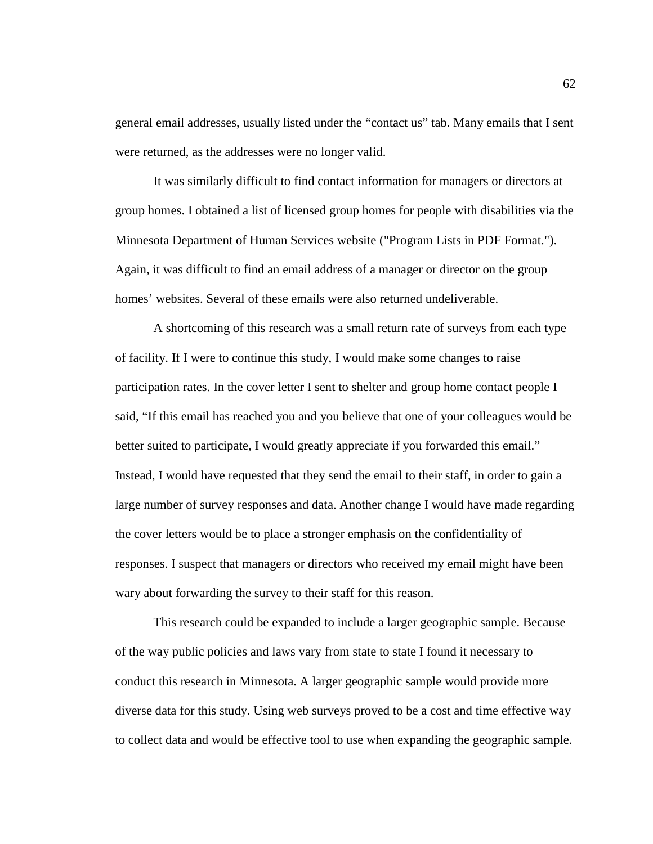general email addresses, usually listed under the "contact us" tab. Many emails that I sent were returned, as the addresses were no longer valid.

It was similarly difficult to find contact information for managers or directors at group homes. I obtained a list of licensed group homes for people with disabilities via the Minnesota Department of Human Services website ("Program Lists in PDF Format."). Again, it was difficult to find an email address of a manager or director on the group homes' websites. Several of these emails were also returned undeliverable.

A shortcoming of this research was a small return rate of surveys from each type of facility. If I were to continue this study, I would make some changes to raise participation rates. In the cover letter I sent to shelter and group home contact people I said, "If this email has reached you and you believe that one of your colleagues would be better suited to participate, I would greatly appreciate if you forwarded this email." Instead, I would have requested that they send the email to their staff, in order to gain a large number of survey responses and data. Another change I would have made regarding the cover letters would be to place a stronger emphasis on the confidentiality of responses. I suspect that managers or directors who received my email might have been wary about forwarding the survey to their staff for this reason.

This research could be expanded to include a larger geographic sample. Because of the way public policies and laws vary from state to state I found it necessary to conduct this research in Minnesota. A larger geographic sample would provide more diverse data for this study. Using web surveys proved to be a cost and time effective way to collect data and would be effective tool to use when expanding the geographic sample.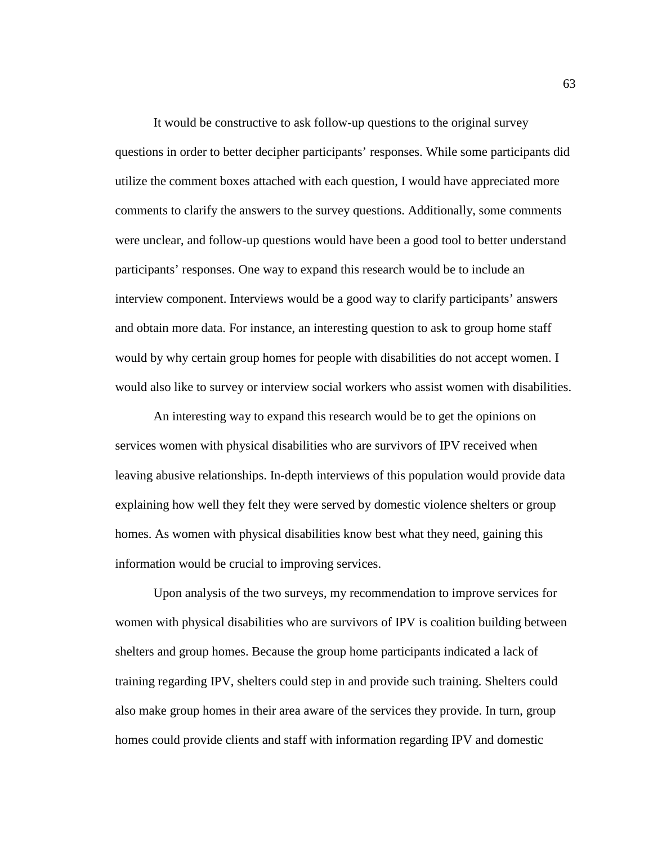It would be constructive to ask follow-up questions to the original survey questions in order to better decipher participants' responses. While some participants did utilize the comment boxes attached with each question, I would have appreciated more comments to clarify the answers to the survey questions. Additionally, some comments were unclear, and follow-up questions would have been a good tool to better understand participants' responses. One way to expand this research would be to include an interview component. Interviews would be a good way to clarify participants' answers and obtain more data. For instance, an interesting question to ask to group home staff would by why certain group homes for people with disabilities do not accept women. I would also like to survey or interview social workers who assist women with disabilities.

An interesting way to expand this research would be to get the opinions on services women with physical disabilities who are survivors of IPV received when leaving abusive relationships. In-depth interviews of this population would provide data explaining how well they felt they were served by domestic violence shelters or group homes. As women with physical disabilities know best what they need, gaining this information would be crucial to improving services.

Upon analysis of the two surveys, my recommendation to improve services for women with physical disabilities who are survivors of IPV is coalition building between shelters and group homes. Because the group home participants indicated a lack of training regarding IPV, shelters could step in and provide such training. Shelters could also make group homes in their area aware of the services they provide. In turn, group homes could provide clients and staff with information regarding IPV and domestic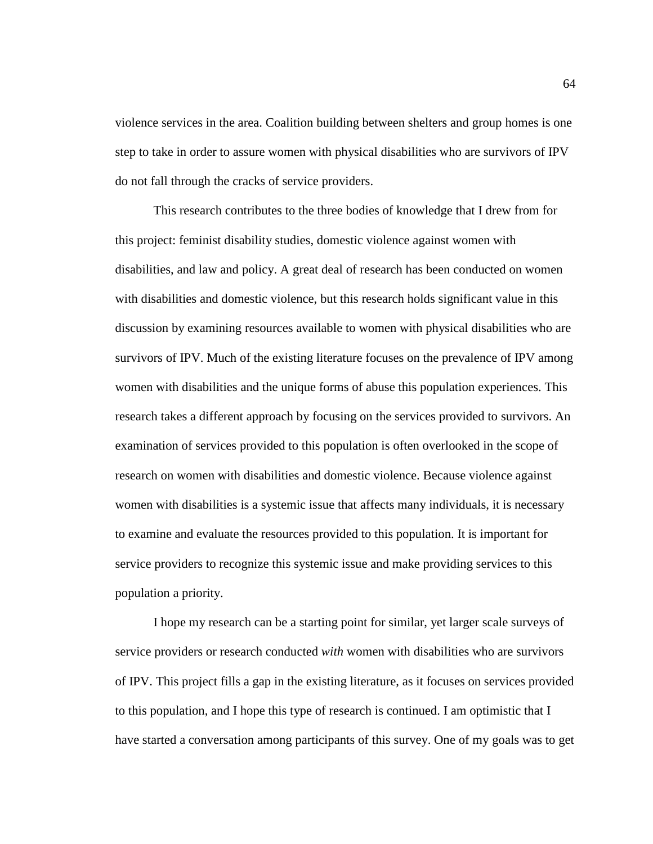violence services in the area. Coalition building between shelters and group homes is one step to take in order to assure women with physical disabilities who are survivors of IPV do not fall through the cracks of service providers.

This research contributes to the three bodies of knowledge that I drew from for this project: feminist disability studies, domestic violence against women with disabilities, and law and policy. A great deal of research has been conducted on women with disabilities and domestic violence, but this research holds significant value in this discussion by examining resources available to women with physical disabilities who are survivors of IPV. Much of the existing literature focuses on the prevalence of IPV among women with disabilities and the unique forms of abuse this population experiences. This research takes a different approach by focusing on the services provided to survivors. An examination of services provided to this population is often overlooked in the scope of research on women with disabilities and domestic violence. Because violence against women with disabilities is a systemic issue that affects many individuals, it is necessary to examine and evaluate the resources provided to this population. It is important for service providers to recognize this systemic issue and make providing services to this population a priority.

I hope my research can be a starting point for similar, yet larger scale surveys of service providers or research conducted *with* women with disabilities who are survivors of IPV. This project fills a gap in the existing literature, as it focuses on services provided to this population, and I hope this type of research is continued. I am optimistic that I have started a conversation among participants of this survey. One of my goals was to get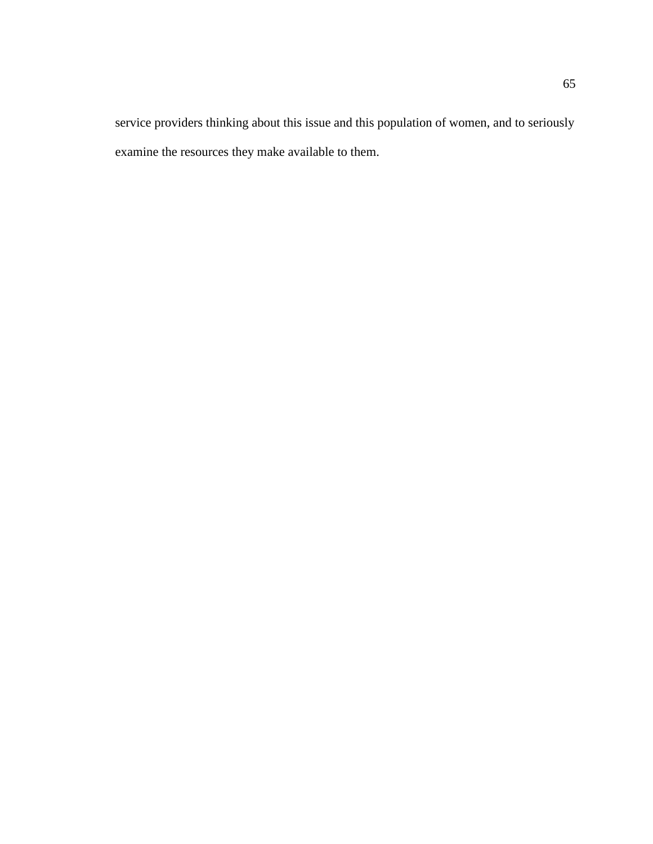service providers thinking about this issue and this population of women, and to seriously examine the resources they make available to them.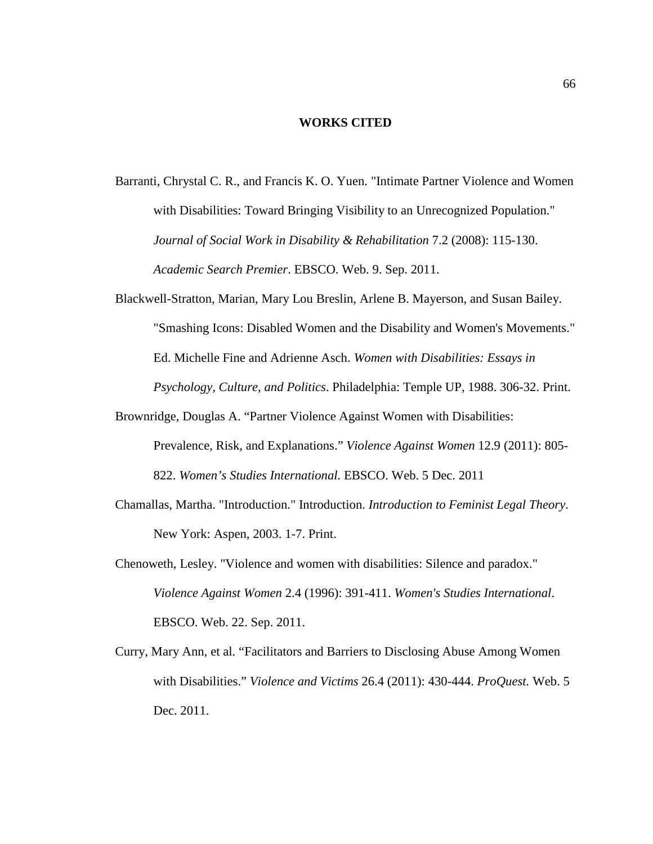#### **WORKS CITED**

- Barranti, Chrystal C. R., and Francis K. O. Yuen. "Intimate Partner Violence and Women with Disabilities: Toward Bringing Visibility to an Unrecognized Population." *Journal of Social Work in Disability & Rehabilitation* 7.2 (2008): 115-130. *Academic Search Premier*. EBSCO. Web. 9. Sep. 2011.
- Blackwell-Stratton, Marian, Mary Lou Breslin, Arlene B. Mayerson, and Susan Bailey. "Smashing Icons: Disabled Women and the Disability and Women's Movements." Ed. Michelle Fine and Adrienne Asch. *Women with Disabilities: Essays in Psychology, Culture, and Politics*. Philadelphia: Temple UP, 1988. 306-32. Print.
- Brownridge, Douglas A. "Partner Violence Against Women with Disabilities: Prevalence, Risk, and Explanations." *Violence Against Women* 12.9 (2011): 805- 822. *Women's Studies International.* EBSCO. Web. 5 Dec. 2011
- Chamallas, Martha. "Introduction." Introduction. *Introduction to Feminist Legal Theory*. New York: Aspen, 2003. 1-7. Print.
- Chenoweth, Lesley. "Violence and women with disabilities: Silence and paradox." *Violence Against Women* 2.4 (1996): 391-411. *Women's Studies International*. EBSCO. Web. 22. Sep. 2011.
- Curry, Mary Ann, et al. "Facilitators and Barriers to Disclosing Abuse Among Women with Disabilities." *Violence and Victims* 26.4 (2011): 430-444. *ProQuest.* Web. 5 Dec. 2011.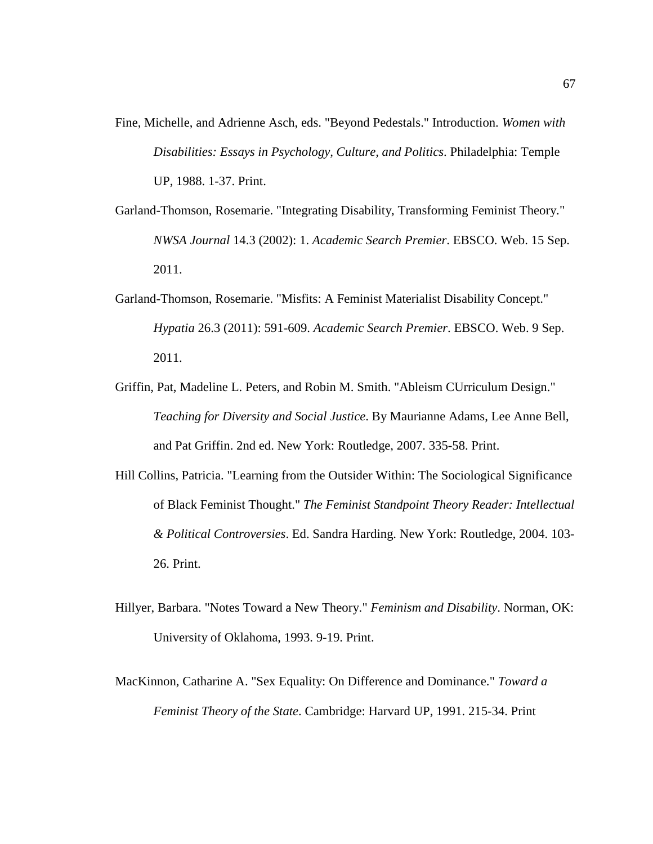- Fine, Michelle, and Adrienne Asch, eds. "Beyond Pedestals." Introduction. *Women with Disabilities: Essays in Psychology, Culture, and Politics*. Philadelphia: Temple UP, 1988. 1-37. Print.
- Garland-Thomson, Rosemarie. "Integrating Disability, Transforming Feminist Theory." *NWSA Journal* 14.3 (2002): 1. *Academic Search Premier*. EBSCO. Web. 15 Sep. 2011.
- Garland-Thomson, Rosemarie. "Misfits: A Feminist Materialist Disability Concept." *Hypatia* 26.3 (2011): 591-609. *Academic Search Premier*. EBSCO. Web. 9 Sep. 2011.
- Griffin, Pat, Madeline L. Peters, and Robin M. Smith. "Ableism CUrriculum Design." *Teaching for Diversity and Social Justice*. By Maurianne Adams, Lee Anne Bell, and Pat Griffin. 2nd ed. New York: Routledge, 2007. 335-58. Print.
- Hill Collins, Patricia. "Learning from the Outsider Within: The Sociological Significance of Black Feminist Thought." *The Feminist Standpoint Theory Reader: Intellectual & Political Controversies*. Ed. Sandra Harding. New York: Routledge, 2004. 103- 26. Print.
- Hillyer, Barbara. "Notes Toward a New Theory." *Feminism and Disability*. Norman, OK: University of Oklahoma, 1993. 9-19. Print.
- MacKinnon, Catharine A. "Sex Equality: On Difference and Dominance." *Toward a Feminist Theory of the State*. Cambridge: Harvard UP, 1991. 215-34. Print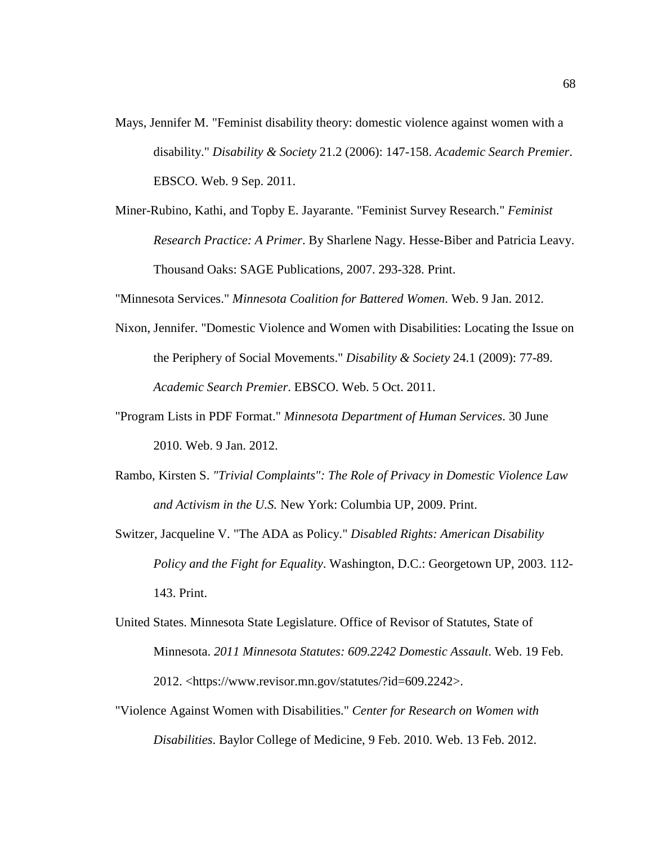- Mays, Jennifer M. "Feminist disability theory: domestic violence against women with a disability." *Disability & Society* 21.2 (2006): 147-158. *Academic Search Premier*. EBSCO. Web. 9 Sep. 2011.
- Miner-Rubino, Kathi, and Topby E. Jayarante. "Feminist Survey Research." *Feminist Research Practice: A Primer*. By Sharlene Nagy. Hesse-Biber and Patricia Leavy. Thousand Oaks: SAGE Publications, 2007. 293-328. Print.

"Minnesota Services." *Minnesota Coalition for Battered Women*. Web. 9 Jan. 2012.

- Nixon, Jennifer. "Domestic Violence and Women with Disabilities: Locating the Issue on the Periphery of Social Movements." *Disability & Society* 24.1 (2009): 77-89. *Academic Search Premier*. EBSCO. Web. 5 Oct. 2011.
- "Program Lists in PDF Format." *Minnesota Department of Human Services*. 30 June 2010. Web. 9 Jan. 2012.
- Rambo, Kirsten S. *"Trivial Complaints": The Role of Privacy in Domestic Violence Law and Activism in the U.S.* New York: Columbia UP, 2009. Print.
- Switzer, Jacqueline V. "The ADA as Policy." *Disabled Rights: American Disability Policy and the Fight for Equality*. Washington, D.C.: Georgetown UP, 2003. 112- 143. Print.
- United States. Minnesota State Legislature. Office of Revisor of Statutes, State of Minnesota. *2011 Minnesota Statutes: 609.2242 Domestic Assault*. Web. 19 Feb. 2012. <https://www.revisor.mn.gov/statutes/?id=609.2242>.
- "Violence Against Women with Disabilities." *Center for Research on Women with Disabilities*. Baylor College of Medicine, 9 Feb. 2010. Web. 13 Feb. 2012.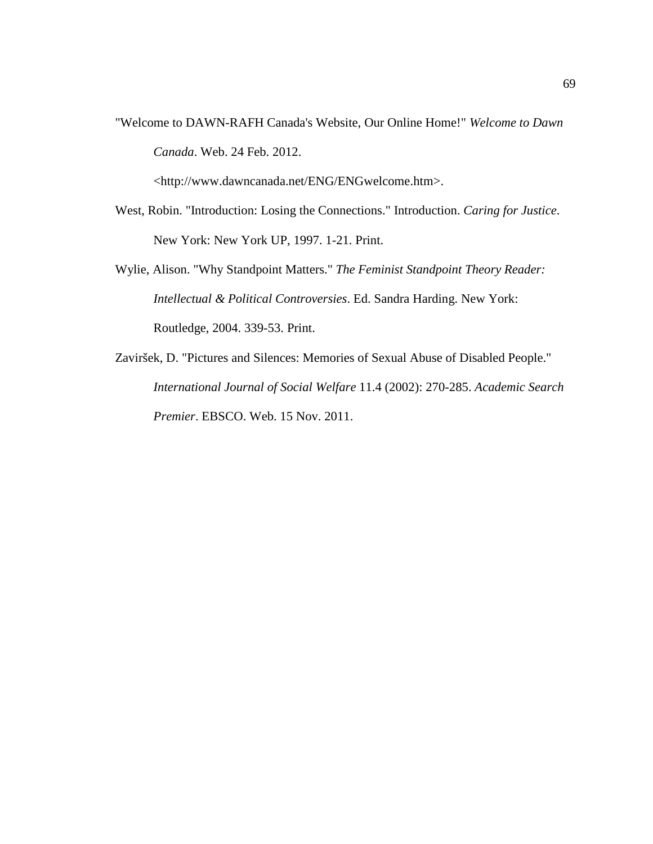"Welcome to DAWN-RAFH Canada's Website, Our Online Home!" *Welcome to Dawn Canada*. Web. 24 Feb. 2012.

<http://www.dawncanada.net/ENG/ENGwelcome.htm>.

- West, Robin. "Introduction: Losing the Connections." Introduction. *Caring for Justice*. New York: New York UP, 1997. 1-21. Print.
- Wylie, Alison. "Why Standpoint Matters." *The Feminist Standpoint Theory Reader: Intellectual & Political Controversies*. Ed. Sandra Harding. New York: Routledge, 2004. 339-53. Print.
- Zaviršek, D. "Pictures and Silences: Memories of Sexual Abuse of Disabled People." *International Journal of Social Welfare* 11.4 (2002): 270-285. *Academic Search Premier*. EBSCO. Web. 15 Nov. 2011.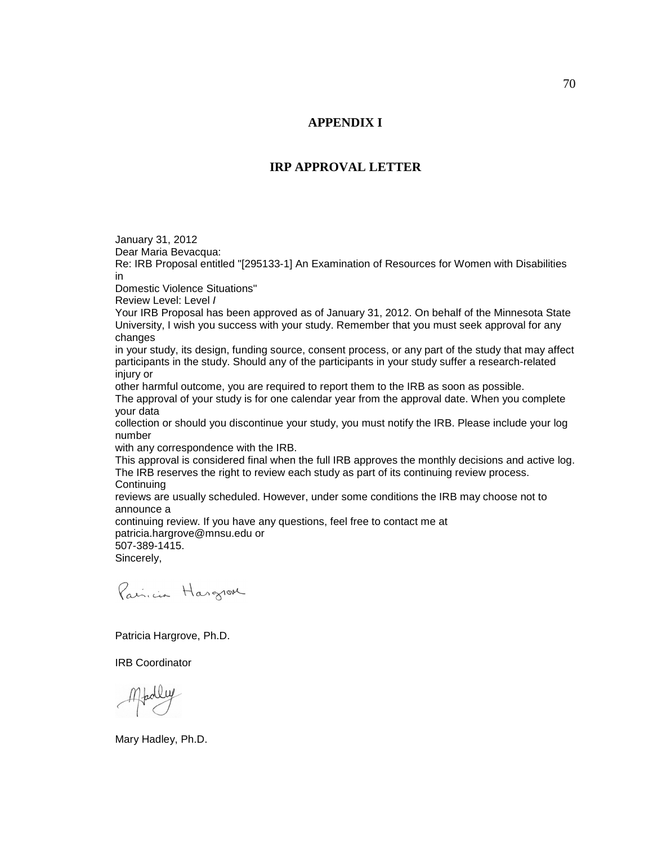### **APPENDIX I**

#### **IRP APPROVAL LETTER**

January 31, 2012 Dear Maria Bevacqua: Re: IRB Proposal entitled "[295133-1] An Examination of Resources for Women with Disabilities in Domestic Violence Situations" Review Level: Level I Your IRB Proposal has been approved as of January 31, 2012. On behalf of the Minnesota State University, I wish you success with your study. Remember that you must seek approval for any changes in your study, its design, funding source, consent process, or any part of the study that may affect participants in the study. Should any of the participants in your study suffer a research-related injury or other harmful outcome, you are required to report them to the IRB as soon as possible. The approval of your study is for one calendar year from the approval date. When you complete your data collection or should you discontinue your study, you must notify the IRB. Please include your log number with any correspondence with the IRB. This approval is considered final when the full IRB approves the monthly decisions and active log. The IRB reserves the right to review each study as part of its continuing review process. **Continuing** reviews are usually scheduled. However, under some conditions the IRB may choose not to announce a continuing review. If you have any questions, feel free to contact me at patricia.hargrove@mnsu.edu or 507-389-1415. Sincerely, Paincia Hargrove

Patricia Hargrove, Ph.D.

IRB Coordinator

Mary Hadley, Ph.D.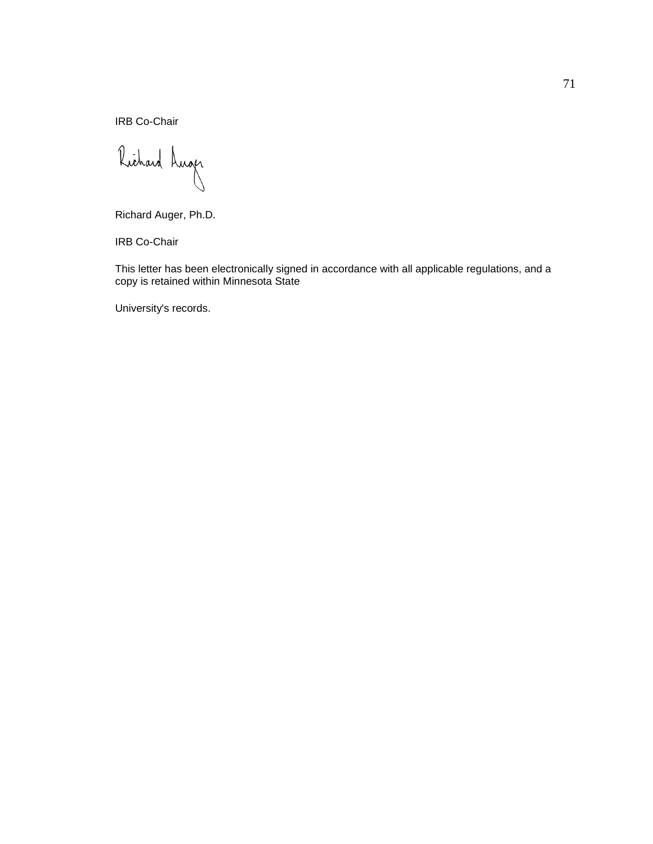IRB Co-Chair

Richard Luger

Richard Auger, Ph.D.

IRB Co-Chair

This letter has been electronically signed in accordance with all applicable regulations, and a copy is retained within Minnesota State

University's records.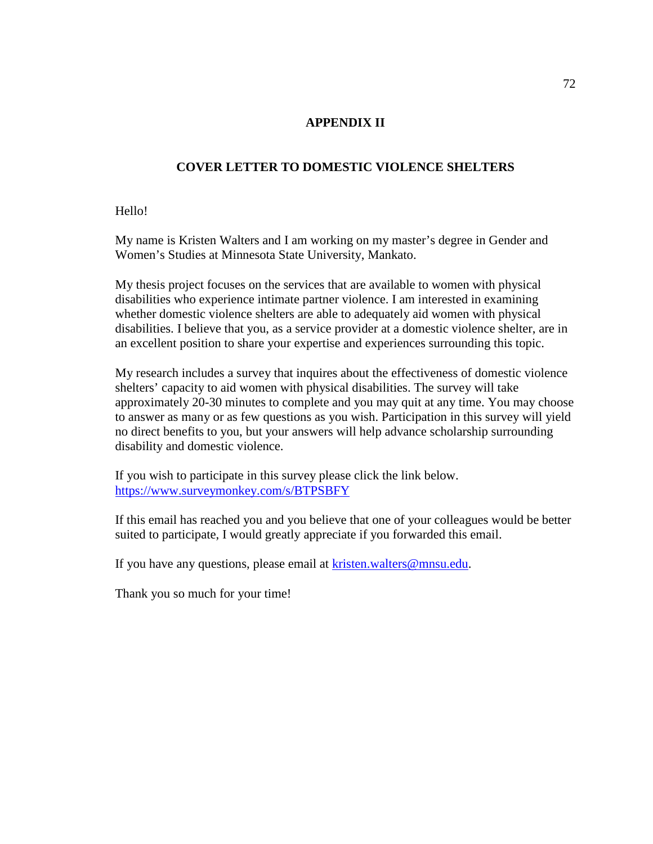### **APPENDIX II**

### **COVER LETTER TO DOMESTIC VIOLENCE SHELTERS**

Hello!

My name is Kristen Walters and I am working on my master's degree in Gender and Women's Studies at Minnesota State University, Mankato.

My thesis project focuses on the services that are available to women with physical disabilities who experience intimate partner violence. I am interested in examining whether domestic violence shelters are able to adequately aid women with physical disabilities. I believe that you, as a service provider at a domestic violence shelter, are in an excellent position to share your expertise and experiences surrounding this topic.

My research includes a survey that inquires about the effectiveness of domestic violence shelters' capacity to aid women with physical disabilities. The survey will take approximately 20-30 minutes to complete and you may quit at any time. You may choose to answer as many or as few questions as you wish. Participation in this survey will yield no direct benefits to you, but your answers will help advance scholarship surrounding disability and domestic violence.

If you wish to participate in this survey please click the link below. https://www.surveymonkey.com/s/BTPSBFY

If this email has reached you and you believe that one of your colleagues would be better suited to participate, I would greatly appreciate if you forwarded this email.

If you have any questions, please email at kristen.walters@mnsu.edu.

Thank you so much for your time!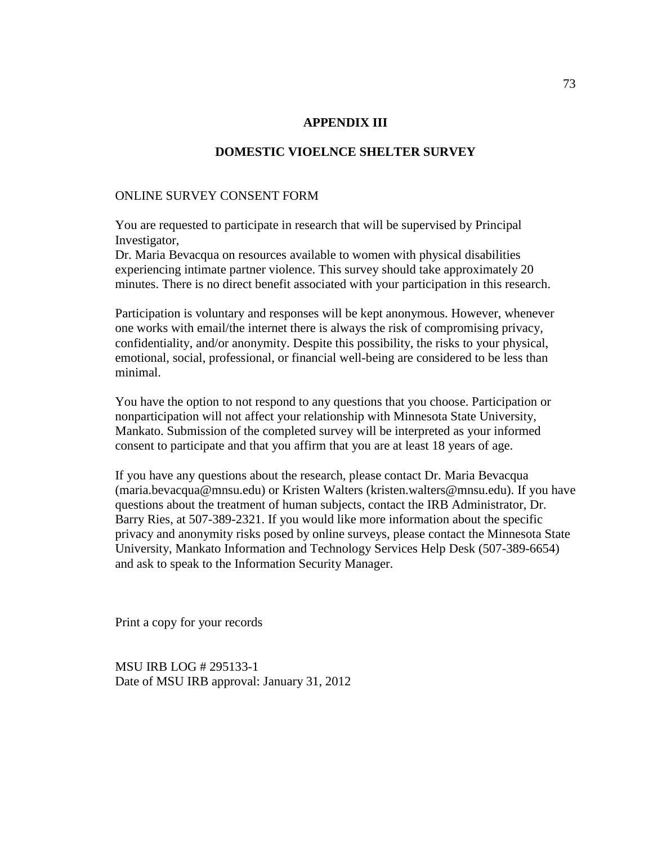#### **APPENDIX III**

#### **DOMESTIC VIOELNCE SHELTER SURVEY**

### ONLINE SURVEY CONSENT FORM

You are requested to participate in research that will be supervised by Principal Investigator,

Dr. Maria Bevacqua on resources available to women with physical disabilities experiencing intimate partner violence. This survey should take approximately 20 minutes. There is no direct benefit associated with your participation in this research.

Participation is voluntary and responses will be kept anonymous. However, whenever one works with email/the internet there is always the risk of compromising privacy, confidentiality, and/or anonymity. Despite this possibility, the risks to your physical, emotional, social, professional, or financial well-being are considered to be less than minimal.

You have the option to not respond to any questions that you choose. Participation or nonparticipation will not affect your relationship with Minnesota State University, Mankato. Submission of the completed survey will be interpreted as your informed consent to participate and that you affirm that you are at least 18 years of age.

If you have any questions about the research, please contact Dr. Maria Bevacqua (maria.bevacqua@mnsu.edu) or Kristen Walters (kristen.walters@mnsu.edu). If you have questions about the treatment of human subjects, contact the IRB Administrator, Dr. Barry Ries, at 507-389-2321. If you would like more information about the specific privacy and anonymity risks posed by online surveys, please contact the Minnesota State University, Mankato Information and Technology Services Help Desk (507-389-6654) and ask to speak to the Information Security Manager.

Print a copy for your records

MSU IRB LOG # 295133-1 Date of MSU IRB approval: January 31, 2012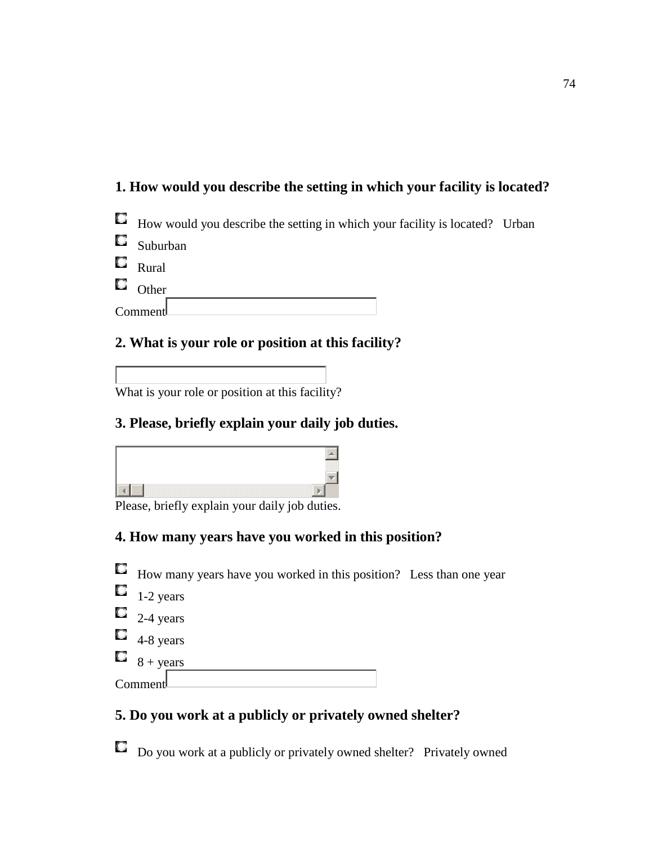# **1. How would you describe the setting in which your facility is located?**



| Suburban |
|----------|
|          |

- $\Box$  Rural
- $\Box$  Other

**Comment** 

### **2. What is your role or position at this facility?**

What is your role or position at this facility?

### **3. Please, briefly explain your daily job duties.**



Please, briefly explain your daily job duties.

## **4. How many years have you worked in this position?**



### **5. Do you work at a publicly or privately owned shelter?**

Do you work at a publicly or privately owned shelter? Privately owned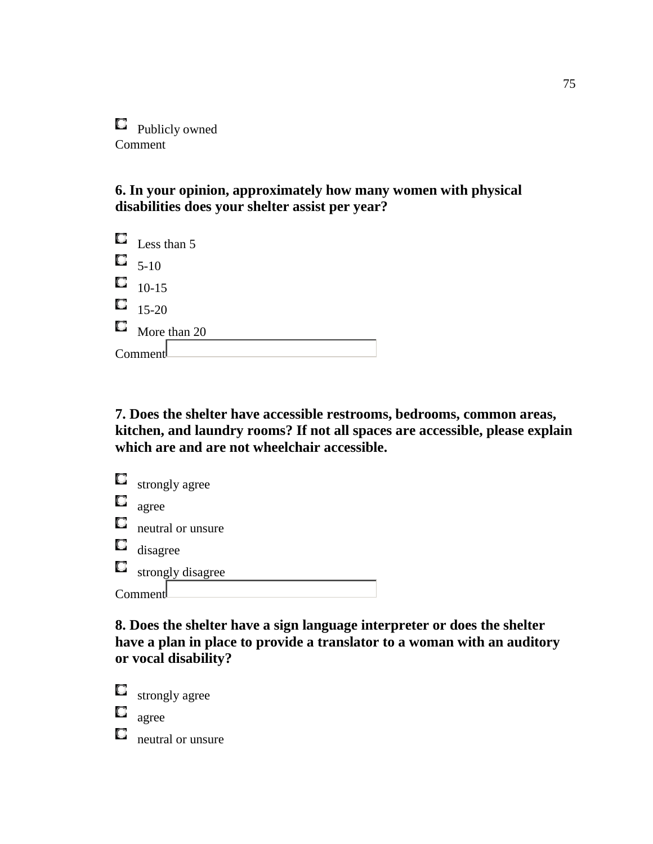**Publicly owned** Comment

**6. In your opinion, approximately how many women with physical disabilities does your shelter assist per year?** 

 $\Box$  Less than 5  $\Box$  5-10  $\Box$  10-15  $15-20$  $\Box$  More than 20 Comment

**7. Does the shelter have accessible restrooms, bedrooms, common areas, kitchen, and laundry rooms? If not all spaces are accessible, please explain which are and are not wheelchair accessible.** 

|    | $\Box$ strongly agree |
|----|-----------------------|
| 0  | agree                 |
| Ω. | neutral or unsure     |
|    | $\Box$ disagree       |
|    | strongly disagree     |
|    | Comment               |

**8. Does the shelter have a sign language interpreter or does the shelter have a plan in place to provide a translator to a woman with an auditory or vocal disability?** 

O strongly agree О agree O. neutral or unsure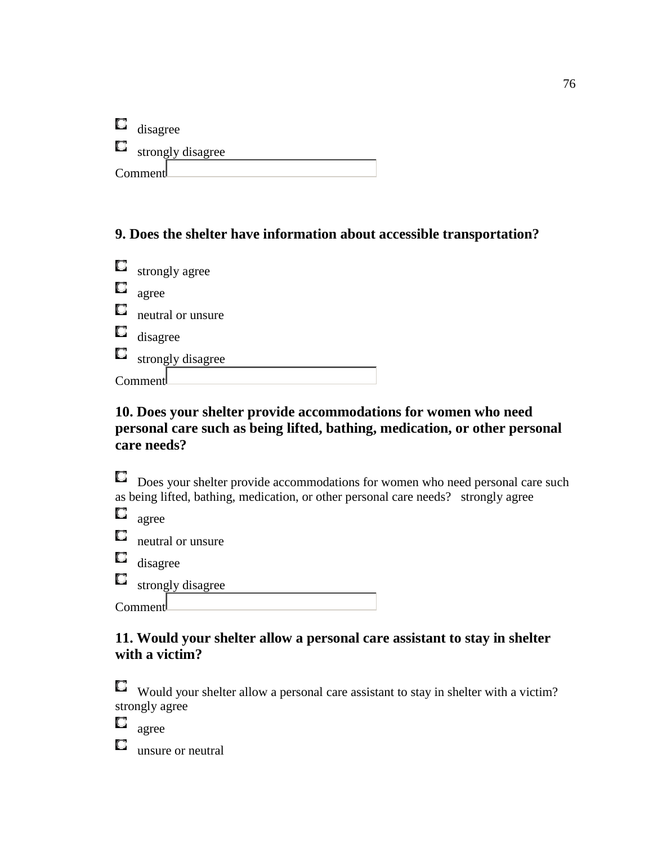| U | disagree          |
|---|-------------------|
| O | strongly disagree |
|   | Comment           |

## **9. Does the shelter have information about accessible transportation?**

|    | $\Box$ strongly agree |
|----|-----------------------|
| С  | agree                 |
| Ο. | neutral or unsure     |
|    | $\Box$ disagree       |
|    | strongly disagree     |
|    | Comment               |

## **10. Does your shelter provide accommodations for women who need personal care such as being lifted, bathing, medication, or other personal care needs?**

Does your shelter provide accommodations for women who need personal care such as being lifted, bathing, medication, or other personal care needs? strongly agree

 $\Box$  agree

 $\Box$  neutral or unsure

**d** disagree

 $\Box$  strongly disagree

Comment

### **11. Would your shelter allow a personal care assistant to stay in shelter with a victim?**

Would your shelter allow a personal care assistant to stay in shelter with a victim? strongly agree

agree

 $\Box$  unsure or neutral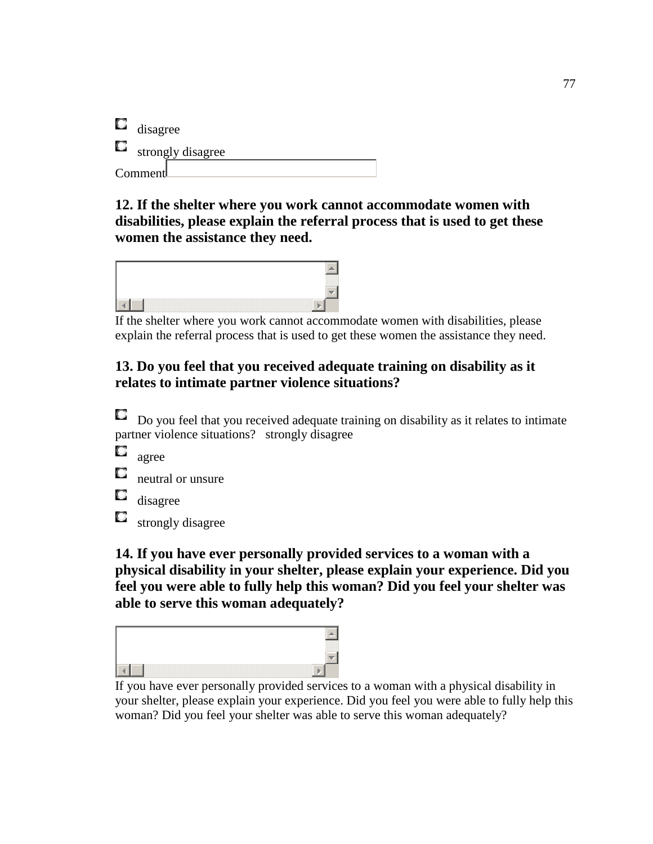| U, | disagree          |
|----|-------------------|
| U, | strongly disagree |
|    | Comment           |

**12. If the shelter where you work cannot accommodate women with disabilities, please explain the referral process that is used to get these women the assistance they need.** 



If the shelter where you work cannot accommodate women with disabilities, please explain the referral process that is used to get these women the assistance they need.

### **13. Do you feel that you received adequate training on disability as it relates to intimate partner violence situations?**

O Do you feel that you received adequate training on disability as it relates to intimate partner violence situations? strongly disagree

 $\Box$ agree

**neutral or unsure** 

Q disagree

Q strongly disagree

**14. If you have ever personally provided services to a woman with a physical disability in your shelter, please explain your experience. Did you feel you were able to fully help this woman? Did you feel your shelter was able to serve this woman adequately?** 



If you have ever personally provided services to a woman with a physical disability in your shelter, please explain your experience. Did you feel you were able to fully help this woman? Did you feel your shelter was able to serve this woman adequately?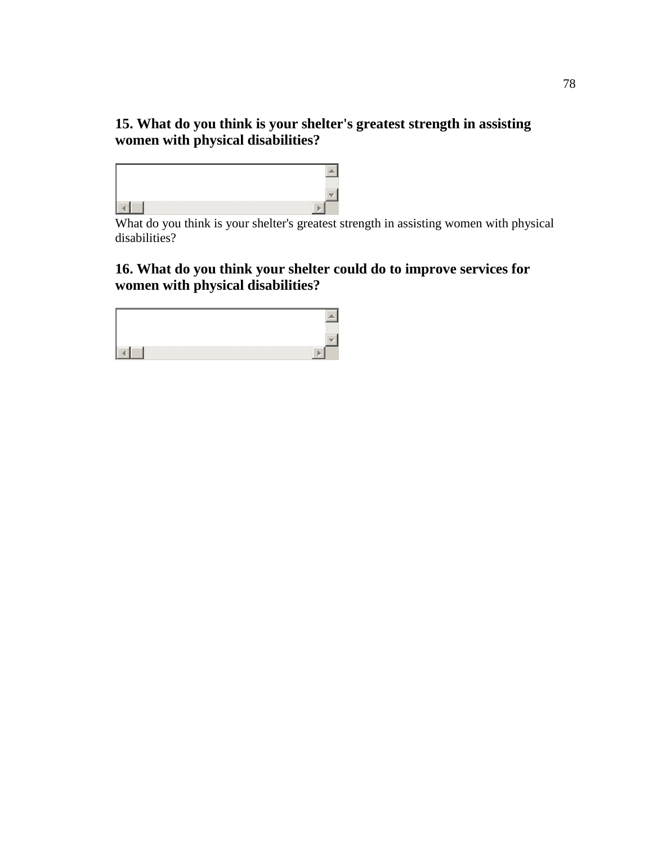### **15. What do you think is your shelter's greatest strength in assisting women with physical disabilities?**



What do you think is your shelter's greatest strength in assisting women with physical disabilities?

## **16. What do you think your shelter could do to improve services for women with physical disabilities?**

| the contract of the contract of the contract of the contract of the contract of the contract of |  |
|-------------------------------------------------------------------------------------------------|--|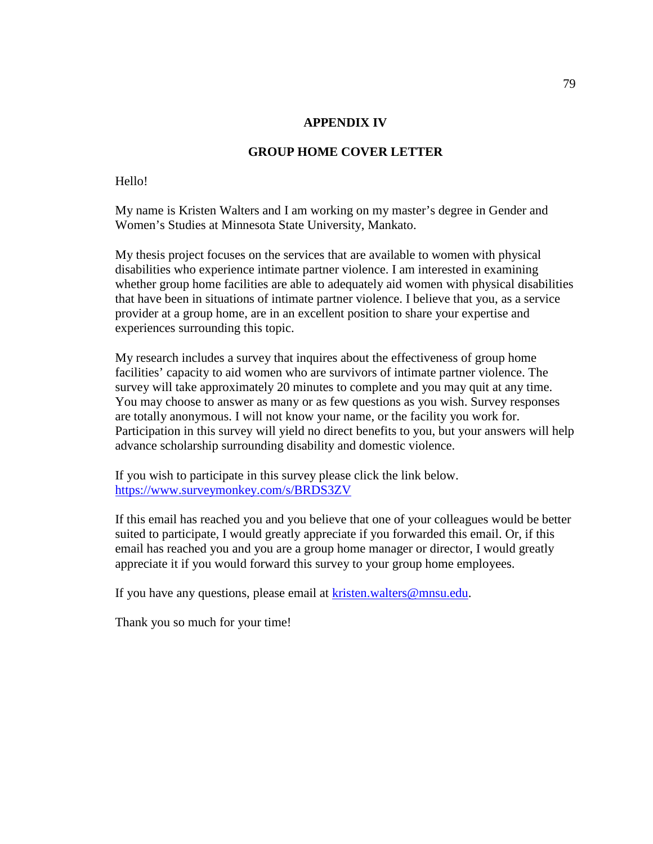#### **APPENDIX IV**

#### **GROUP HOME COVER LETTER**

#### Hello!

My name is Kristen Walters and I am working on my master's degree in Gender and Women's Studies at Minnesota State University, Mankato.

My thesis project focuses on the services that are available to women with physical disabilities who experience intimate partner violence. I am interested in examining whether group home facilities are able to adequately aid women with physical disabilities that have been in situations of intimate partner violence. I believe that you, as a service provider at a group home, are in an excellent position to share your expertise and experiences surrounding this topic.

My research includes a survey that inquires about the effectiveness of group home facilities' capacity to aid women who are survivors of intimate partner violence. The survey will take approximately 20 minutes to complete and you may quit at any time. You may choose to answer as many or as few questions as you wish. Survey responses are totally anonymous. I will not know your name, or the facility you work for. Participation in this survey will yield no direct benefits to you, but your answers will help advance scholarship surrounding disability and domestic violence.

If you wish to participate in this survey please click the link below. https://www.surveymonkey.com/s/BRDS3ZV

If this email has reached you and you believe that one of your colleagues would be better suited to participate, I would greatly appreciate if you forwarded this email. Or, if this email has reached you and you are a group home manager or director, I would greatly appreciate it if you would forward this survey to your group home employees.

If you have any questions, please email at kristen.walters@mnsu.edu.

Thank you so much for your time!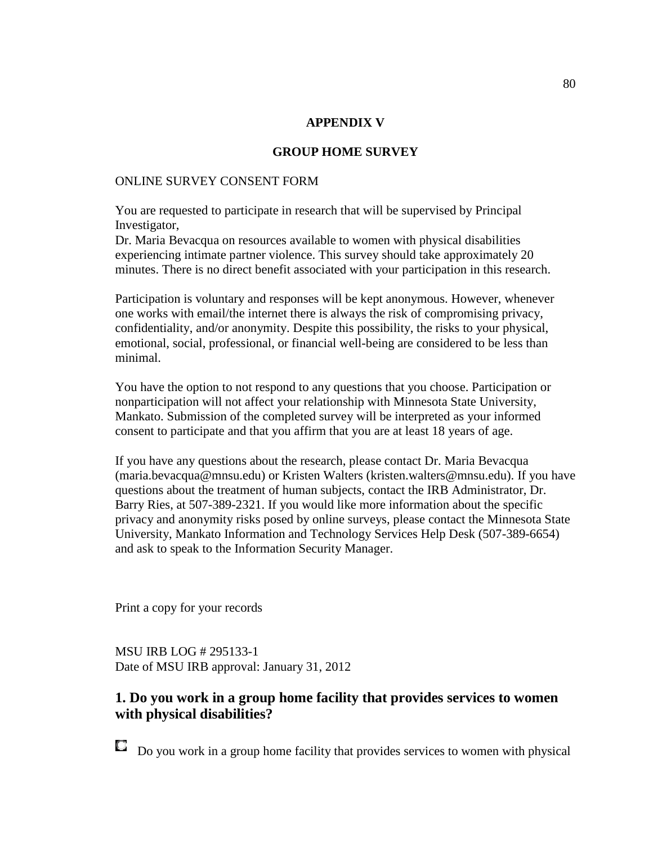#### **APPENDIX V**

#### **GROUP HOME SURVEY**

#### ONLINE SURVEY CONSENT FORM

You are requested to participate in research that will be supervised by Principal Investigator,

Dr. Maria Bevacqua on resources available to women with physical disabilities experiencing intimate partner violence. This survey should take approximately 20 minutes. There is no direct benefit associated with your participation in this research.

Participation is voluntary and responses will be kept anonymous. However, whenever one works with email/the internet there is always the risk of compromising privacy, confidentiality, and/or anonymity. Despite this possibility, the risks to your physical, emotional, social, professional, or financial well-being are considered to be less than minimal.

You have the option to not respond to any questions that you choose. Participation or nonparticipation will not affect your relationship with Minnesota State University, Mankato. Submission of the completed survey will be interpreted as your informed consent to participate and that you affirm that you are at least 18 years of age.

If you have any questions about the research, please contact Dr. Maria Bevacqua (maria.bevacqua@mnsu.edu) or Kristen Walters (kristen.walters@mnsu.edu). If you have questions about the treatment of human subjects, contact the IRB Administrator, Dr. Barry Ries, at 507-389-2321. If you would like more information about the specific privacy and anonymity risks posed by online surveys, please contact the Minnesota State University, Mankato Information and Technology Services Help Desk (507-389-6654) and ask to speak to the Information Security Manager.

Print a copy for your records

MSU IRB LOG # 295133-1 Date of MSU IRB approval: January 31, 2012

### **1. Do you work in a group home facility that provides services to women with physical disabilities?**

Do you work in a group home facility that provides services to women with physicalО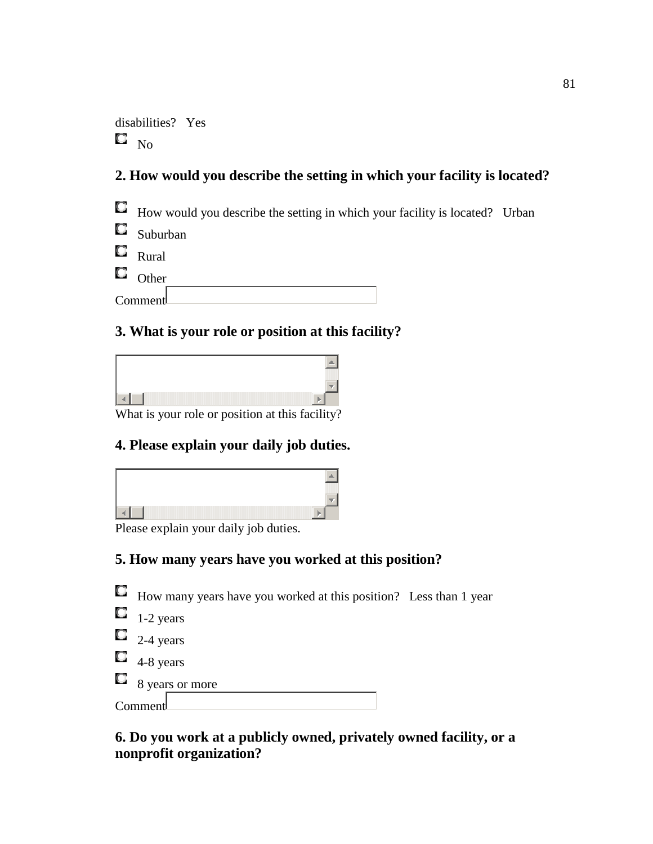disabilities? Yes  $\square$   $_{\rm No}$ 

## **2. How would you describe the setting in which your facility is located?**



|   | $\blacksquare$ Rural |  |  |  |
|---|----------------------|--|--|--|
| О | Other                |  |  |  |
|   | Comment              |  |  |  |

### **3. What is your role or position at this facility?**

What is your role or position at this facility?

### **4. Please explain your daily job duties.**

Please explain your daily job duties.

## **5. How many years have you worked at this position?**

How many years have you worked at this position? Less than 1 year

|  | -2 years |
|--|----------|
|--|----------|

- $\Box$  2-4 years
- $\Box$  4-8 years

 $\begin{array}{c} \Box \ \\ 8 \ \text{years or more} \end{array}$ 

## **6. Do you work at a publicly owned, privately owned facility, or a nonprofit organization?**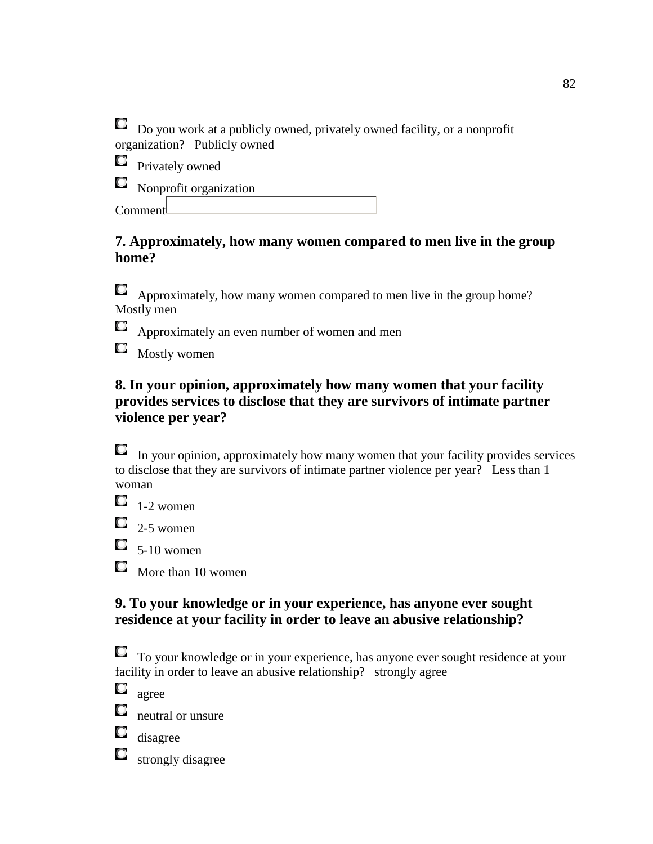$\Box$  Do you work at a publicly owned, privately owned facility, or a nonprofit organization? Publicly owned

 $\Box$  Privately owned

Nonprofit organization

Comment

## **7. Approximately, how many women compared to men live in the group home?**

Approximately, how many women compared to men live in the group home? Mostly men

 $\Box$  Approximately an even number of women and men

 $\Box$  Mostly women

## **8. In your opinion, approximately how many women that your facility provides services to disclose that they are survivors of intimate partner violence per year?**

 $\Box$  In your opinion, approximately how many women that your facility provides services to disclose that they are survivors of intimate partner violence per year? Less than 1 woman

 $\Box$  1-2 women

 $\Box$  2-5 women

 $\Box$  5-10 women

 $\Box$  More than 10 women

## **9. To your knowledge or in your experience, has anyone ever sought residence at your facility in order to leave an abusive relationship?**

To your knowledge or in your experience, has anyone ever sought residence at your facility in order to leave an abusive relationship? strongly agree

Q agree

O. neutral or unsure

 $\Box$  disagree

 $\Box$ strongly disagree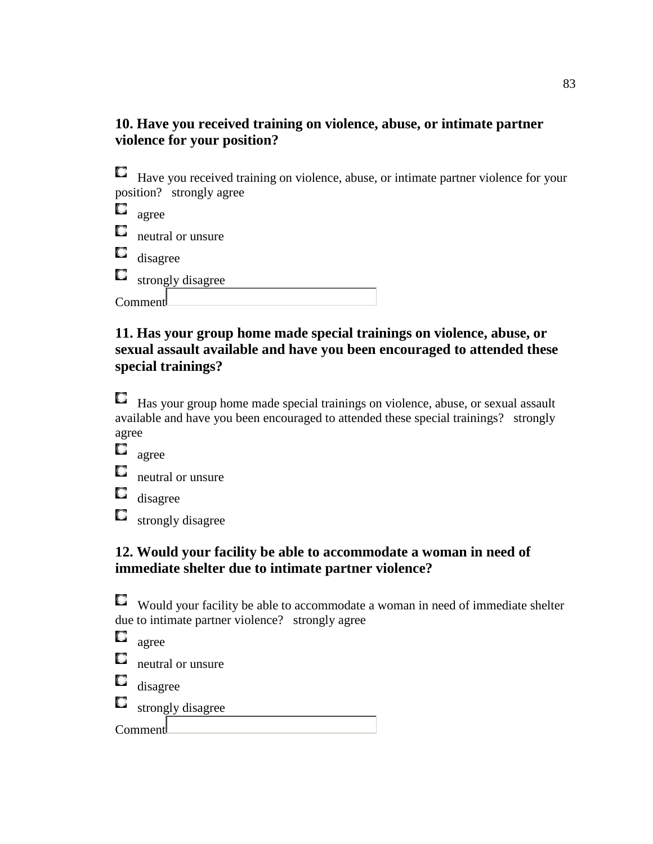### **10. Have you received training on violence, abuse, or intimate partner violence for your position?**

Have you received training on violence, abuse, or intimate partner violence for your position? strongly agree

| Q      | agree             |
|--------|-------------------|
| $\Box$ | neutral or unsure |
|        | $\Box$ disagree   |
| $\Box$ | strongly disagree |
|        | Comment           |

### **11. Has your group home made special trainings on violence, abuse, or sexual assault available and have you been encouraged to attended these special trainings?**

**Has your group home made special trainings on violence, abuse, or sexual assault** available and have you been encouraged to attended these special trainings? strongly agree

 $\Box$  agree

 $\Box$  neutral or unsure

 $\Box$  disagree

 $\Box$ strongly disagree

### **12. Would your facility be able to accommodate a woman in need of immediate shelter due to intimate partner violence?**

Would your facility be able to accommodate a woman in need of immediate shelter due to intimate partner violence? strongly agree

|         | agree             |  |
|---------|-------------------|--|
| O.      | neutral or unsure |  |
| O       | disagree          |  |
| Q.      | strongly disagree |  |
| Comment |                   |  |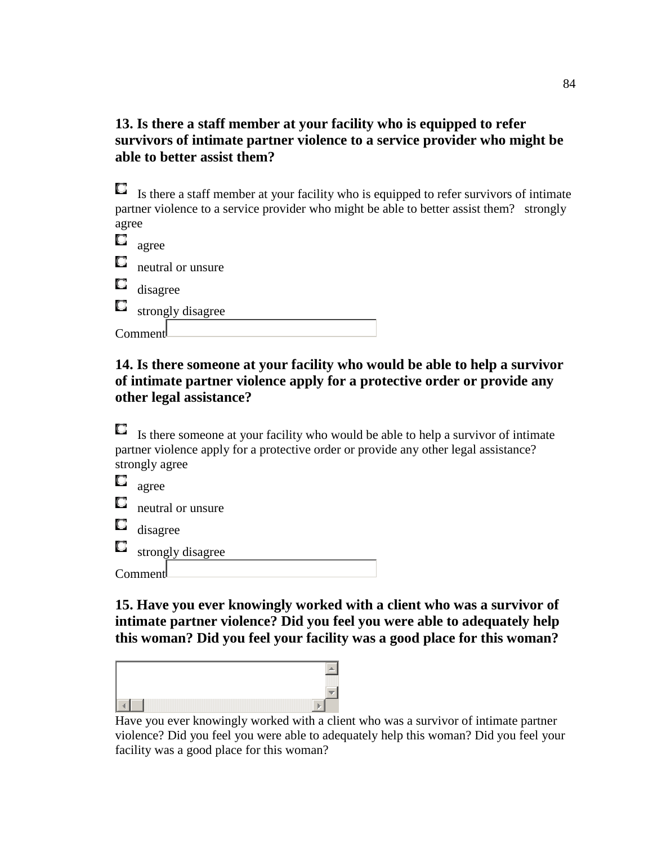### **13. Is there a staff member at your facility who is equipped to refer survivors of intimate partner violence to a service provider who might be able to better assist them?**

| 0.    | Is there a staff member at your facility who is equipped to refer survivors of intimate  |
|-------|------------------------------------------------------------------------------------------|
|       | partner violence to a service provider who might be able to better assist them? strongly |
| agree |                                                                                          |
| Q     | agree                                                                                    |
| Q     | neutral or unsure                                                                        |
| a     | disagree                                                                                 |
| Q     | strongly disagree                                                                        |
|       | Comment                                                                                  |

### **14. Is there someone at your facility who would be able to help a survivor of intimate partner violence apply for a protective order or provide any other legal assistance?**

 $\Box$  Is there someone at your facility who would be able to help a survivor of intimate partner violence apply for a protective order or provide any other legal assistance? strongly agree

| L. | agree             |
|----|-------------------|
| O  | neutral or unsure |
| Ω, | disagree          |
| O  | strongly disagree |
|    | Comment           |

**15. Have you ever knowingly worked with a client who was a survivor of intimate partner violence? Did you feel you were able to adequately help this woman? Did you feel your facility was a good place for this woman?** 



Have you ever knowingly worked with a client who was a survivor of intimate partner violence? Did you feel you were able to adequately help this woman? Did you feel your facility was a good place for this woman?